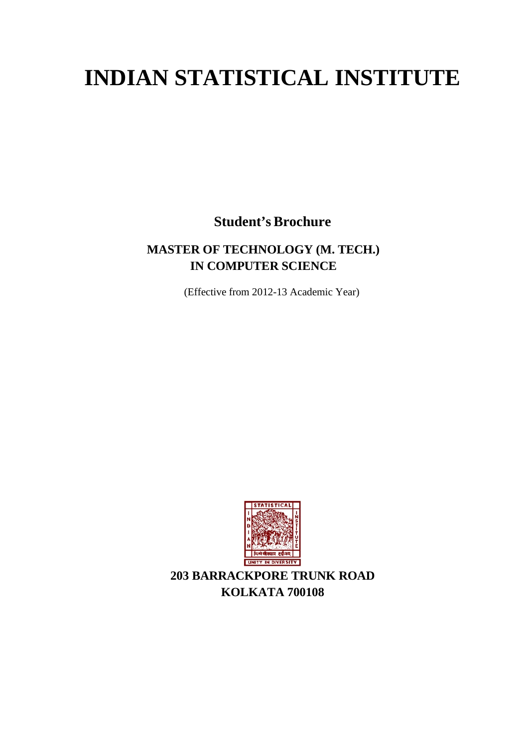# **INDIAN STATISTICAL INSTITUTE**

**Student's Brochure**

## **MASTER OF TECHNOLOGY (M. TECH.) IN COMPUTER SCIENCE**

(Effective from 2012-13 Academic Year)



**203 BARRACKPORE TRUNK ROAD KOLKATA 700108**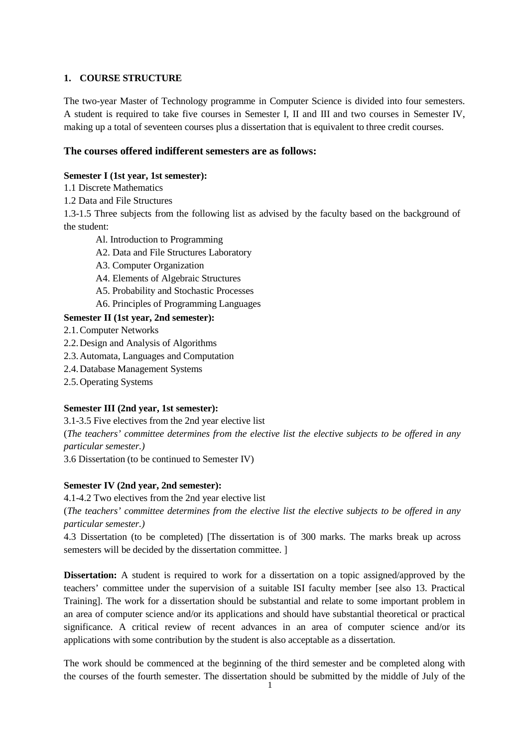## **1. COURSE STRUCTURE**

The two-year Master of Technology programme in Computer Science is divided into four semesters. A student is required to take five courses in Semester I, II and III and two courses in Semester IV, making up a total of seventeen courses plus a dissertation that is equivalent to three credit courses.

## **The courses offered indifferent semesters are as follows:**

## **Semester I (1st year, 1st semester):**

- 1.1 Discrete Mathematics
- 1.2 Data and File Structures

1.3-1.5 Three subjects from the following list as advised by the faculty based on the background of the student:

- Al. Introduction to Programming
- A2. Data and File Structures Laboratory
- A3. Computer Organization
- A4. Elements of Algebraic Structures
- A5. Probability and Stochastic Processes
- A6. Principles of Programming Languages

## **Semester II (1st year, 2nd semester):**

- 2.1.Computer Networks
- 2.2.Design and Analysis of Algorithms
- 2.3.Automata, Languages and Computation
- 2.4.Database Management Systems
- 2.5.Operating Systems

## **Semester III (2nd year, 1st semester):**

3.1-3.5 Five electives from the 2nd year elective list (*The teachers' committee determines from the elective list the elective subjects to be offered in any particular semester.)*

3.6 Dissertation (to be continued to Semester IV)

## **Semester IV (2nd year, 2nd semester):**

4.1-4.2 Two electives from the 2nd year elective list

(*The teachers' committee determines from the elective list the elective subjects to be offered in any particular semester.)*

4.3 Dissertation (to be completed) [The dissertation is of 300 marks. The marks break up across semesters will be decided by the dissertation committee. ]

**Dissertation:** A student is required to work for a dissertation on a topic assigned/approved by the teachers' committee under the supervision of a suitable ISI faculty member [see also 13. Practical Training]. The work for a dissertation should be substantial and relate to some important problem in an area of computer science and/or its applications and should have substantial theoretical or practical significance. A critical review of recent advances in an area of computer science and/or its applications with some contribution by the student is also acceptable as a dissertation.

The work should be commenced at the beginning of the third semester and be completed along with the courses of the fourth semester. The dissertation should be submitted by the middle of July of the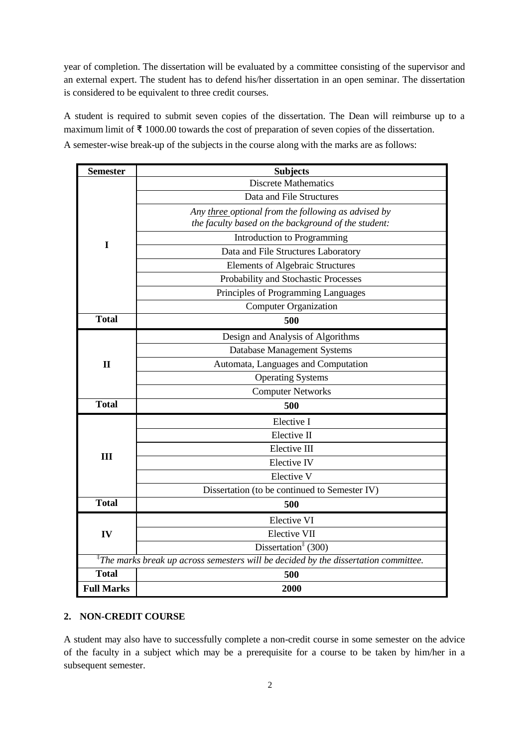year of completion. The dissertation will be evaluated by a committee consisting of the supervisor and an external expert. The student has to defend his/her dissertation in an open seminar. The dissertation is considered to be equivalent to three credit courses.

A student is required to submit seven copies of the dissertation. The Dean will reimburse up to a maximum limit of ₹ 1000.00 towards the cost of preparation of seven copies of the dissertation. A semester-wise break-up of the subjects in the course along with the marks are as follows:

| <b>Semester</b>                                                                                    | <b>Subjects</b>                                     |
|----------------------------------------------------------------------------------------------------|-----------------------------------------------------|
|                                                                                                    | <b>Discrete Mathematics</b>                         |
|                                                                                                    | Data and File Structures                            |
|                                                                                                    | Any three optional from the following as advised by |
|                                                                                                    | the faculty based on the background of the student: |
| I                                                                                                  | Introduction to Programming                         |
|                                                                                                    | Data and File Structures Laboratory                 |
|                                                                                                    | <b>Elements of Algebraic Structures</b>             |
|                                                                                                    | Probability and Stochastic Processes                |
|                                                                                                    | Principles of Programming Languages                 |
|                                                                                                    | <b>Computer Organization</b>                        |
| <b>Total</b>                                                                                       | 500                                                 |
|                                                                                                    | Design and Analysis of Algorithms                   |
|                                                                                                    | <b>Database Management Systems</b>                  |
| $\mathbf{I}$                                                                                       | Automata, Languages and Computation                 |
|                                                                                                    | <b>Operating Systems</b>                            |
|                                                                                                    | <b>Computer Networks</b>                            |
| <b>Total</b>                                                                                       | 500                                                 |
|                                                                                                    | Elective I                                          |
|                                                                                                    | Elective II                                         |
| III                                                                                                | Elective III                                        |
|                                                                                                    | Elective IV                                         |
|                                                                                                    | Elective V                                          |
|                                                                                                    | Dissertation (to be continued to Semester IV)       |
| <b>Total</b>                                                                                       | 500                                                 |
|                                                                                                    | <b>Elective VI</b>                                  |
| IV                                                                                                 | Elective VII                                        |
|                                                                                                    | Dissertation <sup><math>\ddagger</math></sup> (300) |
| ${}^{\ddagger}$ The marks break up across semesters will be decided by the dissertation committee. |                                                     |
| <b>Total</b>                                                                                       | 500                                                 |
| <b>Full Marks</b>                                                                                  | 2000                                                |

## **2. NON-CREDIT COURSE**

A student may also have to successfully complete a non-credit course in some semester on the advice of the faculty in a subject which may be a prerequisite for a course to be taken by him/her in a subsequent semester.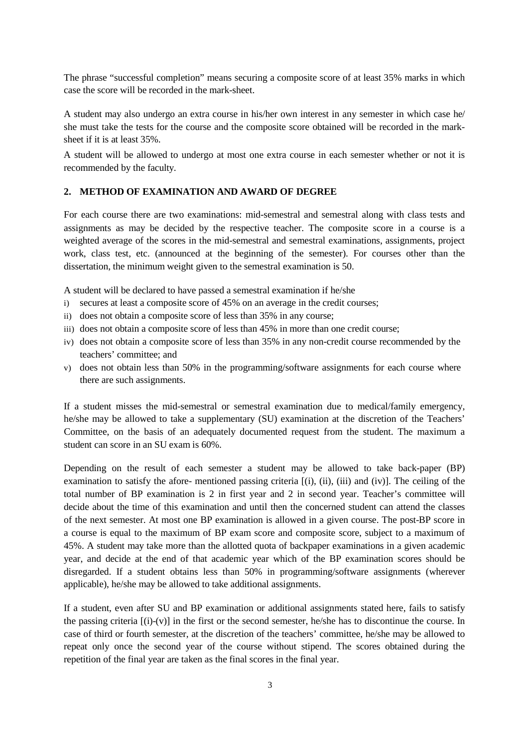The phrase "successful completion" means securing a composite score of at least 35% marks in which case the score will be recorded in the mark-sheet.

A student may also undergo an extra course in his/her own interest in any semester in which case he/ she must take the tests for the course and the composite score obtained will be recorded in the marksheet if it is at least 35%.

A student will be allowed to undergo at most one extra course in each semester whether or not it is recommended by the faculty.

#### **2. METHOD OF EXAMINATION AND AWARD OF DEGREE**

For each course there are two examinations: mid-semestral and semestral along with class tests and assignments as may be decided by the respective teacher. The composite score in a course is a weighted average of the scores in the mid-semestral and semestral examinations, assignments, project work, class test, etc. (announced at the beginning of the semester). For courses other than the dissertation, the minimum weight given to the semestral examination is 50.

A student will be declared to have passed a semestral examination if he/she

- i) secures at least a composite score of 45% on an average in the credit courses;
- ii) does not obtain a composite score of less than 35% in any course;
- iii) does not obtain a composite score of less than 45% in more than one credit course;
- iv) does not obtain a composite score of less than 35% in any non-credit course recommended by the teachers' committee; and
- v) does not obtain less than 50% in the programming/software assignments for each course where there are such assignments.

If a student misses the mid-semestral or semestral examination due to medical/family emergency, he/she may be allowed to take a supplementary (SU) examination at the discretion of the Teachers' Committee, on the basis of an adequately documented request from the student. The maximum a student can score in an SU exam is 60%.

Depending on the result of each semester a student may be allowed to take back-paper (BP) examination to satisfy the afore- mentioned passing criteria [(i), (ii), (iii) and (iv)]. The ceiling of the total number of BP examination is 2 in first year and 2 in second year. Teacher's committee will decide about the time of this examination and until then the concerned student can attend the classes of the next semester. At most one BP examination is allowed in a given course. The post-BP score in a course is equal to the maximum of BP exam score and composite score, subject to a maximum of 45%. A student may take more than the allotted quota of backpaper examinations in a given academic year, and decide at the end of that academic year which of the BP examination scores should be disregarded. If a student obtains less than 50% in programming/software assignments (wherever applicable), he/she may be allowed to take additional assignments.

If a student, even after SU and BP examination or additional assignments stated here, fails to satisfy the passing criteria  $[(i)-(v)]$  in the first or the second semester, he/she has to discontinue the course. In case of third or fourth semester, at the discretion of the teachers' committee, he/she may be allowed to repeat only once the second year of the course without stipend. The scores obtained during the repetition of the final year are taken as the final scores in the final year.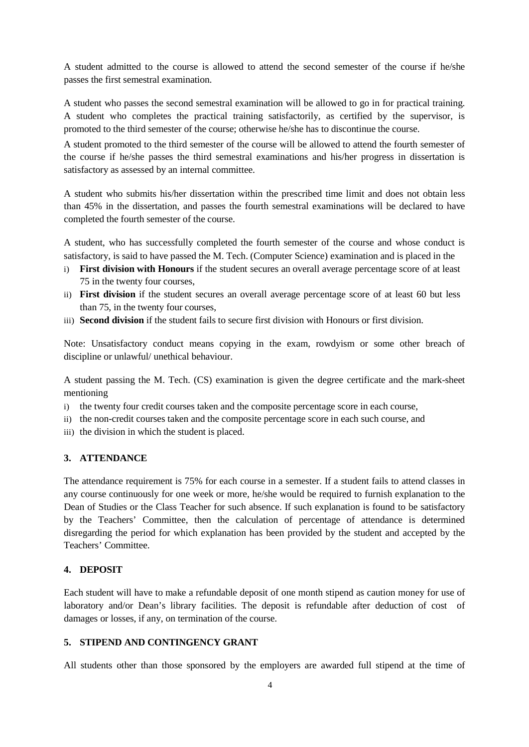A student admitted to the course is allowed to attend the second semester of the course if he/she passes the first semestral examination.

A student who passes the second semestral examination will be allowed to go in for practical training. A student who completes the practical training satisfactorily, as certified by the supervisor, is promoted to the third semester of the course; otherwise he/she has to discontinue the course.

A student promoted to the third semester of the course will be allowed to attend the fourth semester of the course if he/she passes the third semestral examinations and his/her progress in dissertation is satisfactory as assessed by an internal committee.

A student who submits his/her dissertation within the prescribed time limit and does not obtain less than 45% in the dissertation, and passes the fourth semestral examinations will be declared to have completed the fourth semester of the course.

A student, who has successfully completed the fourth semester of the course and whose conduct is satisfactory, is said to have passed the M. Tech. (Computer Science) examination and is placed in the

- i) **First division with Honours** if the student secures an overall average percentage score of at least 75 in the twenty four courses,
- ii) **First division** if the student secures an overall average percentage score of at least 60 but less than 75, in the twenty four courses,
- iii) **Second division** if the student fails to secure first division with Honours or first division.

Note: Unsatisfactory conduct means copying in the exam, rowdyism or some other breach of discipline or unlawful/ unethical behaviour.

A student passing the M. Tech. (CS) examination is given the degree certificate and the mark-sheet mentioning

- i) the twenty four credit courses taken and the composite percentage score in each course,
- ii) the non-credit courses taken and the composite percentage score in each such course, and
- iii) the division in which the student is placed.

## **3. ATTENDANCE**

The attendance requirement is 75% for each course in a semester. If a student fails to attend classes in any course continuously for one week or more, he/she would be required to furnish explanation to the Dean of Studies or the Class Teacher for such absence. If such explanation is found to be satisfactory by the Teachers' Committee, then the calculation of percentage of attendance is determined disregarding the period for which explanation has been provided by the student and accepted by the Teachers' Committee.

## **4. DEPOSIT**

Each student will have to make a refundable deposit of one month stipend as caution money for use of laboratory and/or Dean's library facilities. The deposit is refundable after deduction of cost of damages or losses, if any, on termination of the course.

## **5. STIPEND AND CONTINGENCY GRANT**

All students other than those sponsored by the employers are awarded full stipend at the time of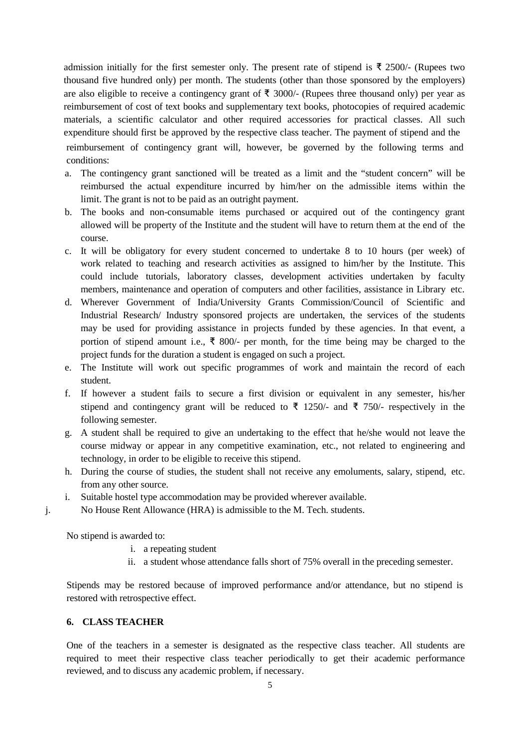admission initially for the first semester only. The present rate of stipend is ₹ 2500/- (Rupees two thousand five hundred only) per month. The students (other than those sponsored by the employers) are also eligible to receive a contingency grant of  $\bar{\tau}$  3000/- (Rupees three thousand only) per year as reimbursement of cost of text books and supplementary text books, photocopies of required academic materials, a scientific calculator and other required accessories for practical classes. All such expenditure should first be approved by the respective class teacher. The payment of stipend and the reimbursement of contingency grant will, however, be governed by the following terms and

conditions:

- a. The contingency grant sanctioned will be treated as a limit and the "student concern" will be reimbursed the actual expenditure incurred by him/her on the admissible items within the limit. The grant is not to be paid as an outright payment.
- b. The books and non-consumable items purchased or acquired out of the contingency grant allowed will be property of the Institute and the student will have to return them at the end of the course.
- c. It will be obligatory for every student concerned to undertake 8 to 10 hours (per week) of work related to teaching and research activities as assigned to him/her by the Institute. This could include tutorials, laboratory classes, development activities undertaken by faculty members, maintenance and operation of computers and other facilities, assistance in Library etc.
- d. Wherever Government of India/University Grants Commission/Council of Scientific and Industrial Research/ Industry sponsored projects are undertaken, the services of the students may be used for providing assistance in projects funded by these agencies. In that event, a portion of stipend amount i.e., ₹ 800/- per month, for the time being may be charged to the project funds for the duration a student is engaged on such a project.
- e. The Institute will work out specific programmes of work and maintain the record of each student.
- f. If however a student fails to secure a first division or equivalent in any semester, his/her stipend and contingency grant will be reduced to ₹ 1250/- and ₹ 750/- respectively in the following semester.
- g. A student shall be required to give an undertaking to the effect that he/she would not leave the course midway or appear in any competitive examination, etc., not related to engineering and technology, in order to be eligible to receive this stipend.
- h. During the course of studies, the student shall not receive any emoluments, salary, stipend, etc. from any other source.
- i. Suitable hostel type accommodation may be provided wherever available.
- j. No House Rent Allowance (HRA) is admissible to the M. Tech. students.

No stipend is awarded to:

- i. a repeating student
- ii. a student whose attendance falls short of 75% overall in the preceding semester.

Stipends may be restored because of improved performance and/or attendance, but no stipend is restored with retrospective effect.

## **6. CLASS TEACHER**

One of the teachers in a semester is designated as the respective class teacher. All students are required to meet their respective class teacher periodically to get their academic performance reviewed, and to discuss any academic problem, if necessary.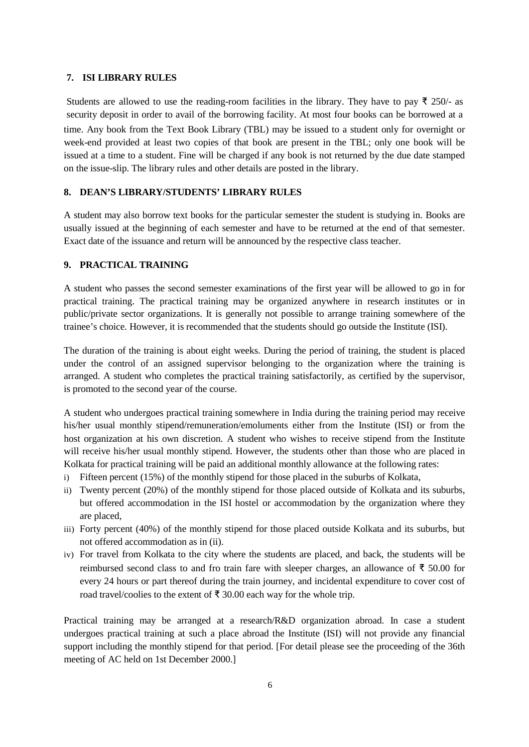#### **7. ISI LIBRARY RULES**

Students are allowed to use the reading-room facilities in the library. They have to pay  $\bar{\tau}$  250/- as security deposit in order to avail of the borrowing facility. At most four books can be borrowed at a time. Any book from the Text Book Library (TBL) may be issued to a student only for overnight or week-end provided at least two copies of that book are present in the TBL; only one book will be issued at a time to a student. Fine will be charged if any book is not returned by the due date stamped on the issue-slip. The library rules and other details are posted in the library.

## **8. DEAN'S LIBRARY/STUDENTS' LIBRARY RULES**

A student may also borrow text books for the particular semester the student is studying in. Books are usually issued at the beginning of each semester and have to be returned at the end of that semester. Exact date of the issuance and return will be announced by the respective class teacher.

#### **9. PRACTICAL TRAINING**

A student who passes the second semester examinations of the first year will be allowed to go in for practical training. The practical training may be organized anywhere in research institutes or in public/private sector organizations. It is generally not possible to arrange training somewhere of the trainee's choice. However, it is recommended that the students should go outside the Institute (ISI).

The duration of the training is about eight weeks. During the period of training, the student is placed under the control of an assigned supervisor belonging to the organization where the training is arranged. A student who completes the practical training satisfactorily, as certified by the supervisor, is promoted to the second year of the course.

A student who undergoes practical training somewhere in India during the training period may receive his/her usual monthly stipend/remuneration/emoluments either from the Institute (ISI) or from the host organization at his own discretion. A student who wishes to receive stipend from the Institute will receive his/her usual monthly stipend. However, the students other than those who are placed in Kolkata for practical training will be paid an additional monthly allowance at the following rates:

- i) Fifteen percent (15%) of the monthly stipend for those placed in the suburbs of Kolkata,
- ii) Twenty percent (20%) of the monthly stipend for those placed outside of Kolkata and its suburbs, but offered accommodation in the ISI hostel or accommodation by the organization where they are placed,
- iii) Forty percent (40%) of the monthly stipend for those placed outside Kolkata and its suburbs, but not offered accommodation as in (ii).
- iv) For travel from Kolkata to the city where the students are placed, and back, the students will be reimbursed second class to and fro train fare with sleeper charges, an allowance of ₹ 50.00 for every 24 hours or part thereof during the train journey, and incidental expenditure to cover cost of road travel/coolies to the extent of ₹ 30.00 each way for the whole trip.

Practical training may be arranged at a research/R&D organization abroad. In case a student undergoes practical training at such a place abroad the Institute (ISI) will not provide any financial support including the monthly stipend for that period. [For detail please see the proceeding of the 36th meeting of AC held on 1st December 2000.]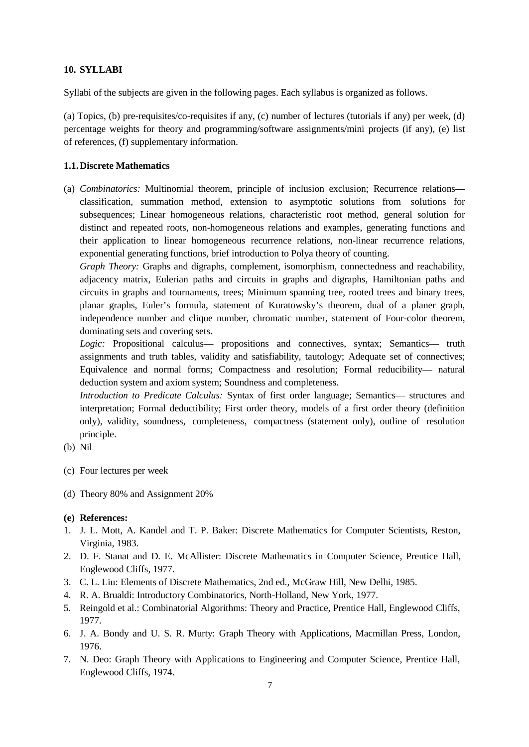## **10. SYLLABI**

Syllabi of the subjects are given in the following pages. Each syllabus is organized as follows.

(a) Topics, (b) pre-requisites/co-requisites if any, (c) number of lectures (tutorials if any) per week, (d) percentage weights for theory and programming/software assignments/mini projects (if any), (e) list of references, (f) supplementary information.

## **1.1.Discrete Mathematics**

(a) *Combinatorics:* Multinomial theorem, principle of inclusion exclusion; Recurrence relations classification, summation method, extension to asymptotic solutions from solutions for subsequences; Linear homogeneous relations, characteristic root method, general solution for distinct and repeated roots, non-homogeneous relations and examples, generating functions and their application to linear homogeneous recurrence relations, non-linear recurrence relations, exponential generating functions, brief introduction to Polya theory of counting.

*Graph Theory:* Graphs and digraphs, complement, isomorphism, connectedness and reachability, adjacency matrix, Eulerian paths and circuits in graphs and digraphs, Hamiltonian paths and circuits in graphs and tournaments, trees; Minimum spanning tree, rooted trees and binary trees, planar graphs, Euler's formula, statement of Kuratowsky's theorem, dual of a planer graph, independence number and clique number, chromatic number, statement of Four-color theorem, dominating sets and covering sets.

Logic: Propositional calculus— propositions and connectives, syntax; Semantics— truth assignments and truth tables, validity and satisfiability, tautology; Adequate set of connectives; Equivalence and normal forms; Compactness and resolution; Formal reducibility— natural deduction system and axiom system; Soundness and completeness.

*Introduction to Predicate Calculus:* Syntax of first order language; Semantics— structures and interpretation; Formal deductibility; First order theory, models of a first order theory (definition only), validity, soundness, completeness, compactness (statement only), outline of resolution principle.

- (b) Nil
- (c) Four lectures per week
- (d) Theory 80% and Assignment 20%

- 1. J. L. Mott, A. Kandel and T. P. Baker: Discrete Mathematics for Computer Scientists, Reston, Virginia, 1983.
- 2. D. F. Stanat and D. E. McAllister: Discrete Mathematics in Computer Science, Prentice Hall, Englewood Cliffs, 1977.
- 3. C. L. Liu: Elements of Discrete Mathematics, 2nd ed., McGraw Hill, New Delhi, 1985.
- 4. R. A. Brualdi: Introductory Combinatorics, North-Holland, New York, 1977.
- 5. Reingold et al.: Combinatorial Algorithms: Theory and Practice, Prentice Hall, Englewood Cliffs, 1977.
- 6. J. A. Bondy and U. S. R. Murty: Graph Theory with Applications, Macmillan Press, London, 1976.
- 7. N. Deo: Graph Theory with Applications to Engineering and Computer Science, Prentice Hall, Englewood Cliffs, 1974.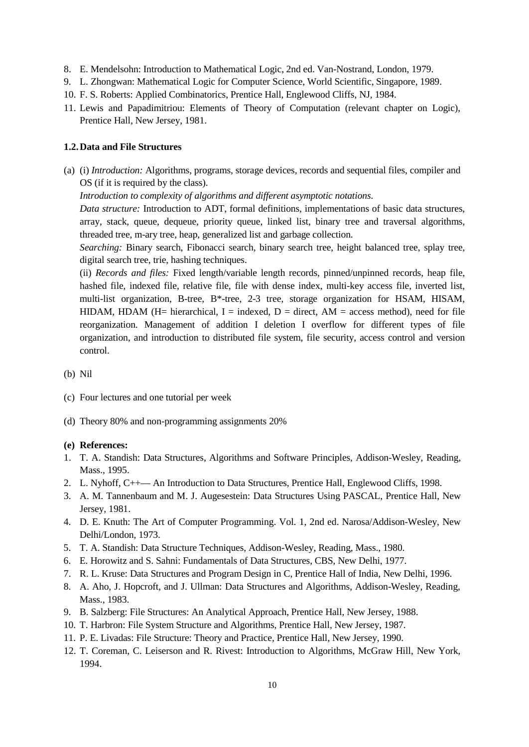- 8. E. Mendelsohn: Introduction to Mathematical Logic, 2nd ed. Van-Nostrand, London, 1979.
- 9. L. Zhongwan: Mathematical Logic for Computer Science, World Scientific, Singapore, 1989.
- 10. F. S. Roberts: Applied Combinatorics, Prentice Hall, Englewood Cliffs, NJ, 1984.
- 11. Lewis and Papadimitriou: Elements of Theory of Computation (relevant chapter on Logic), Prentice Hall, New Jersey, 1981.

#### **1.2.Data and File Structures**

(a) (i) *Introduction:* Algorithms, programs, storage devices, records and sequential files, compiler and OS (if it is required by the class).

*Introduction to complexity of algorithms and different asymptotic notations.*

*Data structure:* Introduction to ADT, formal definitions, implementations of basic data structures, array, stack, queue, dequeue, priority queue, linked list, binary tree and traversal algorithms, threaded tree, m-ary tree, heap, generalized list and garbage collection.

*Searching:* Binary search, Fibonacci search, binary search tree, height balanced tree, splay tree, digital search tree, trie, hashing techniques.

(ii) *Records and files:* Fixed length/variable length records, pinned/unpinned records, heap file, hashed file, indexed file, relative file, file with dense index, multi-key access file, inverted list, multi-list organization, B-tree, B\*-tree, 2-3 tree, storage organization for HSAM, HISAM, HIDAM, HDAM (H= hierarchical, I = indexed, D = direct, AM = access method), need for file reorganization. Management of addition I deletion I overflow for different types of file organization, and introduction to distributed file system, file security, access control and version control.

- (b) Nil
- (c) Four lectures and one tutorial per week
- (d) Theory 80% and non-programming assignments 20%

- 1. T. A. Standish: Data Structures, Algorithms and Software Principles, Addison-Wesley, Reading, Mass., 1995.
- 2. L. Nyhoff, C++— An Introduction to Data Structures, Prentice Hall, Englewood Cliffs, 1998.
- 3. A. M. Tannenbaum and M. J. Augesestein: Data Structures Using PASCAL, Prentice Hall, New Jersey, 1981.
- 4. D. E. Knuth: The Art of Computer Programming. Vol. 1, 2nd ed. Narosa/Addison-Wesley, New Delhi/London, 1973.
- 5. T. A. Standish: Data Structure Techniques, Addison-Wesley, Reading, Mass., 1980.
- 6. E. Horowitz and S. Sahni: Fundamentals of Data Structures, CBS, New Delhi, 1977.
- 7. R. L. Kruse: Data Structures and Program Design in C, Prentice Hall of India, New Delhi, 1996.
- 8. A. Aho, J. Hopcroft, and J. Ullman: Data Structures and Algorithms, Addison-Wesley, Reading, Mass., 1983.
- 9. B. Salzberg: File Structures: An Analytical Approach, Prentice Hall, New Jersey, 1988.
- 10. T. Harbron: File System Structure and Algorithms, Prentice Hall, New Jersey, 1987.
- 11. P. E. Livadas: File Structure: Theory and Practice, Prentice Hall, New Jersey, 1990.
- 12. T. Coreman, C. Leiserson and R. Rivest: Introduction to Algorithms, McGraw Hill, New York, 1994.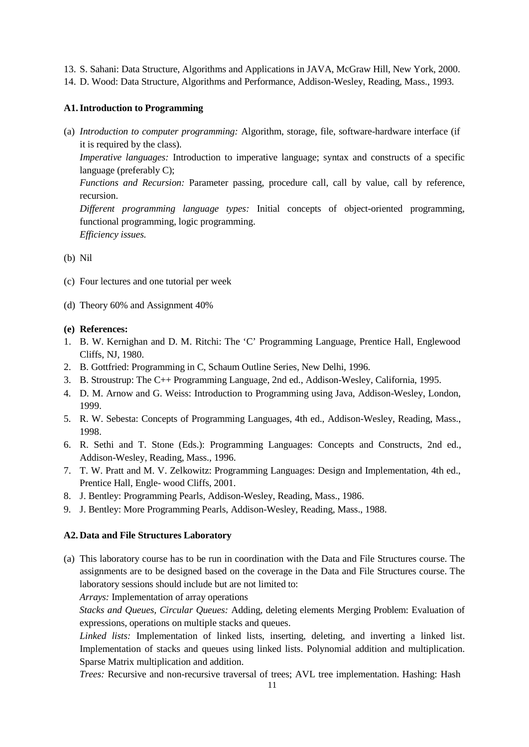- 13. S. Sahani: Data Structure, Algorithms and Applications in JAVA, McGraw Hill, New York, 2000.
- 14. D. Wood: Data Structure, Algorithms and Performance, Addison-Wesley, Reading, Mass., 1993.

#### **A1.Introduction to Programming**

(a) *Introduction to computer programming:* Algorithm, storage, file, software-hardware interface (if it is required by the class).

*Imperative languages:* Introduction to imperative language; syntax and constructs of a specific language (preferably C);

*Functions and Recursion:* Parameter passing, procedure call, call by value, call by reference, recursion.

*Different programming language types:* Initial concepts of object-oriented programming, functional programming, logic programming. *Efficiency issues.*

(b) Nil

- (c) Four lectures and one tutorial per week
- (d) Theory 60% and Assignment 40%

## **(e) References:**

- 1. B. W. Kernighan and D. M. Ritchi: The 'C' Programming Language, Prentice Hall, Englewood Cliffs, NJ, 1980.
- 2. B. Gottfried: Programming in C, Schaum Outline Series, New Delhi, 1996.
- 3. B. Stroustrup: The C++ Programming Language, 2nd ed., Addison-Wesley, California, 1995.
- 4. D. M. Arnow and G. Weiss: Introduction to Programming using Java, Addison-Wesley, London, 1999.
- 5. R. W. Sebesta: Concepts of Programming Languages, 4th ed., Addison-Wesley, Reading, Mass., 1998.
- 6. R. Sethi and T. Stone (Eds.): Programming Languages: Concepts and Constructs, 2nd ed., Addison-Wesley, Reading, Mass., 1996.
- 7. T. W. Pratt and M. V. Zelkowitz: Programming Languages: Design and Implementation, 4th ed., Prentice Hall, Engle- wood Cliffs, 2001.
- 8. J. Bentley: Programming Pearls, Addison-Wesley, Reading, Mass., 1986.
- 9. J. Bentley: More Programming Pearls, Addison-Wesley, Reading, Mass., 1988.

## **A2. Data and File Structures Laboratory**

(a) This laboratory course has to be run in coordination with the Data and File Structures course. The assignments are to be designed based on the coverage in the Data and File Structures course. The laboratory sessions should include but are not limited to:

*Arrays:* Implementation of array operations

*Stacks and Queues, Circular Queues:* Adding, deleting elements Merging Problem: Evaluation of expressions, operations on multiple stacks and queues.

*Linked lists:* Implementation of linked lists, inserting, deleting, and inverting a linked list. Implementation of stacks and queues using linked lists. Polynomial addition and multiplication. Sparse Matrix multiplication and addition.

*Trees:* Recursive and non-recursive traversal of trees; AVL tree implementation. Hashing: Hash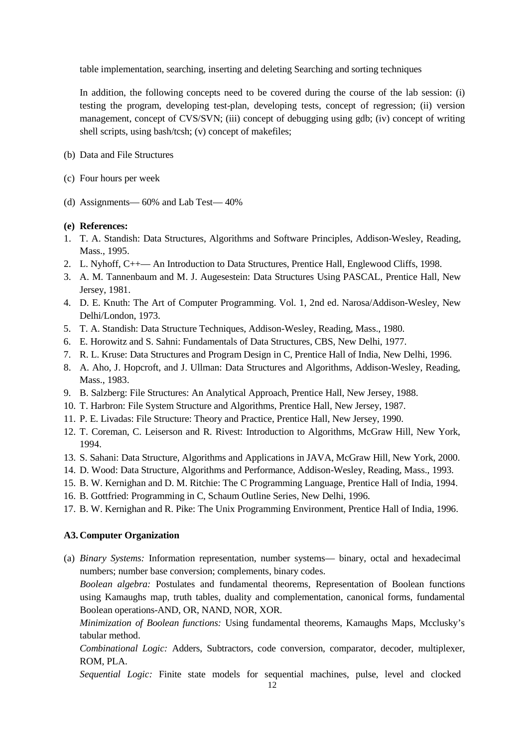table implementation, searching, inserting and deleting Searching and sorting techniques

In addition, the following concepts need to be covered during the course of the lab session: (i) testing the program, developing test-plan, developing tests, concept of regression; (ii) version management, concept of CVS/SVN; (iii) concept of debugging using gdb; (iv) concept of writing shell scripts, using bash/tcsh; (v) concept of makefiles;

- (b) Data and File Structures
- (c) Four hours per week
- (d) Assignments— 60% and Lab Test— 40%

#### **(e) References:**

- 1. T. A. Standish: Data Structures, Algorithms and Software Principles, Addison-Wesley, Reading, Mass., 1995.
- 2. L. Nyhoff, C++— An Introduction to Data Structures, Prentice Hall, Englewood Cliffs, 1998.
- 3. A. M. Tannenbaum and M. J. Augesestein: Data Structures Using PASCAL, Prentice Hall, New Jersey, 1981.
- 4. D. E. Knuth: The Art of Computer Programming. Vol. 1, 2nd ed. Narosa/Addison-Wesley, New Delhi/London, 1973.
- 5. T. A. Standish: Data Structure Techniques, Addison-Wesley, Reading, Mass., 1980.
- 6. E. Horowitz and S. Sahni: Fundamentals of Data Structures, CBS, New Delhi, 1977.
- 7. R. L. Kruse: Data Structures and Program Design in C, Prentice Hall of India, New Delhi, 1996.
- 8. A. Aho, J. Hopcroft, and J. Ullman: Data Structures and Algorithms, Addison-Wesley, Reading, Mass., 1983.
- 9. B. Salzberg: File Structures: An Analytical Approach, Prentice Hall, New Jersey, 1988.
- 10. T. Harbron: File System Structure and Algorithms, Prentice Hall, New Jersey, 1987.
- 11. P. E. Livadas: File Structure: Theory and Practice, Prentice Hall, New Jersey, 1990.
- 12. T. Coreman, C. Leiserson and R. Rivest: Introduction to Algorithms, McGraw Hill, New York, 1994.
- 13. S. Sahani: Data Structure, Algorithms and Applications in JAVA, McGraw Hill, New York, 2000.
- 14. D. Wood: Data Structure, Algorithms and Performance, Addison-Wesley, Reading, Mass., 1993.
- 15. B. W. Kernighan and D. M. Ritchie: The C Programming Language, Prentice Hall of India, 1994.
- 16. B. Gottfried: Programming in C, Schaum Outline Series, New Delhi, 1996.
- 17. B. W. Kernighan and R. Pike: The Unix Programming Environment, Prentice Hall of India, 1996.

## **A3. Computer Organization**

(a) *Binary Systems:* Information representation, number systems— binary, octal and hexadecimal numbers; number base conversion; complements, binary codes.

*Boolean algebra:* Postulates and fundamental theorems, Representation of Boolean functions using Kamaughs map, truth tables, duality and complementation, canonical forms, fundamental Boolean operations-AND, OR, NAND, NOR, XOR.

*Minimization of Boolean functions:* Using fundamental theorems, Kamaughs Maps, Mcclusky's tabular method.

*Combinational Logic:* Adders, Subtractors, code conversion, comparator, decoder, multiplexer, ROM, PLA.

*Sequential Logic:* Finite state models for sequential machines, pulse, level and clocked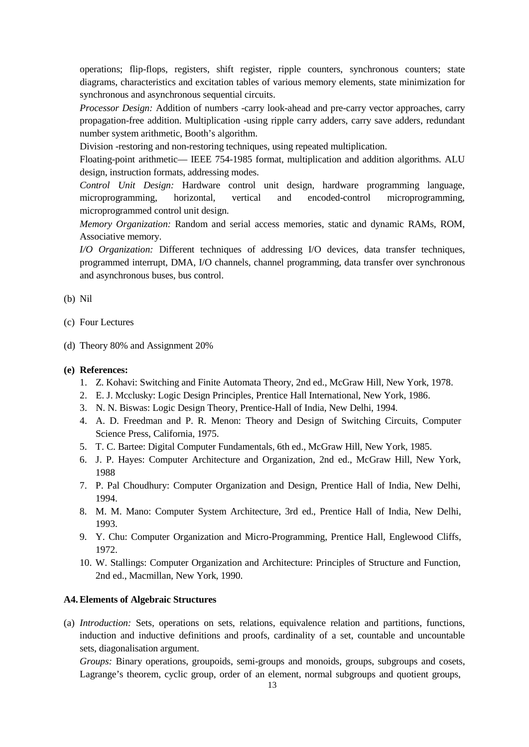operations; flip-flops, registers, shift register, ripple counters, synchronous counters; state diagrams, characteristics and excitation tables of various memory elements, state minimization for synchronous and asynchronous sequential circuits.

*Processor Design:* Addition of numbers -carry look-ahead and pre-carry vector approaches, carry propagation-free addition. Multiplication -using ripple carry adders, carry save adders, redundant number system arithmetic, Booth's algorithm.

Division -restoring and non-restoring techniques, using repeated multiplication.

Floating-point arithmetic— IEEE 754-1985 format, multiplication and addition algorithms. ALU design, instruction formats, addressing modes.

*Control Unit Design:* Hardware control unit design, hardware programming language, microprogramming, horizontal, vertical and encoded-control microprogramming, microprogrammed control unit design.

*Memory Organization:* Random and serial access memories, static and dynamic RAMs, ROM, Associative memory.

*I/O Organization:* Different techniques of addressing I/O devices, data transfer techniques, programmed interrupt, DMA, I/O channels, channel programming, data transfer over synchronous and asynchronous buses, bus control.

## (b) Nil

- (c) Four Lectures
- (d) Theory 80% and Assignment 20%

#### **(e) References:**

- 1. Z. Kohavi: Switching and Finite Automata Theory, 2nd ed., McGraw Hill, New York, 1978.
- 2. E. J. Mcclusky: Logic Design Principles, Prentice Hall International, New York, 1986.
- 3. N. N. Biswas: Logic Design Theory, Prentice-Hall of India, New Delhi, 1994.
- 4. A. D. Freedman and P. R. Menon: Theory and Design of Switching Circuits, Computer Science Press, California, 1975.
- 5. T. C. Bartee: Digital Computer Fundamentals, 6th ed., McGraw Hill, New York, 1985.
- 6. J. P. Hayes: Computer Architecture and Organization, 2nd ed., McGraw Hill, New York, 1988
- 7. P. Pal Choudhury: Computer Organization and Design, Prentice Hall of India, New Delhi, 1994.
- 8. M. M. Mano: Computer System Architecture, 3rd ed., Prentice Hall of India, New Delhi, 1993.
- 9. Y. Chu: Computer Organization and Micro-Programming, Prentice Hall, Englewood Cliffs, 1972.
- 10. W. Stallings: Computer Organization and Architecture: Principles of Structure and Function, 2nd ed., Macmillan, New York, 1990.

## **A4.Elements of Algebraic Structures**

(a) *Introduction:* Sets, operations on sets, relations, equivalence relation and partitions, functions, induction and inductive definitions and proofs, cardinality of a set, countable and uncountable sets, diagonalisation argument.

*Groups:* Binary operations, groupoids, semi-groups and monoids, groups, subgroups and cosets, Lagrange's theorem, cyclic group, order of an element, normal subgroups and quotient groups,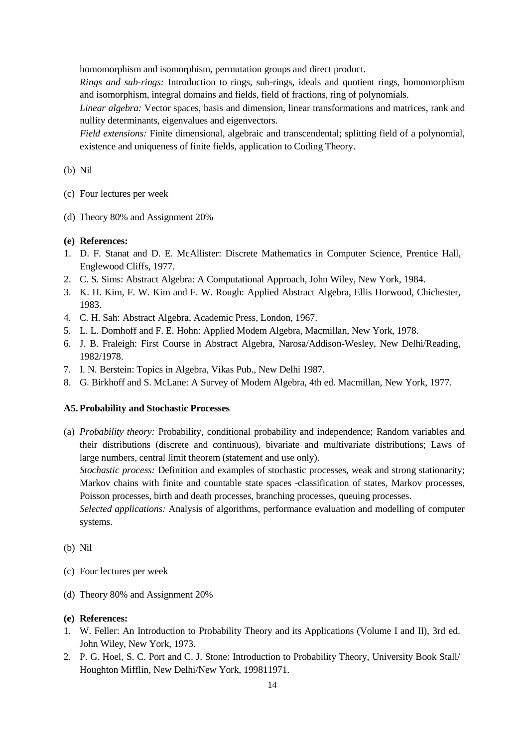homomorphism and isomorphism, permutation groups and direct product.

*Rings and sub-rings:* Introduction to rings, sub-rings, ideals and quotient rings, homomorphism and isomorphism, integral domains and fields, field of fractions, ring of polynomials.

*Linear algebra:* Vector spaces, basis and dimension, linear transformations and matrices, rank and nullity determinants, eigenvalues and eigenvectors.

*Field extensions:* Finite dimensional, algebraic and transcendental; splitting field of a polynomial, existence and uniqueness of finite fields, application to Coding Theory.

(b) Nil

- (c) Four lectures per week
- (d) Theory 80% and Assignment 20%

#### **(e) References:**

- 1. D. F. Stanat and D. E. McAllister: Discrete Mathematics in Computer Science, Prentice Hall, Englewood Cliffs, 1977.
- 2. C. S. Sims: Abstract Algebra: A Computational Approach, John Wiley, New York, 1984.
- 3. K. H. Kim, F. W. Kim and F. W. Rough: Applied Abstract Algebra, Ellis Horwood, Chichester, 1983.
- 4. C. H. Sah: Abstract Algebra, Academic Press, London, 1967.
- 5. L. L. Domhoff and F. E. Hohn: Applied Modem Algebra, Macmillan, New York, 1978.
- 6. J. B. Fraleigh: First Course in Abstract Algebra, Narosa/Addison-Wesley, New Delhi/Reading, 1982/1978.
- 7. I. N. Berstein: Topics in Algebra, Vikas Pub., New Delhi 1987.
- 8. G. Birkhoff and S. McLane: A Survey of Modem Algebra, 4th ed. Macmillan, New York, 1977.

## **A5.Probability and Stochastic Processes**

(a) *Probability theory:* Probability, conditional probability and independence; Random variables and their distributions (discrete and continuous), bivariate and multivariate distributions; Laws of large numbers, central limit theorem (statement and use only).

*Stochastic process:* Definition and examples of stochastic processes, weak and strong stationarity; Markov chains with finite and countable state spaces -classification of states, Markov processes, Poisson processes, birth and death processes, branching processes, queuing processes.

*Selected applications:* Analysis of algorithms, performance evaluation and modelling of computer systems.

(b) Nil

- (c) Four lectures per week
- (d) Theory 80% and Assignment 20%

- 1. W. Feller: An Introduction to Probability Theory and its Applications (Volume I and II), 3rd ed. John Wiley, New York, 1973.
- 2. P. G. Hoel, S. C. Port and C. J. Stone: Introduction to Probability Theory, University Book Stall/ Houghton Mifflin, New Delhi/New York, 199811971.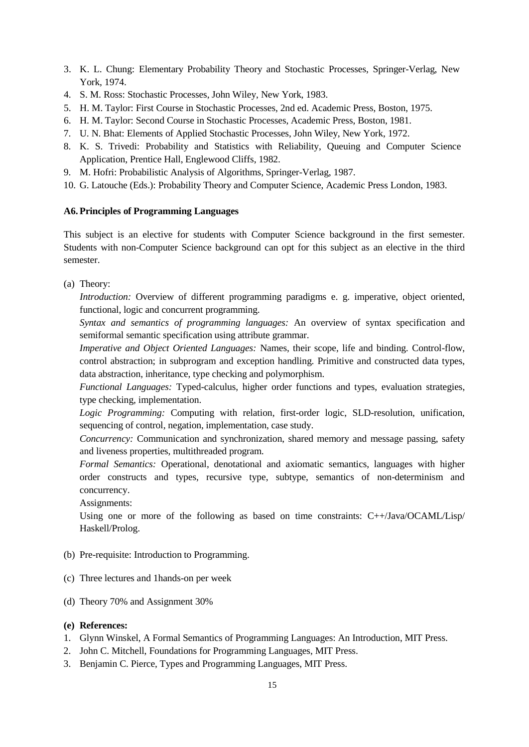- 3. K. L. Chung: Elementary Probability Theory and Stochastic Processes, Springer-Verlag, New York, 1974.
- 4. S. M. Ross: Stochastic Processes, John Wiley, New York, 1983.
- 5. H. M. Taylor: First Course in Stochastic Processes, 2nd ed. Academic Press, Boston, 1975.
- 6. H. M. Taylor: Second Course in Stochastic Processes, Academic Press, Boston, 1981.
- 7. U. N. Bhat: Elements of Applied Stochastic Processes, John Wiley, New York, 1972.
- 8. K. S. Trivedi: Probability and Statistics with Reliability, Queuing and Computer Science Application, Prentice Hall, Englewood Cliffs, 1982.
- 9. M. Hofri: Probabilistic Analysis of Algorithms, Springer-Verlag, 1987.
- 10. G. Latouche (Eds.): Probability Theory and Computer Science, Academic Press London, 1983.

## **A6.Principles of Programming Languages**

This subject is an elective for students with Computer Science background in the first semester. Students with non-Computer Science background can opt for this subject as an elective in the third semester.

(a) Theory:

*Introduction:* Overview of different programming paradigms e. g. imperative, object oriented, functional, logic and concurrent programming.

*Syntax and semantics of programming languages:* An overview of syntax specification and semiformal semantic specification using attribute grammar.

*Imperative and Object Oriented Languages:* Names, their scope, life and binding. Control-flow, control abstraction; in subprogram and exception handling. Primitive and constructed data types, data abstraction, inheritance, type checking and polymorphism.

*Functional Languages:* Typed-calculus, higher order functions and types, evaluation strategies, type checking, implementation.

*Logic Programming:* Computing with relation, first-order logic, SLD-resolution, unification, sequencing of control, negation, implementation, case study.

*Concurrency:* Communication and synchronization, shared memory and message passing, safety and liveness properties, multithreaded program.

*Formal Semantics:* Operational, denotational and axiomatic semantics, languages with higher order constructs and types, recursive type, subtype, semantics of non-determinism and concurrency.

Assignments:

Using one or more of the following as based on time constraints: C++/Java/OCAML/Lisp/ Haskell/Prolog.

- (b) Pre-requisite: Introduction to Programming.
- (c) Three lectures and 1hands-on per week
- (d) Theory 70% and Assignment 30%

- 1. Glynn Winskel, A Formal Semantics of Programming Languages: An Introduction, MIT Press.
- 2. John C. Mitchell, Foundations for Programming Languages, MIT Press.
- 3. Benjamin C. Pierce, Types and Programming Languages, MIT Press.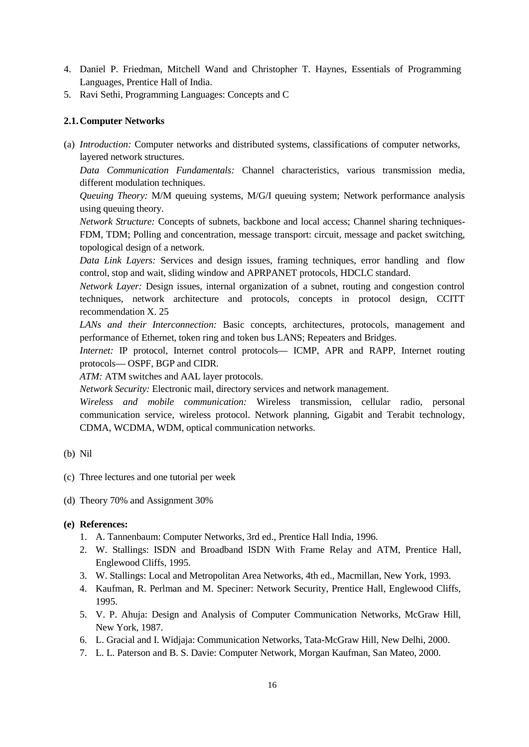- 4. Daniel P. Friedman, Mitchell Wand and Christopher T. Haynes, Essentials of Programming Languages, Prentice Hall of India.
- 5. Ravi Sethi, Programming Languages: Concepts and C

## **2.1.Computer Networks**

(a) *Introduction:* Computer networks and distributed systems, classifications of computer networks, layered network structures.

*Data Communication Fundamentals:* Channel characteristics, various transmission media, different modulation techniques.

*Queuing Theory:* M/M queuing systems, M/G/I queuing system; Network performance analysis using queuing theory.

*Network Structure:* Concepts of subnets, backbone and local access; Channel sharing techniques-FDM, TDM; Polling and concentration, message transport: circuit, message and packet switching, topological design of a network.

*Data Link Layers:* Services and design issues, framing techniques, error handling and flow control, stop and wait, sliding window and APRPANET protocols, HDCLC standard.

*Network Layer:* Design issues, internal organization of a subnet, routing and congestion control techniques, network architecture and protocols, concepts in protocol design, CCITT recommendation X. 25

*LANs and their Interconnection:* Basic concepts, architectures, protocols, management and performance of Ethernet, token ring and token bus LANS; Repeaters and Bridges.

*Internet:* IP protocol, Internet control protocols— ICMP, APR and RAPP, Internet routing protocols— OSPF, BGP and CIDR.

*ATM:* ATM switches and AAL layer protocols.

*Network Security:* Electronic mail, directory services and network management.

*Wireless and mobile communication:* Wireless transmission, cellular radio, personal communication service, wireless protocol. Network planning, Gigabit and Terabit technology, CDMA, WCDMA, WDM, optical communication networks.

- (b) Nil
- (c) Three lectures and one tutorial per week
- (d) Theory 70% and Assignment 30%

- 1. A. Tannenbaum: Computer Networks, 3rd ed., Prentice Hall India, 1996.
- 2. W. Stallings: ISDN and Broadband ISDN With Frame Relay and ATM, Prentice Hall, Englewood Cliffs, 1995.
- 3. W. Stallings: Local and Metropolitan Area Networks, 4th ed., Macmillan, New York, 1993.
- 4. Kaufman, R. Perlman and M. Speciner: Network Security, Prentice Hall, Englewood Cliffs, 1995.
- 5. V. P. Ahuja: Design and Analysis of Computer Communication Networks, McGraw Hill, New York, 1987.
- 6. L. Gracial and I. Widjaja: Communication Networks, Tata-McGraw Hill, New Delhi, 2000.
- 7. L. L. Paterson and B. S. Davie: Computer Network, Morgan Kaufman, San Mateo, 2000.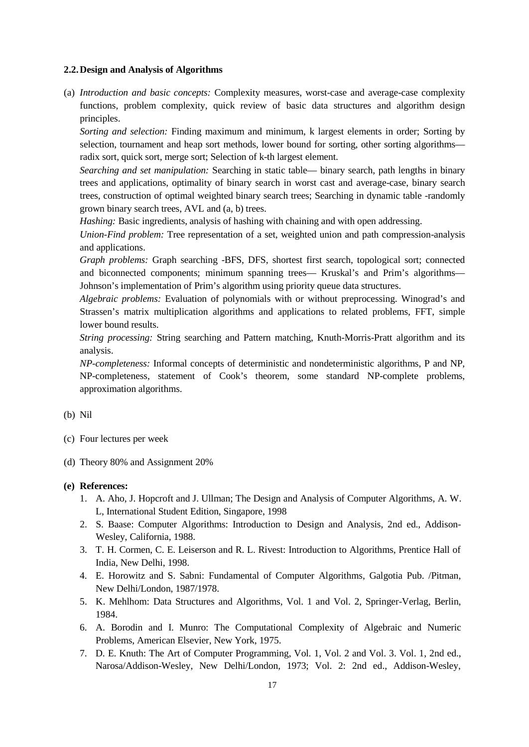#### **2.2.Design and Analysis of Algorithms**

(a) *Introduction and basic concepts:* Complexity measures, worst-case and average-case complexity functions, problem complexity, quick review of basic data structures and algorithm design principles.

*Sorting and selection:* Finding maximum and minimum, k largest elements in order; Sorting by selection, tournament and heap sort methods, lower bound for sorting, other sorting algorithms radix sort, quick sort, merge sort; Selection of k-th largest element.

*Searching and set manipulation:* Searching in static table— binary search, path lengths in binary trees and applications, optimality of binary search in worst cast and average-case, binary search trees, construction of optimal weighted binary search trees; Searching in dynamic table -randomly grown binary search trees, AVL and (a, b) trees.

*Hashing:* Basic ingredients, analysis of hashing with chaining and with open addressing.

*Union-Find problem:* Tree representation of a set, weighted union and path compression-analysis and applications.

*Graph problems:* Graph searching -BFS, DFS, shortest first search, topological sort; connected and biconnected components; minimum spanning trees— Kruskal's and Prim's algorithms— Johnson's implementation of Prim's algorithm using priority queue data structures.

*Algebraic problems:* Evaluation of polynomials with or without preprocessing. Winograd's and Strassen's matrix multiplication algorithms and applications to related problems, FFT, simple lower bound results.

*String processing:* String searching and Pattern matching, Knuth-Morris-Pratt algorithm and its analysis.

*NP-completeness:* Informal concepts of deterministic and nondeterministic algorithms, P and NP, NP-completeness, statement of Cook's theorem, some standard NP-complete problems, approximation algorithms.

#### (b) Nil

- (c) Four lectures per week
- (d) Theory 80% and Assignment 20%

- 1. A. Aho, J. Hopcroft and J. Ullman; The Design and Analysis of Computer Algorithms, A. W. L, International Student Edition, Singapore, 1998
- 2. S. Baase: Computer Algorithms: Introduction to Design and Analysis, 2nd ed., Addison-Wesley, California, 1988.
- 3. T. H. Cormen, C. E. Leiserson and R. L. Rivest: Introduction to Algorithms, Prentice Hall of India, New Delhi, 1998.
- 4. E. Horowitz and S. Sabni: Fundamental of Computer Algorithms, Galgotia Pub. /Pitman, New Delhi/London, 1987/1978.
- 5. K. Mehlhom: Data Structures and Algorithms, Vol. 1 and Vol. 2, Springer-Verlag, Berlin, 1984.
- 6. A. Borodin and I. Munro: The Computational Complexity of Algebraic and Numeric Problems, American Elsevier, New York, 1975.
- 7. D. E. Knuth: The Art of Computer Programming, Vol. 1, Vol. 2 and Vol. 3. Vol. 1, 2nd ed., Narosa/Addison-Wesley, New Delhi/London, 1973; Vol. 2: 2nd ed., Addison-Wesley,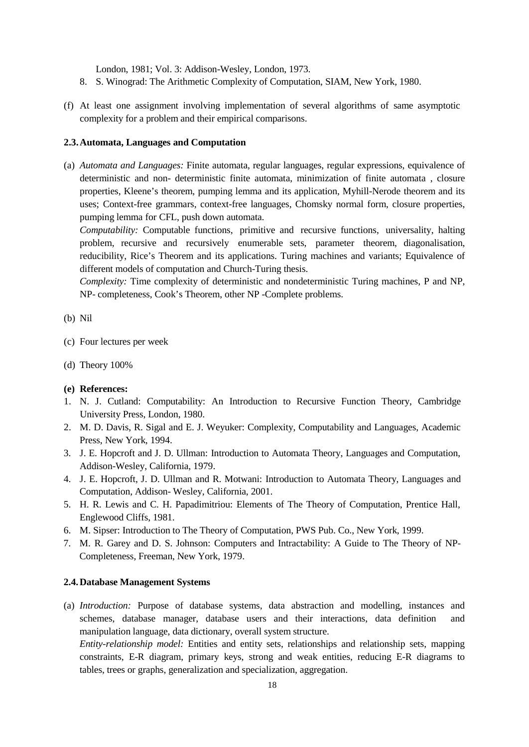London, 1981; Vol. 3: Addison-Wesley, London, 1973.

- 8. S. Winograd: The Arithmetic Complexity of Computation, SIAM, New York, 1980.
- (f) At least one assignment involving implementation of several algorithms of same asymptotic complexity for a problem and their empirical comparisons.

## **2.3.Automata, Languages and Computation**

(a) *Automata and Languages:* Finite automata, regular languages, regular expressions, equivalence of deterministic and non- deterministic finite automata, minimization of finite automata , closure properties, Kleene's theorem, pumping lemma and its application, Myhill-Nerode theorem and its uses; Context-free grammars, context-free languages, Chomsky normal form, closure properties, pumping lemma for CFL, push down automata.

*Computability:* Computable functions, primitive and recursive functions, universality, halting problem, recursive and recursively enumerable sets, parameter theorem, diagonalisation, reducibility, Rice's Theorem and its applications. Turing machines and variants; Equivalence of different models of computation and Church-Turing thesis.

*Complexity:* Time complexity of deterministic and nondeterministic Turing machines, P and NP, NP- completeness, Cook's Theorem, other NP -Complete problems.

#### (b) Nil

- (c) Four lectures per week
- (d) Theory 100%

#### **(e) References:**

- 1. N. J. Cutland: Computability: An Introduction to Recursive Function Theory, Cambridge University Press, London, 1980.
- 2. M. D. Davis, R. Sigal and E. J. Weyuker: Complexity, Computability and Languages, Academic Press, New York, 1994.
- 3. J. E. Hopcroft and J. D. Ullman: Introduction to Automata Theory, Languages and Computation, Addison-Wesley, California, 1979.
- 4. J. E. Hopcroft, J. D. Ullman and R. Motwani: Introduction to Automata Theory, Languages and Computation, Addison- Wesley, California, 2001.
- 5. H. R. Lewis and C. H. Papadimitriou: Elements of The Theory of Computation, Prentice Hall, Englewood Cliffs, 1981.
- 6. M. Sipser: Introduction to The Theory of Computation, PWS Pub. Co., New York, 1999.
- 7. M. R. Garey and D. S. Johnson: Computers and Intractability: A Guide to The Theory of NP-Completeness, Freeman, New York, 1979.

## **2.4.Database Management Systems**

(a) *Introduction:* Purpose of database systems, data abstraction and modelling, instances and schemes, database manager, database users and their interactions, data definition and manipulation language, data dictionary, overall system structure.

*Entity-relationship model:* Entities and entity sets, relationships and relationship sets, mapping constraints, E-R diagram, primary keys, strong and weak entities, reducing E-R diagrams to tables, trees or graphs, generalization and specialization, aggregation.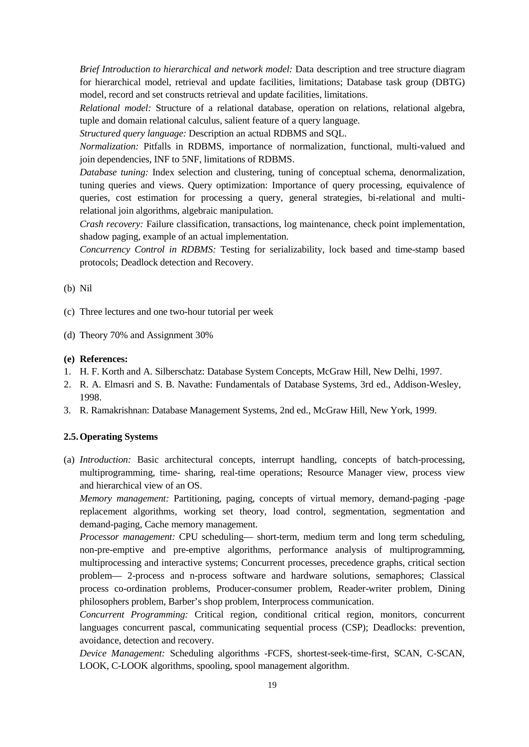*Brief Introduction to hierarchical and network model:* Data description and tree structure diagram for hierarchical model, retrieval and update facilities, limitations; Database task group (DBTG) model, record and set constructs retrieval and update facilities, limitations.

*Relational model:* Structure of a relational database, operation on relations, relational algebra, tuple and domain relational calculus, salient feature of a query language.

*Structured query language:* Description an actual RDBMS and SQL.

*Normalization:* Pitfalls in RDBMS, importance of normalization, functional, multi-valued and join dependencies, INF to 5NF, limitations of RDBMS.

*Database tuning:* Index selection and clustering, tuning of conceptual schema, denormalization, tuning queries and views. Query optimization: Importance of query processing, equivalence of queries, cost estimation for processing a query, general strategies, bi-relational and multirelational join algorithms, algebraic manipulation.

*Crash recovery:* Failure classification, transactions, log maintenance, check point implementation, shadow paging, example of an actual implementation.

*Concurrency Control in RDBMS:* Testing for serializability, lock based and time-stamp based protocols; Deadlock detection and Recovery.

- (b) Nil
- (c) Three lectures and one two-hour tutorial per week
- (d) Theory 70% and Assignment 30%
- **(e) References:**
- 1. H. F. Korth and A. Silberschatz: Database System Concepts, McGraw Hill, New Delhi, 1997.
- 2. R. A. Elmasri and S. B. Navathe: Fundamentals of Database Systems, 3rd ed., Addison-Wesley, 1998.
- 3. R. Ramakrishnan: Database Management Systems, 2nd ed., McGraw Hill, New York, 1999.

## **2.5.Operating Systems**

(a) *Introduction:* Basic architectural concepts, interrupt handling, concepts of batch-processing, multiprogramming, time- sharing, real-time operations; Resource Manager view, process view and hierarchical view of an OS.

*Memory management:* Partitioning, paging, concepts of virtual memory, demand-paging -page replacement algorithms, working set theory, load control, segmentation, segmentation and demand-paging, Cache memory management.

*Processor management:* CPU scheduling— short-term, medium term and long term scheduling, non-pre-emptive and pre-emptive algorithms, performance analysis of multiprogramming, multiprocessing and interactive systems; Concurrent processes, precedence graphs, critical section problem— 2-process and n-process software and hardware solutions, semaphores; Classical process co-ordination problems, Producer-consumer problem, Reader-writer problem, Dining philosophers problem, Barber's shop problem, Interprocess communication.

*Concurrent Programming:* Critical region, conditional critical region, monitors, concurrent languages concurrent pascal, communicating sequential process (CSP); Deadlocks: prevention, avoidance, detection and recovery.

*Device Management:* Scheduling algorithms -FCFS, shortest-seek-time-first, SCAN, C-SCAN, LOOK, C-LOOK algorithms, spooling, spool management algorithm.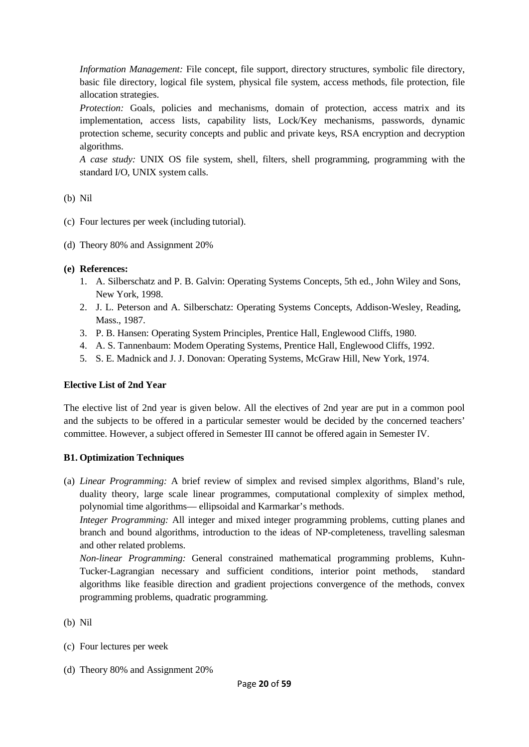*Information Management:* File concept, file support, directory structures, symbolic file directory, basic file directory, logical file system, physical file system, access methods, file protection, file allocation strategies.

*Protection:* Goals, policies and mechanisms, domain of protection, access matrix and its implementation, access lists, capability lists, Lock/Key mechanisms, passwords, dynamic protection scheme, security concepts and public and private keys, RSA encryption and decryption algorithms.

*A case study:* UNIX OS file system, shell, filters, shell programming, programming with the standard I/O, UNIX system calls.

## (b) Nil

- (c) Four lectures per week (including tutorial).
- (d) Theory 80% and Assignment 20%

## **(e) References:**

- 1. A. Silberschatz and P. B. Galvin: Operating Systems Concepts, 5th ed., John Wiley and Sons, New York, 1998.
- 2. J. L. Peterson and A. Silberschatz: Operating Systems Concepts, Addison-Wesley, Reading, Mass., 1987.
- 3. P. B. Hansen: Operating System Principles, Prentice Hall, Englewood Cliffs, 1980.
- 4. A. S. Tannenbaum: Modem Operating Systems, Prentice Hall, Englewood Cliffs, 1992.
- 5. S. E. Madnick and J. J. Donovan: Operating Systems, McGraw Hill, New York, 1974.

## **Elective List of 2nd Year**

The elective list of 2nd year is given below. All the electives of 2nd year are put in a common pool and the subjects to be offered in a particular semester would be decided by the concerned teachers' committee. However, a subject offered in Semester III cannot be offered again in Semester IV.

## **B1. Optimization Techniques**

(a) *Linear Programming:* A brief review of simplex and revised simplex algorithms, Bland's rule, duality theory, large scale linear programmes, computational complexity of simplex method, polynomial time algorithms— ellipsoidal and Karmarkar's methods.

*Integer Programming:* All integer and mixed integer programming problems, cutting planes and branch and bound algorithms, introduction to the ideas of NP-completeness, travelling salesman and other related problems.

*Non-linear Programming:* General constrained mathematical programming problems, Kuhn-Tucker-Lagrangian necessary and sufficient conditions, interior point methods, standard algorithms like feasible direction and gradient projections convergence of the methods, convex programming problems, quadratic programming.

(b) Nil

- (c) Four lectures per week
- (d) Theory 80% and Assignment 20%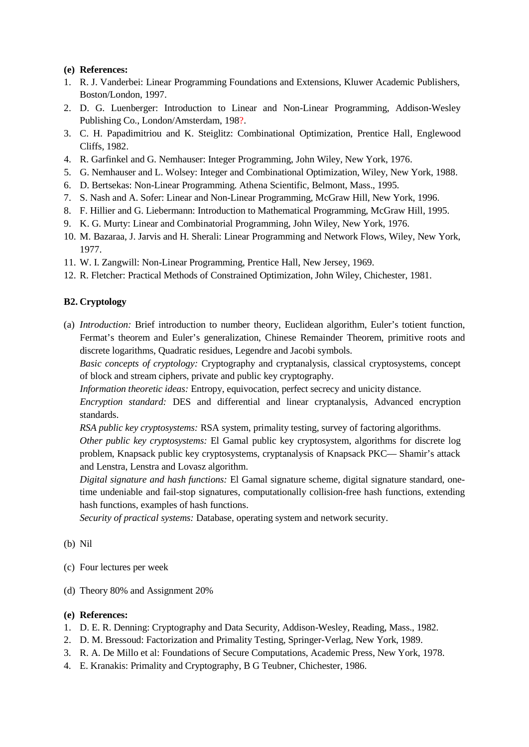- 1. R. J. Vanderbei: Linear Programming Foundations and Extensions, Kluwer Academic Publishers, Boston/London, 1997.
- 2. D. G. Luenberger: Introduction to Linear and Non-Linear Programming, Addison-Wesley Publishing Co., London/Amsterdam, 198?.
- 3. C. H. Papadimitriou and K. Steiglitz: Combinational Optimization, Prentice Hall, Englewood Cliffs, 1982.
- 4. R. Garfinkel and G. Nemhauser: Integer Programming, John Wiley, New York, 1976.
- 5. G. Nemhauser and L. Wolsey: Integer and Combinational Optimization, Wiley, New York, 1988.
- 6. D. Bertsekas: Non-Linear Programming. Athena Scientific, Belmont, Mass., 1995.
- 7. S. Nash and A. Sofer: Linear and Non-Linear Programming, McGraw Hill, New York, 1996.
- 8. F. Hillier and G. Liebermann: Introduction to Mathematical Programming, McGraw Hill, 1995.
- 9. K. G. Murty: Linear and Combinatorial Programming, John Wiley, New York, 1976.
- 10. M. Bazaraa, J. Jarvis and H. Sherali: Linear Programming and Network Flows, Wiley, New York, 1977.
- 11. W. I. Zangwill: Non-Linear Programming, Prentice Hall, New Jersey, 1969.
- 12. R. Fletcher: Practical Methods of Constrained Optimization, John Wiley, Chichester, 1981.

## **B2. Cryptology**

(a) *Introduction:* Brief introduction to number theory, Euclidean algorithm, Euler's totient function, Fermat's theorem and Euler's generalization, Chinese Remainder Theorem, primitive roots and discrete logarithms, Quadratic residues, Legendre and Jacobi symbols.

*Basic concepts of cryptology:* Cryptography and cryptanalysis, classical cryptosystems, concept of block and stream ciphers, private and public key cryptography.

*Information theoretic ideas:* Entropy, equivocation, perfect secrecy and unicity distance.

*Encryption standard:* DES and differential and linear cryptanalysis, Advanced encryption standards.

*RSA public key cryptosystems:* RSA system, primality testing, survey of factoring algorithms. *Other public key cryptosystems:* El Gamal public key cryptosystem, algorithms for discrete log problem, Knapsack public key cryptosystems, cryptanalysis of Knapsack PKC— Shamir's attack and Lenstra, Lenstra and Lovasz algorithm.

*Digital signature and hash functions:* El Gamal signature scheme, digital signature standard, onetime undeniable and fail-stop signatures, computationally collision-free hash functions, extending hash functions, examples of hash functions.

*Security of practical systems:* Database, operating system and network security.

- (b) Nil
- (c) Four lectures per week
- (d) Theory 80% and Assignment 20%

- 1. D. E. R. Denning: Cryptography and Data Security, Addison-Wesley, Reading, Mass., 1982.
- 2. D. M. Bressoud: Factorization and Primality Testing, Springer-Verlag, New York, 1989.
- 3. R. A. De Millo et al: Foundations of Secure Computations, Academic Press, New York, 1978.
- 4. E. Kranakis: Primality and Cryptography, B G Teubner, Chichester, 1986.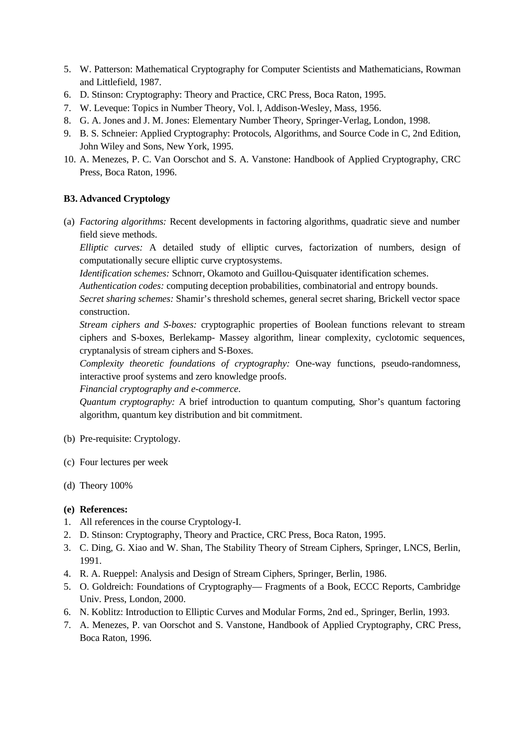- 5. W. Patterson: Mathematical Cryptography for Computer Scientists and Mathematicians, Rowman and Littlefield, 1987.
- 6. D. Stinson: Cryptography: Theory and Practice, CRC Press, Boca Raton, 1995.
- 7. W. Leveque: Topics in Number Theory, Vol. l, Addison-Wesley, Mass, 1956.
- 8. G. A. Jones and J. M. Jones: Elementary Number Theory, Springer-Verlag, London, 1998.
- 9. B. S. Schneier: Applied Cryptography: Protocols, Algorithms, and Source Code in C, 2nd Edition, John Wiley and Sons, New York, 1995.
- 10. A. Menezes, P. C. Van Oorschot and S. A. Vanstone: Handbook of Applied Cryptography, CRC Press, Boca Raton, 1996.

## **B3. Advanced Cryptology**

(a) *Factoring algorithms:* Recent developments in factoring algorithms, quadratic sieve and number field sieve methods.

*Elliptic curves:* A detailed study of elliptic curves, factorization of numbers, design of computationally secure elliptic curve cryptosystems.

*Identification schemes:* Schnorr, Okamoto and Guillou-Quisquater identification schemes.

*Authentication codes:* computing deception probabilities, combinatorial and entropy bounds.

*Secret sharing schemes:* Shamir's threshold schemes, general secret sharing, Brickell vector space construction.

*Stream ciphers and S-boxes:* cryptographic properties of Boolean functions relevant to stream ciphers and S-boxes, Berlekamp- Massey algorithm, linear complexity, cyclotomic sequences, cryptanalysis of stream ciphers and S-Boxes.

*Complexity theoretic foundations of cryptography:* One-way functions, pseudo-randomness, interactive proof systems and zero knowledge proofs.

*Financial cryptography and e-commerce.*

*Quantum cryptography:* A brief introduction to quantum computing, Shor's quantum factoring algorithm, quantum key distribution and bit commitment.

- (b) Pre-requisite: Cryptology.
- (c) Four lectures per week
- (d) Theory 100%

- 1. All references in the course Cryptology-I.
- 2. D. Stinson: Cryptography, Theory and Practice, CRC Press, Boca Raton, 1995.
- 3. C. Ding, G. Xiao and W. Shan, The Stability Theory of Stream Ciphers, Springer, LNCS, Berlin, 1991.
- 4. R. A. Rueppel: Analysis and Design of Stream Ciphers, Springer, Berlin, 1986.
- 5. O. Goldreich: Foundations of Cryptography— Fragments of a Book, ECCC Reports, Cambridge Univ. Press, London, 2000.
- 6. N. Koblitz: Introduction to Elliptic Curves and Modular Forms, 2nd ed., Springer, Berlin, 1993.
- 7. A. Menezes, P. van Oorschot and S. Vanstone, Handbook of Applied Cryptography, CRC Press, Boca Raton, 1996.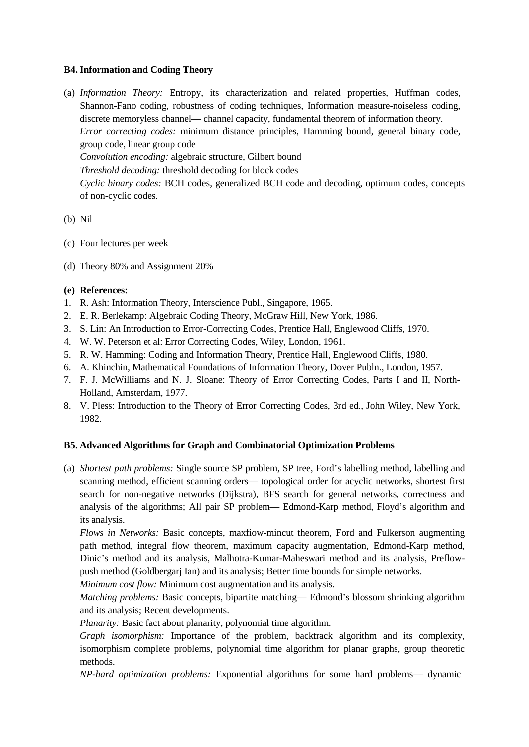## **B4. Information and Coding Theory**

- (a) *Information Theory:* Entropy, its characterization and related properties, Huffman codes, Shannon-Fano coding, robustness of coding techniques, Information measure-noiseless coding, discrete memoryless channel— channel capacity, fundamental theorem of information theory. *Error correcting codes:* minimum distance principles, Hamming bound, general binary code, group code, linear group code *Convolution encoding:* algebraic structure, Gilbert bound *Threshold decoding:* threshold decoding for block codes *Cyclic binary codes:* BCH codes, generalized BCH code and decoding, optimum codes, concepts of non-cyclic codes.
- (b) Nil
- (c) Four lectures per week
- (d) Theory 80% and Assignment 20%

## **(e) References:**

- 1. R. Ash: Information Theory, Interscience Publ., Singapore, 1965.
- 2. E. R. Berlekamp: Algebraic Coding Theory, McGraw Hill, New York, 1986.
- 3. S. Lin: An Introduction to Error-Correcting Codes, Prentice Hall, Englewood Cliffs, 1970.
- 4. W. W. Peterson et al: Error Correcting Codes, Wiley, London, 1961.
- 5. R. W. Hamming: Coding and Information Theory, Prentice Hall, Englewood Cliffs, 1980.
- 6. A. Khinchin, Mathematical Foundations of Information Theory, Dover Publn., London, 1957.
- 7. F. J. McWilliams and N. J. Sloane: Theory of Error Correcting Codes, Parts I and II, North-Holland, Amsterdam, 1977.
- 8. V. Pless: Introduction to the Theory of Error Correcting Codes, 3rd ed., John Wiley, New York, 1982.

## **B5. Advanced Algorithms for Graph and Combinatorial Optimization Problems**

(a) *Shortest path problems:* Single source SP problem, SP tree, Ford's labelling method, labelling and scanning method, efficient scanning orders— topological order for acyclic networks, shortest first search for non-negative networks (Dijkstra), BFS search for general networks, correctness and analysis of the algorithms; All pair SP problem— Edmond-Karp method, Floyd's algorithm and its analysis.

*Flows in Networks:* Basic concepts, maxfiow-mincut theorem, Ford and Fulkerson augmenting path method, integral flow theorem, maximum capacity augmentation, Edmond-Karp method, Dinic's method and its analysis, Malhotra-Kumar-Maheswari method and its analysis, Preflowpush method (Goldbergarj Ian) and its analysis; Better time bounds for simple networks.

*Minimum cost flow:* Minimum cost augmentation and its analysis.

*Matching problems:* Basic concepts, bipartite matching— Edmond's blossom shrinking algorithm and its analysis; Recent developments.

*Planarity:* Basic fact about planarity, polynomial time algorithm.

*Graph isomorphism:* Importance of the problem, backtrack algorithm and its complexity, isomorphism complete problems, polynomial time algorithm for planar graphs, group theoretic methods.

*NP-hard optimization problems:* Exponential algorithms for some hard problems— dynamic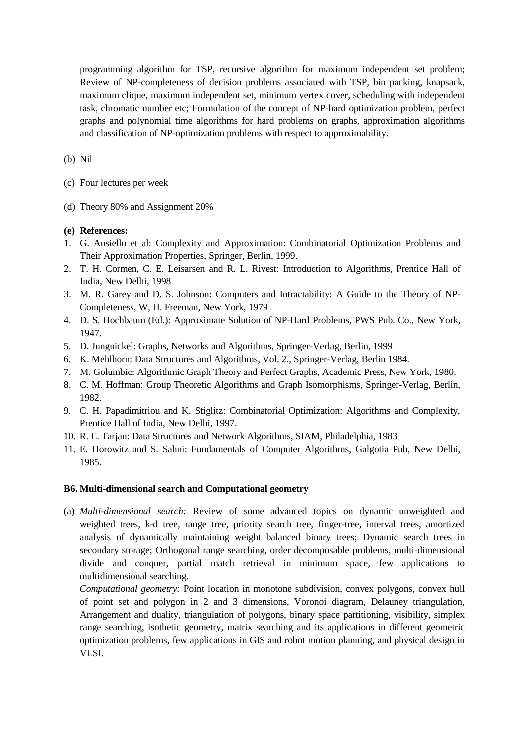programming algorithm for TSP, recursive algorithm for maximum independent set problem; Review of NP-completeness of decision problems associated with TSP, bin packing, knapsack, maximum clique, maximum independent set, minimum vertex cover, scheduling with independent task, chromatic number etc; Formulation of the concept of NP-hard optimization problem, perfect graphs and polynomial time algorithms for hard problems on graphs, approximation algorithms and classification of NP-optimization problems with respect to approximability.

(b) Nil

- (c) Four lectures per week
- (d) Theory 80% and Assignment 20%

## **(e) References:**

- 1. G. Ausiello et al: Complexity and Approximation: Combinatorial Optimization Problems and Their Approximation Properties, Springer, Berlin, 1999.
- 2. T. H. Cormen, C. E. Leisarsen and R. L. Rivest: Introduction to Algorithms, Prentice Hall of India, New Delhi, 1998
- 3. M. R. Garey and D. S. Johnson: Computers and Intractability: A Guide to the Theory of NP-Completeness, W, H. Freeman, New York, 1979
- 4. D. S. Hochbaum (Ed.): Approximate Solution of NP-Hard Problems, PWS Pub. Co., New York, 1947.
- 5. D. Jungnickel: Graphs, Networks and Algorithms, Springer-Verlag, Berlin, 1999
- 6. K. Mehlhorn: Data Structures and Algorithms, Vol. 2., Springer-Verlag, Berlin 1984.
- 7. M. Golumbic: Algorithmic Graph Theory and Perfect Graphs, Academic Press, New York, 1980.
- 8. C. M. Hoffman: Group Theoretic Algorithms and Graph Isomorphisms, Springer-Verlag, Berlin, 1982.
- 9. C. H. Papadimitriou and K. Stiglitz: Combinatorial Optimization: Algorithms and Complexity, Prentice Hall of India, New Delhi, 1997.
- 10. R. E. Tarjan: Data Structures and Network Algorithms, SIAM, Philadelphia, 1983
- 11. E. Horowitz and S. Sahni: Fundamentals of Computer Algorithms, Galgotia Pub, New Delhi, 1985.

## **B6. Multi-dimensional search and Computational geometry**

(a) *Multi-dimensional search:* Review of some advanced topics on dynamic unweighted and weighted trees, k-d tree, range tree, priority search tree, finger-tree, interval trees, amortized analysis of dynamically maintaining weight balanced binary trees; Dynamic search trees in secondary storage; Orthogonal range searching, order decomposable problems, multi-dimensional divide and conquer, partial match retrieval in minimum space, few applications to multidimensional searching.

*Computational geometry:* Point location in monotone subdivision, convex polygons, convex hull of point set and polygon in 2 and 3 dimensions, Voronoi diagram, Delauney triangulation, Arrangement and duality, triangulation of polygons, binary space partitioning, visibility, simplex range searching, isothetic geometry, matrix searching and its applications in different geometric optimization problems, few applications in GIS and robot motion planning, and physical design in VLSI.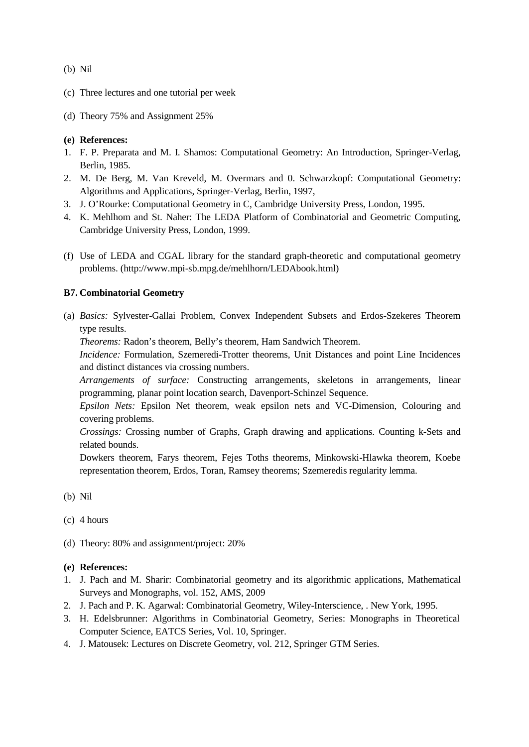(b) Nil

- (c) Three lectures and one tutorial per week
- (d) Theory 75% and Assignment 25%

## **(e) References:**

- 1. F. P. Preparata and M. I. Shamos: Computational Geometry: An Introduction, Springer-Verlag, Berlin, 1985.
- 2. M. De Berg, M. Van Kreveld, M. Overmars and 0. Schwarzkopf: Computational Geometry: Algorithms and Applications, Springer-Verlag, Berlin, 1997,
- 3. J. O'Rourke: Computational Geometry in C, Cambridge University Press, London, 1995.
- 4. K. Mehlhom and St. Naher: The LEDA Platform of Combinatorial and Geometric Computing, Cambridge University Press, London, 1999.
- (f) Use of LEDA and CGAL library for the standard graph-theoretic and computational geometry problems. [\(http://www.mpi-sb.mpg.de/mehlhorn/LEDAbook.html\)](http://www.mpi-sb.mpg.de/mehlhorn/LEDAbook.html))

## **B7. Combinatorial Geometry**

(a) *Basics:* Sylvester-Gallai Problem, Convex Independent Subsets and Erdos-Szekeres Theorem type results.

*Theorems:* Radon's theorem, Belly's theorem, Ham Sandwich Theorem.

*Incidence:* Formulation, Szemeredi-Trotter theorems, Unit Distances and point Line Incidences and distinct distances via crossing numbers.

*Arrangements of surface:* Constructing arrangements, skeletons in arrangements, linear programming, planar point location search, Davenport-Schinzel Sequence.

*Epsilon Nets:* Epsilon Net theorem, weak epsilon nets and VC-Dimension, Colouring and covering problems.

*Crossings:* Crossing number of Graphs, Graph drawing and applications. Counting k-Sets and related bounds.

Dowkers theorem, Farys theorem, Fejes Toths theorems, Minkowski-Hlawka theorem, Koebe representation theorem, Erdos, Toran, Ramsey theorems; Szemeredis regularity lemma.

- (b) Nil
- (c) 4 hours
- (d) Theory: 80% and assignment/project: 20%

- 1. J. Pach and M. Sharir: Combinatorial geometry and its algorithmic applications, Mathematical Surveys and Monographs, vol. 152, AMS, 2009
- 2. J. Pach and P. K. Agarwal: Combinatorial Geometry, Wiley-Interscience, . New York, 1995.
- 3. H. Edelsbrunner: Algorithms in Combinatorial Geometry, Series: Monographs in Theoretical Computer Science, EATCS Series, Vol. 10, Springer.
- 4. J. Matousek: Lectures on Discrete Geometry, vol. 212, Springer GTM Series.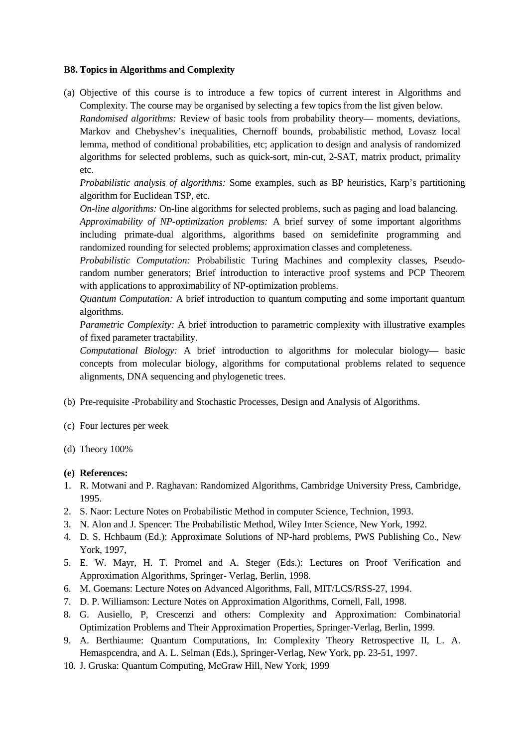## **B8. Topics in Algorithms and Complexity**

(a) Objective of this course is to introduce a few topics of current interest in Algorithms and Complexity. The course may be organised by selecting a few topics from the list given below. *Randomised algorithms:* Review of basic tools from probability theory— moments, deviations, Markov and Chebyshev's inequalities, Chernoff bounds, probabilistic method, Lovasz local lemma, method of conditional probabilities, etc; application to design and analysis of randomized algorithms for selected problems, such as quick-sort, min-cut, 2-SAT, matrix product, primality etc.

*Probabilistic analysis of algorithms:* Some examples, such as BP heuristics, Karp's partitioning algorithm for Euclidean TSP, etc.

*On-line algorithms:* On-line algorithms for selected problems, such as paging and load balancing.

*Approximability of NP-optimization problems:* A brief survey of some important algorithms including primate-dual algorithms, algorithms based on semidefinite programming and randomized rounding for selected problems; approximation classes and completeness.

*Probabilistic Computation:* Probabilistic Turing Machines and complexity classes, Pseudorandom number generators; Brief introduction to interactive proof systems and PCP Theorem with applications to approximability of NP-optimization problems.

*Quantum Computation:* A brief introduction to quantum computing and some important quantum algorithms.

*Parametric Complexity:* A brief introduction to parametric complexity with illustrative examples of fixed parameter tractability.

*Computational Biology:* A brief introduction to algorithms for molecular biology— basic concepts from molecular biology, algorithms for computational problems related to sequence alignments, DNA sequencing and phylogenetic trees.

- (b) Pre-requisite -Probability and Stochastic Processes, Design and Analysis of Algorithms.
- (c) Four lectures per week
- (d) Theory 100%

- 1. R. Motwani and P. Raghavan: Randomized Algorithms, Cambridge University Press, Cambridge, 1995.
- 2. S. Naor: Lecture Notes on Probabilistic Method in computer Science, Technion, 1993.
- 3. N. Alon and J. Spencer: The Probabilistic Method, Wiley Inter Science, New York, 1992.
- 4. D. S. Hchbaum (Ed.): Approximate Solutions of NP-hard problems, PWS Publishing Co., New York, 1997,
- 5. E. W. Mayr, H. T. Promel and A. Steger (Eds.): Lectures on Proof Verification and Approximation Algorithms, Springer- Verlag, Berlin, 1998.
- 6. M. Goemans: Lecture Notes on Advanced Algorithms, Fall, MIT/LCS/RSS-27, 1994.
- 7. D. P. Williamson: Lecture Notes on Approximation Algorithms, Cornell, Fall, 1998.
- 8. G. Ausiello, P, Crescenzi and others: Complexity and Approximation: Combinatorial Optimization Problems and Their Approximation Properties, Springer-Verlag, Berlin, 1999.
- 9. A. Berthiaume: Quantum Computations, In: Complexity Theory Retrospective II, L. A. Hemaspcendra, and A. L. Selman (Eds.), Springer-Verlag, New York, pp. 23-51, 1997.
- 10. J. Gruska: Quantum Computing, McGraw Hill, New York, 1999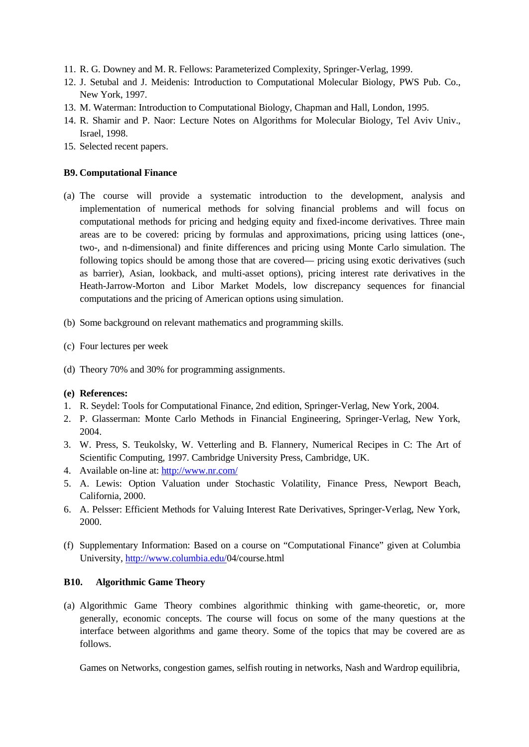- 11. R. G. Downey and M. R. Fellows: Parameterized Complexity, Springer-Verlag, 1999.
- 12. J. Setubal and J. Meidenis: Introduction to Computational Molecular Biology, PWS Pub. Co., New York, 1997.
- 13. M. Waterman: Introduction to Computational Biology, Chapman and Hall, London, 1995.
- 14. R. Shamir and P. Naor: Lecture Notes on Algorithms for Molecular Biology, Tel Aviv Univ., Israel, 1998.
- 15. Selected recent papers.

## **B9. Computational Finance**

- (a) The course will provide a systematic introduction to the development, analysis and implementation of numerical methods for solving financial problems and will focus on computational methods for pricing and hedging equity and fixed-income derivatives. Three main areas are to be covered: pricing by formulas and approximations, pricing using lattices (one-, two-, and n-dimensional) and finite differences and pricing using Monte Carlo simulation. The following topics should be among those that are covered— pricing using exotic derivatives (such as barrier), Asian, lookback, and multi-asset options), pricing interest rate derivatives in the Heath-Jarrow-Morton and Libor Market Models, low discrepancy sequences for financial computations and the pricing of American options using simulation.
- (b) Some background on relevant mathematics and programming skills.
- (c) Four lectures per week
- (d) Theory 70% and 30% for programming assignments.

## **(e) References:**

- 1. R. Seydel: Tools for Computational Finance, 2nd edition, Springer-Verlag, New York, 2004.
- 2. P. Glasserman: Monte Carlo Methods in Financial Engineering, Springer-Verlag, New York, 2004.
- 3. W. Press, S. Teukolsky, W. Vetterling and B. Flannery, Numerical Recipes in C: The Art of Scientific Computing, 1997. Cambridge University Press, Cambridge, UK.
- 4. Available on-line at: <http://www.nr.com/>
- 5. A. Lewis: Option Valuation under Stochastic Volatility, Finance Press, Newport Beach, California, 2000.
- 6. A. Pelsser: Efficient Methods for Valuing Interest Rate Derivatives, Springer-Verlag, New York, 2000.
- (f) Supplementary Information: Based on a course on "Computational Finance" given at Columbia University, [http://www.columbia.edu/0](http://www.columbia.edu/)4/course.html

## **B10. Algorithmic Game Theory**

(a) Algorithmic Game Theory combines algorithmic thinking with game-theoretic, or, more generally, economic concepts. The course will focus on some of the many questions at the interface between algorithms and game theory. Some of the topics that may be covered are as follows.

Games on Networks, congestion games, selfish routing in networks, Nash and Wardrop equilibria,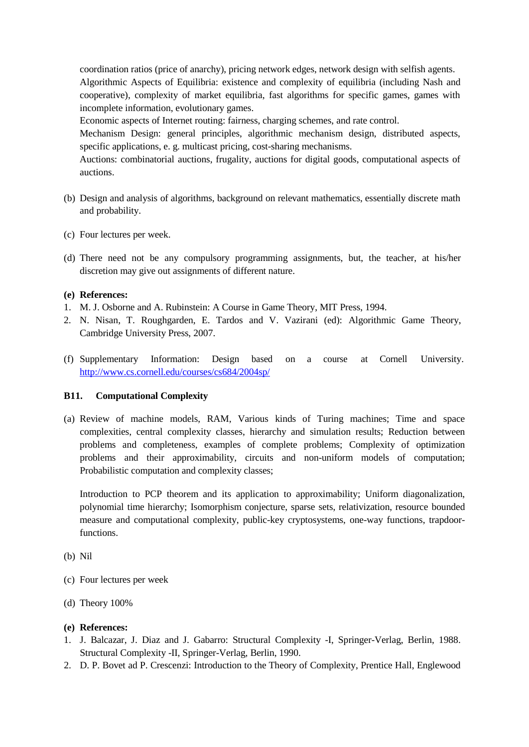coordination ratios (price of anarchy), pricing network edges, network design with selfish agents. Algorithmic Aspects of Equilibria: existence and complexity of equilibria (including Nash and cooperative), complexity of market equilibria, fast algorithms for specific games, games with incomplete information, evolutionary games.

Economic aspects of Internet routing: fairness, charging schemes, and rate control.

Mechanism Design: general principles, algorithmic mechanism design, distributed aspects, specific applications, e. g. multicast pricing, cost-sharing mechanisms.

Auctions: combinatorial auctions, frugality, auctions for digital goods, computational aspects of auctions.

- (b) Design and analysis of algorithms, background on relevant mathematics, essentially discrete math and probability.
- (c) Four lectures per week.
- (d) There need not be any compulsory programming assignments, but, the teacher, at his/her discretion may give out assignments of different nature.

## **(e) References:**

- 1. M. J. Osborne and A. Rubinstein: A Course in Game Theory, MIT Press, 1994.
- 2. N. Nisan, T. Roughgarden, E. Tardos and V. Vazirani (ed): Algorithmic Game Theory, Cambridge University Press, 2007.
- (f) Supplementary Information: Design based on a course at Cornell University. <http://www.cs.cornell.edu/courses/cs684/2004sp/>

## **B11. Computational Complexity**

(a) Review of machine models, RAM, Various kinds of Turing machines; Time and space complexities, central complexity classes, hierarchy and simulation results; Reduction between problems and completeness, examples of complete problems; Complexity of optimization problems and their approximability, circuits and non-uniform models of computation; Probabilistic computation and complexity classes;

Introduction to PCP theorem and its application to approximability; Uniform diagonalization, polynomial time hierarchy; Isomorphism conjecture, sparse sets, relativization, resource bounded measure and computational complexity, public-key cryptosystems, one-way functions, trapdoorfunctions.

- (b) Nil
- (c) Four lectures per week
- (d) Theory 100%

- 1. J. Balcazar, J. Diaz and J. Gabarro: Structural Complexity -I, Springer-Verlag, Berlin, 1988. Structural Complexity -II, Springer-Verlag, Berlin, 1990.
- 2. D. P. Bovet ad P. Crescenzi: Introduction to the Theory of Complexity, Prentice Hall, Englewood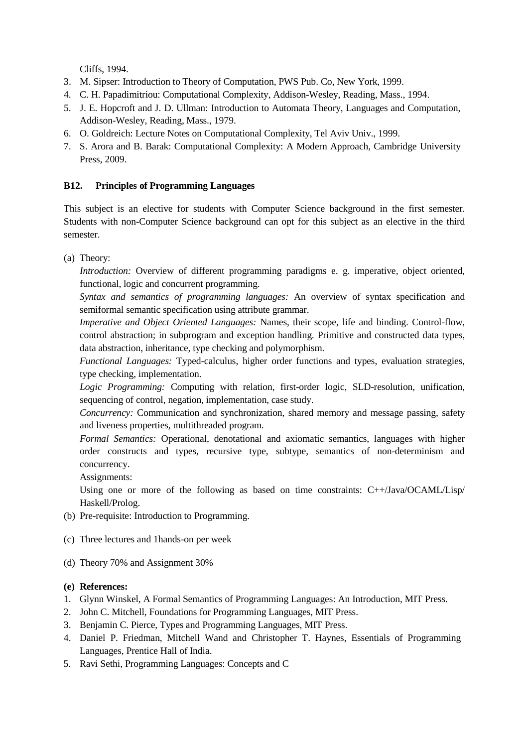Cliffs, 1994.

- 3. M. Sipser: Introduction to Theory of Computation, PWS Pub. Co, New York, 1999.
- 4. C. H. Papadimitriou: Computational Complexity, Addison-Wesley, Reading, Mass., 1994.
- 5. J. E. Hopcroft and J. D. Ullman: Introduction to Automata Theory, Languages and Computation, Addison-Wesley, Reading, Mass., 1979.
- 6. O. Goldreich: Lecture Notes on Computational Complexity, Tel Aviv Univ., 1999.
- 7. S. Arora and B. Barak: Computational Complexity: A Modern Approach, Cambridge University Press, 2009.

## **B12. Principles of Programming Languages**

This subject is an elective for students with Computer Science background in the first semester. Students with non-Computer Science background can opt for this subject as an elective in the third semester.

(a) Theory:

*Introduction:* Overview of different programming paradigms e. g. imperative, object oriented, functional, logic and concurrent programming.

*Syntax and semantics of programming languages:* An overview of syntax specification and semiformal semantic specification using attribute grammar.

*Imperative and Object Oriented Languages:* Names, their scope, life and binding. Control-flow, control abstraction; in subprogram and exception handling. Primitive and constructed data types, data abstraction, inheritance, type checking and polymorphism.

*Functional Languages:* Typed-calculus, higher order functions and types, evaluation strategies, type checking, implementation.

*Logic Programming:* Computing with relation, first-order logic, SLD-resolution, unification, sequencing of control, negation, implementation, case study.

*Concurrency:* Communication and synchronization, shared memory and message passing, safety and liveness properties, multithreaded program.

*Formal Semantics:* Operational, denotational and axiomatic semantics, languages with higher order constructs and types, recursive type, subtype, semantics of non-determinism and concurrency.

Assignments:

Using one or more of the following as based on time constraints: C++/Java/OCAML/Lisp/ Haskell/Prolog.

- (b) Pre-requisite: Introduction to Programming.
- (c) Three lectures and 1hands-on per week
- (d) Theory 70% and Assignment 30%

- 1. Glynn Winskel, A Formal Semantics of Programming Languages: An Introduction, MIT Press.
- 2. John C. Mitchell, Foundations for Programming Languages, MIT Press.
- 3. Benjamin C. Pierce, Types and Programming Languages, MIT Press.
- 4. Daniel P. Friedman, Mitchell Wand and Christopher T. Haynes, Essentials of Programming Languages, Prentice Hall of India.
- 5. Ravi Sethi, Programming Languages: Concepts and C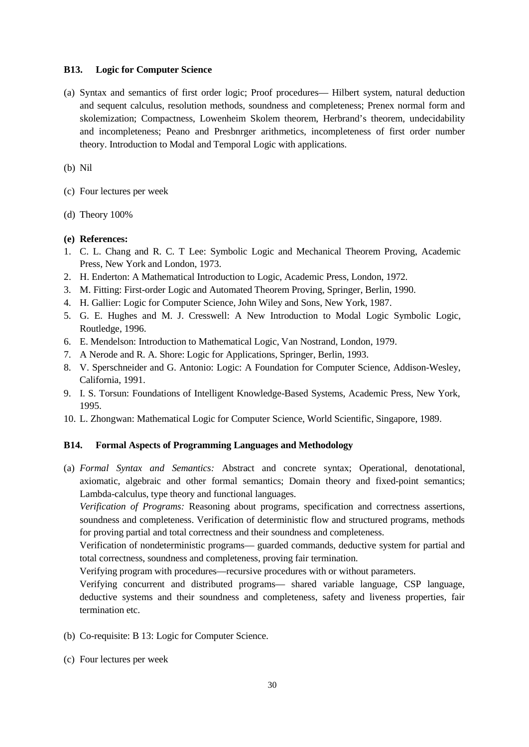#### **B13. Logic for Computer Science**

(a) Syntax and semantics of first order logic; Proof procedures— Hilbert system, natural deduction and sequent calculus, resolution methods, soundness and completeness; Prenex normal form and skolemization; Compactness, Lowenheim Skolem theorem, Herbrand's theorem, undecidability and incompleteness; Peano and Presbnrger arithmetics, incompleteness of first order number theory. Introduction to Modal and Temporal Logic with applications.

(b) Nil

- (c) Four lectures per week
- (d) Theory 100%

#### **(e) References:**

- 1. C. L. Chang and R. C. T Lee: Symbolic Logic and Mechanical Theorem Proving, Academic Press, New York and London, 1973.
- 2. H. Enderton: A Mathematical Introduction to Logic, Academic Press, London, 1972.
- 3. M. Fitting: First-order Logic and Automated Theorem Proving, Springer, Berlin, 1990.
- 4. H. Gallier: Logic for Computer Science, John Wiley and Sons, New York, 1987.
- 5. G. E. Hughes and M. J. Cresswell: A New Introduction to Modal Logic Symbolic Logic, Routledge, 1996.
- 6. E. Mendelson: Introduction to Mathematical Logic, Van Nostrand, London, 1979.
- 7. A Nerode and R. A. Shore: Logic for Applications, Springer, Berlin, 1993.
- 8. V. Sperschneider and G. Antonio: Logic: A Foundation for Computer Science, Addison-Wesley, California, 1991.
- 9. I. S. Torsun: Foundations of Intelligent Knowledge-Based Systems, Academic Press, New York, 1995.
- 10. L. Zhongwan: Mathematical Logic for Computer Science, World Scientific, Singapore, 1989.

## **B14. Formal Aspects of Programming Languages and Methodology**

(a) *Formal Syntax and Semantics:* Abstract and concrete syntax; Operational, denotational, axiomatic, algebraic and other formal semantics; Domain theory and fixed-point semantics; Lambda-calculus, type theory and functional languages.

*Verification of Programs:* Reasoning about programs, specification and correctness assertions, soundness and completeness. Verification of deterministic flow and structured programs, methods for proving partial and total correctness and their soundness and completeness.

Verification of nondeterministic programs— guarded commands, deductive system for partial and total correctness, soundness and completeness, proving fair termination.

Verifying program with procedures—recursive procedures with or without parameters.

Verifying concurrent and distributed programs— shared variable language, CSP language, deductive systems and their soundness and completeness, safety and liveness properties, fair termination etc.

- (b) Co-requisite: B 13: Logic for Computer Science.
- (c) Four lectures per week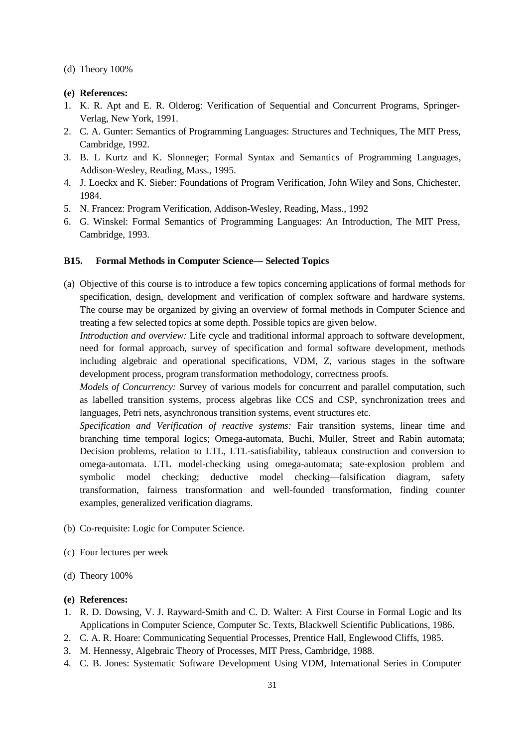(d) Theory 100%

#### **(e) References:**

- 1. K. R. Apt and E. R. Olderog: Verification of Sequential and Concurrent Programs, Springer-Verlag, New York, 1991.
- 2. C. A. Gunter: Semantics of Programming Languages: Structures and Techniques, The MIT Press, Cambridge, 1992.
- 3. B. L Kurtz and K. Slonneger; Formal Syntax and Semantics of Programming Languages, Addison-Wesley, Reading, Mass., 1995.
- 4. J. Loeckx and K. Sieber: Foundations of Program Verification, John Wiley and Sons, Chichester, 1984.
- 5. N. Francez: Program Verification, Addison-Wesley, Reading, Mass., 1992
- 6. G. Winskel: Formal Semantics of Programming Languages: An Introduction, The MIT Press, Cambridge, 1993.

## **B15. Formal Methods in Computer Science— Selected Topics**

(a) Objective of this course is to introduce a few topics concerning applications of formal methods for specification, design, development and verification of complex software and hardware systems. The course may be organized by giving an overview of formal methods in Computer Science and treating a few selected topics at some depth. Possible topics are given below.

*Introduction and overview:* Life cycle and traditional informal approach to software development, need for formal approach, survey of specification and formal software development, methods including algebraic and operational specifications, VDM, Z, various stages in the software development process, program transformation methodology, correctness proofs.

*Models of Concurrency:* Survey of various models for concurrent and parallel computation, such as labelled transition systems, process algebras like CCS and CSP, synchronization trees and languages, Petri nets, asynchronous transition systems, event structures etc.

*Specification and Verification of reactive systems:* Fair transition systems, linear time and branching time temporal logics; Omega-automata, Buchi, Muller, Street and Rabin automata; Decision problems, relation to LTL, LTL-satisfiability, tableaux construction and conversion to omega-automata. LTL model-checking using omega-automata; sate-explosion problem and symbolic model checking; deductive model checking—falsification diagram, safety transformation, fairness transformation and well-founded transformation, finding counter examples, generalized verification diagrams.

- (b) Co-requisite: Logic for Computer Science.
- (c) Four lectures per week
- (d) Theory 100%

- 1. R. D. Dowsing, V. J. Rayward-Smith and C. D. Walter: A First Course in Formal Logic and Its Applications in Computer Science, Computer Sc. Texts, Blackwell Scientific Publications, 1986.
- 2. C. A. R. Hoare: Communicating Sequential Processes, Prentice Hall, Englewood Cliffs, 1985.
- 3. M. Hennessy, Algebraic Theory of Processes, MIT Press, Cambridge, 1988.
- 4. C. B. Jones: Systematic Software Development Using VDM, International Series in Computer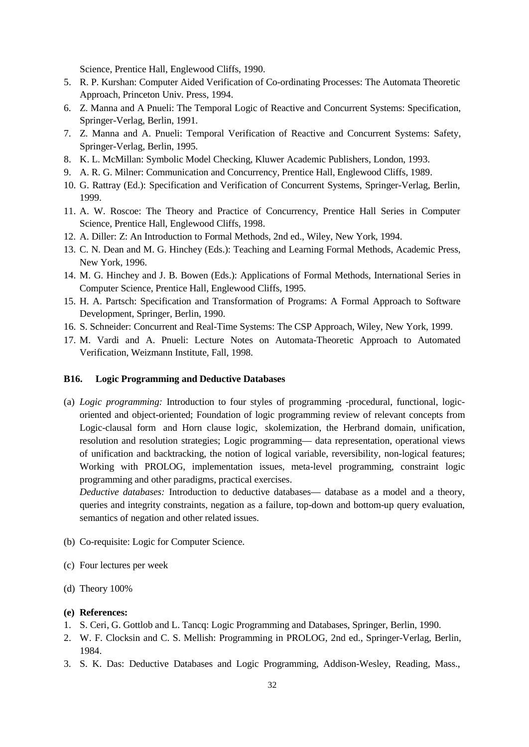Science, Prentice Hall, Englewood Cliffs, 1990.

- 5. R. P. Kurshan: Computer Aided Verification of Co-ordinating Processes: The Automata Theoretic Approach, Princeton Univ. Press, 1994.
- 6. Z. Manna and A Pnueli: The Temporal Logic of Reactive and Concurrent Systems: Specification, Springer-Verlag, Berlin, 1991.
- 7. Z. Manna and A. Pnueli: Temporal Verification of Reactive and Concurrent Systems: Safety, Springer-Verlag, Berlin, 1995.
- 8. K. L. McMillan: Symbolic Model Checking, Kluwer Academic Publishers, London, 1993.
- 9. A. R. G. Milner: Communication and Concurrency, Prentice Hall, Englewood Cliffs, 1989.
- 10. G. Rattray (Ed.): Specification and Verification of Concurrent Systems, Springer-Verlag, Berlin, 1999.
- 11. A. W. Roscoe: The Theory and Practice of Concurrency, Prentice Hall Series in Computer Science, Prentice Hall, Englewood Cliffs, 1998.
- 12. A. Diller: Z: An Introduction to Formal Methods, 2nd ed., Wiley, New York, 1994.
- 13. C. N. Dean and M. G. Hinchey (Eds.): Teaching and Learning Formal Methods, Academic Press, New York, 1996.
- 14. M. G. Hinchey and J. B. Bowen (Eds.): Applications of Formal Methods, International Series in Computer Science, Prentice Hall, Englewood Cliffs, 1995.
- 15. H. A. Partsch: Specification and Transformation of Programs: A Formal Approach to Software Development, Springer, Berlin, 1990.
- 16. S. Schneider: Concurrent and Real-Time Systems: The CSP Approach, Wiley, New York, 1999.
- 17. M. Vardi and A. Pnueli: Lecture Notes on Automata-Theoretic Approach to Automated Verification, Weizmann Institute, Fall, 1998.

## **B16. Logic Programming and Deductive Databases**

(a) *Logic programming:* Introduction to four styles of programming -procedural, functional, logicoriented and object-oriented; Foundation of logic programming review of relevant concepts from Logic-clausal form and Horn clause logic, skolemization, the Herbrand domain, unification, resolution and resolution strategies; Logic programming— data representation, operational views of unification and backtracking, the notion of logical variable, reversibility, non-logical features; Working with PROLOG, implementation issues, meta-level programming, constraint logic programming and other paradigms, practical exercises.

*Deductive databases:* Introduction to deductive databases— database as a model and a theory, queries and integrity constraints, negation as a failure, top-down and bottom-up query evaluation, semantics of negation and other related issues.

- (b) Co-requisite: Logic for Computer Science.
- (c) Four lectures per week
- (d) Theory 100%

- 1. S. Ceri, G. Gottlob and L. Tancq: Logic Programming and Databases, Springer, Berlin, 1990.
- 2. W. F. Clocksin and C. S. Mellish: Programming in PROLOG, 2nd ed., Springer-Verlag, Berlin, 1984.
- 3. S. K. Das: Deductive Databases and Logic Programming, Addison-Wesley, Reading, Mass.,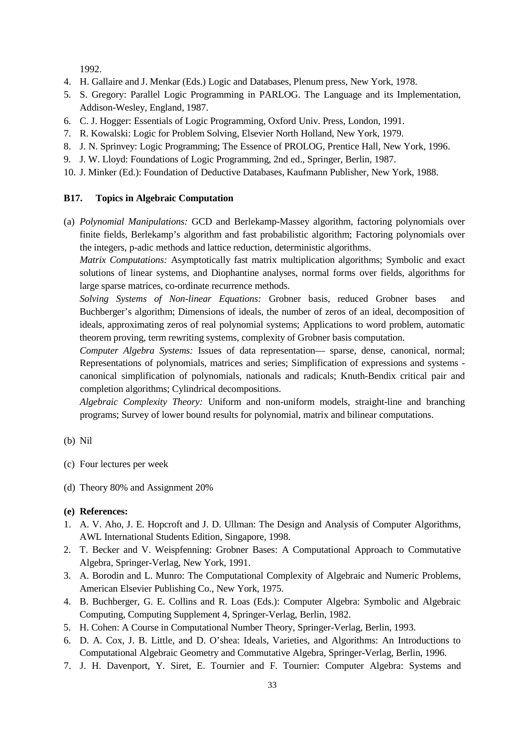1992.

- 4. H. Gallaire and J. Menkar (Eds.) Logic and Databases, Plenum press, New York, 1978.
- 5. S. Gregory: Parallel Logic Programming in PARLOG. The Language and its Implementation, Addison-Wesley, England, 1987.
- 6. C. J. Hogger: Essentials of Logic Programming, Oxford Univ. Press, London, 1991.
- 7. R. Kowalski: Logic for Problem Solving, Elsevier North Holland, New York, 1979.
- 8. J. N. Sprinvey: Logic Programming; The Essence of PROLOG, Prentice Hall, New York, 1996.
- 9. J. W. Lloyd: Foundations of Logic Programming, 2nd ed., Springer, Berlin, 1987.
- 10. J. Minker (Ed.): Foundation of Deductive Databases, Kaufmann Publisher, New York, 1988.

#### **B17. Topics in Algebraic Computation**

(a) *Polynomial Manipulations:* GCD and Berlekamp-Massey algorithm, factoring polynomials over finite fields, Berlekamp's algorithm and fast probabilistic algorithm; Factoring polynomials over the integers, p-adic methods and lattice reduction, deterministic algorithms.

*Matrix Computations:* Asymptotically fast matrix multiplication algorithms; Symbolic and exact solutions of linear systems, and Diophantine analyses, normal forms over fields, algorithms for large sparse matrices, co-ordinate recurrence methods.

*Solving Systems of Non-linear Equations:* Grobner basis, reduced Grobner bases and Buchberger's algorithm; Dimensions of ideals, the number of zeros of an ideal, decomposition of ideals, approximating zeros of real polynomial systems; Applications to word problem, automatic theorem proving, term rewriting systems, complexity of Grobner basis computation.

*Computer Algebra Systems:* Issues of data representation— sparse, dense, canonical, normal; Representations of polynomials, matrices and series; Simplification of expressions and systems canonical simplification of polynomials, nationals and radicals; Knuth-Bendix critical pair and completion algorithms; Cylindrical decompositions.

*Algebraic Complexity Theory:* Uniform and non-uniform models, straight-line and branching programs; Survey of lower bound results for polynomial, matrix and bilinear computations.

#### (b) Nil

- (c) Four lectures per week
- (d) Theory 80% and Assignment 20%

- 1. A. V. Aho, J. E. Hopcroft and J. D. Ullman: The Design and Analysis of Computer Algorithms, AWL International Students Edition, Singapore, 1998.
- 2. T. Becker and V. Weispfenning: Grobner Bases: A Computational Approach to Commutative Algebra, Springer-Verlag, New York, 1991.
- 3. A. Borodin and L. Munro: The Computational Complexity of Algebraic and Numeric Problems, American Elsevier Publishing Co., New York, 1975.
- 4. B. Buchberger, G. E. Collins and R. Loas (Eds.): Computer Algebra: Symbolic and Algebraic Computing, Computing Supplement 4, Springer-Verlag, Berlin, 1982.
- 5. H. Cohen: A Course in Computational Number Theory, Springer-Verlag, Berlin, 1993.
- 6. D. A. Cox, J. B. Little, and D. O'shea: Ideals, Varieties, and Algorithms: An Introductions to Computational Algebraic Geometry and Commutative Algebra, Springer-Verlag, Berlin, 1996.
- 7. J. H. Davenport, Y. Siret, E. Tournier and F. Tournier: Computer Algebra: Systems and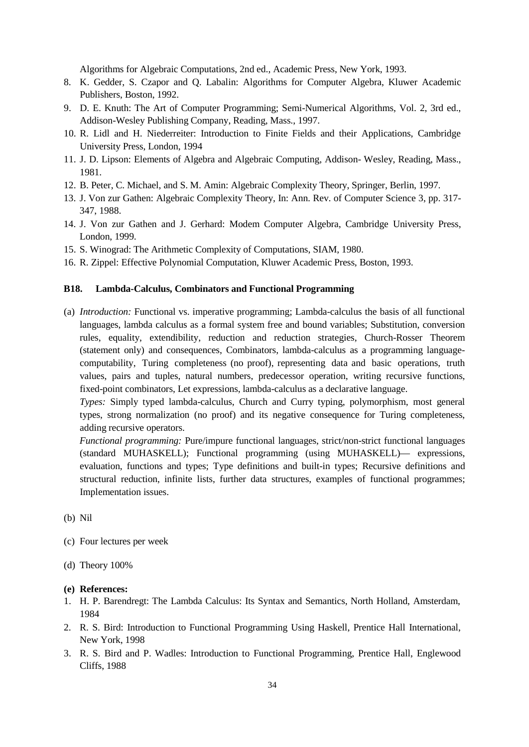Algorithms for Algebraic Computations, 2nd ed., Academic Press, New York, 1993.

- 8. K. Gedder, S. Czapor and Q. Labalin: Algorithms for Computer Algebra, Kluwer Academic Publishers, Boston, 1992.
- 9. D. E. Knuth: The Art of Computer Programming; Semi-Numerical Algorithms, Vol. 2, 3rd ed., Addison-Wesley Publishing Company, Reading, Mass., 1997.
- 10. R. Lidl and H. Niederreiter: Introduction to Finite Fields and their Applications, Cambridge University Press, London, 1994
- 11. J. D. Lipson: Elements of Algebra and Algebraic Computing, Addison- Wesley, Reading, Mass., 1981.
- 12. B. Peter, C. Michael, and S. M. Amin: Algebraic Complexity Theory, Springer, Berlin, 1997.
- 13. J. Von zur Gathen: Algebraic Complexity Theory, In: Ann. Rev. of Computer Science 3, pp. 317- 347, 1988.
- 14. J. Von zur Gathen and J. Gerhard: Modem Computer Algebra, Cambridge University Press, London, 1999.
- 15. S. Winograd: The Arithmetic Complexity of Computations, SIAM, 1980.
- 16. R. Zippel: Effective Polynomial Computation, Kluwer Academic Press, Boston, 1993.

#### **B18. Lambda-Calculus, Combinators and Functional Programming**

(a) *Introduction:* Functional vs. imperative programming; Lambda-calculus the basis of all functional languages, lambda calculus as a formal system free and bound variables; Substitution, conversion rules, equality, extendibility, reduction and reduction strategies, Church-Rosser Theorem (statement only) and consequences, Combinators, lambda-calculus as a programming languagecomputability, Turing completeness (no proof), representing data and basic operations, truth values, pairs and tuples, natural numbers, predecessor operation, writing recursive functions, fixed-point combinators, Let expressions, lambda-calculus as a declarative language.

*Types:* Simply typed lambda-calculus, Church and Curry typing, polymorphism, most general types, strong normalization (no proof) and its negative consequence for Turing completeness, adding recursive operators.

*Functional programming:* Pure/impure functional languages, strict/non-strict functional languages (standard MUHASKELL); Functional programming (using MUHASKELL)— expressions, evaluation, functions and types; Type definitions and built-in types; Recursive definitions and structural reduction, infinite lists, further data structures, examples of functional programmes; Implementation issues.

(b) Nil

- (c) Four lectures per week
- (d) Theory 100%

- 1. H. P. Barendregt: The Lambda Calculus: Its Syntax and Semantics, North Holland, Amsterdam, 1984
- 2. R. S. Bird: Introduction to Functional Programming Using Haskell, Prentice Hall International, New York, 1998
- 3. R. S. Bird and P. Wadles: Introduction to Functional Programming, Prentice Hall, Englewood Cliffs, 1988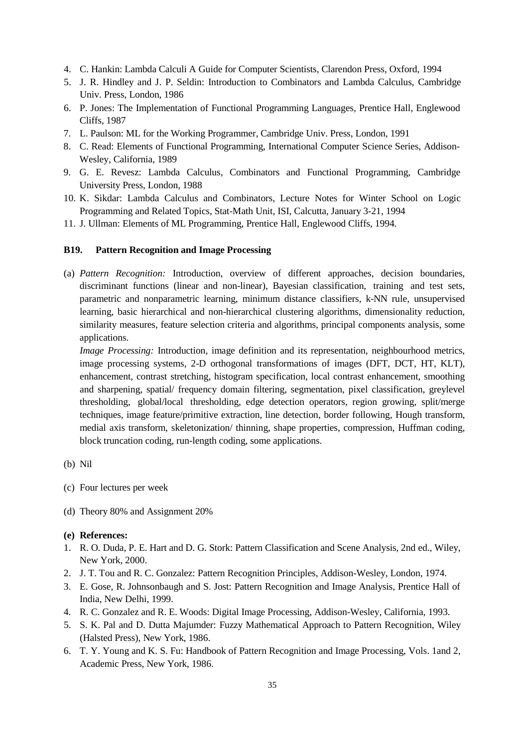- 4. C. Hankin: Lambda Calculi A Guide for Computer Scientists, Clarendon Press, Oxford, 1994
- 5. J. R. Hindley and J. P. Seldin: Introduction to Combinators and Lambda Calculus, Cambridge Univ. Press, London, 1986
- 6. P. Jones: The Implementation of Functional Programming Languages, Prentice Hall, Englewood Cliffs, 1987
- 7. L. Paulson: ML for the Working Programmer, Cambridge Univ. Press, London, 1991
- 8. C. Read: Elements of Functional Programming, International Computer Science Series, Addison-Wesley, California, 1989
- 9. G. E. Revesz: Lambda Calculus, Combinators and Functional Programming, Cambridge University Press, London, 1988
- 10. K. Sikdar: Lambda Calculus and Combinators, Lecture Notes for Winter School on Logic Programming and Related Topics, Stat-Math Unit, ISI, Calcutta, January 3-21, 1994
- 11. J. Ullman: Elements of ML Programming, Prentice Hall, Englewood Cliffs, 1994.

#### **B19. Pattern Recognition and Image Processing**

(a) *Pattern Recognition:* Introduction, overview of different approaches, decision boundaries, discriminant functions (linear and non-linear), Bayesian classification, training and test sets, parametric and nonparametric learning, minimum distance classifiers, k-NN rule, unsupervised learning, basic hierarchical and non-hierarchical clustering algorithms, dimensionality reduction, similarity measures, feature selection criteria and algorithms, principal components analysis, some applications.

*Image Processing:* Introduction, image definition and its representation, neighbourhood metrics, image processing systems, 2-D orthogonal transformations of images (DFT, DCT, HT, KLT), enhancement, contrast stretching, histogram specification, local contrast enhancement, smoothing and sharpening, spatial/ frequency domain filtering, segmentation, pixel classification, greylevel thresholding, global/local thresholding, edge detection operators, region growing, split/merge techniques, image feature/primitive extraction, line detection, border following, Hough transform, medial axis transform, skeletonization/ thinning, shape properties, compression, Huffman coding, block truncation coding, run-length coding, some applications.

- (c) Four lectures per week
- (d) Theory 80% and Assignment 20%

- 1. R. O. Duda, P. E. Hart and D. G. Stork: Pattern Classification and Scene Analysis, 2nd ed., Wiley, New York, 2000.
- 2. J. T. Tou and R. C. Gonzalez: Pattern Recognition Principles, Addison-Wesley, London, 1974.
- 3. E. Gose, R. Johnsonbaugh and S. Jost: Pattern Recognition and Image Analysis, Prentice Hall of India, New Delhi, 1999.
- 4. R. C. Gonzalez and R. E. Woods: Digital Image Processing, Addison-Wesley, California, 1993.
- 5. S. K. Pal and D. Dutta Majumder: Fuzzy Mathematical Approach to Pattern Recognition, Wiley (Halsted Press), New York, 1986.
- 6. T. Y. Young and K. S. Fu: Handbook of Pattern Recognition and Image Processing, Vols. 1and 2, Academic Press, New York, 1986.

<sup>(</sup>b) Nil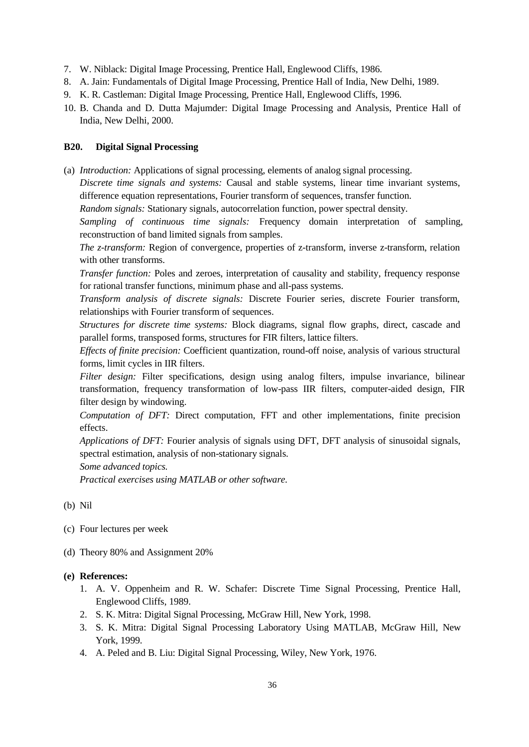- 7. W. Niblack: Digital Image Processing, Prentice Hall, Englewood Cliffs, 1986.
- 8. A. Jain: Fundamentals of Digital Image Processing, Prentice Hall of India, New Delhi, 1989.
- 9. K. R. Castleman: Digital Image Processing, Prentice Hall, Englewood Cliffs, 1996.
- 10. B. Chanda and D. Dutta Majumder: Digital Image Processing and Analysis, Prentice Hall of India, New Delhi, 2000.

## **B20. Digital Signal Processing**

(a) *Introduction:* Applications of signal processing, elements of analog signal processing.

*Discrete time signals and systems:* Causal and stable systems, linear time invariant systems, difference equation representations, Fourier transform of sequences, transfer function.

*Random signals:* Stationary signals, autocorrelation function, power spectral density.

*Sampling of continuous time signals:* Frequency domain interpretation of sampling, reconstruction of band limited signals from samples.

*The z-transform:* Region of convergence, properties of z-transform, inverse z-transform, relation with other transforms.

*Transfer function:* Poles and zeroes, interpretation of causality and stability, frequency response for rational transfer functions, minimum phase and all-pass systems.

*Transform analysis of discrete signals:* Discrete Fourier series, discrete Fourier transform, relationships with Fourier transform of sequences.

*Structures for discrete time systems:* Block diagrams, signal flow graphs, direct, cascade and parallel forms, transposed forms, structures for FIR filters, lattice filters.

*Effects of finite precision:* Coefficient quantization, round-off noise, analysis of various structural forms, limit cycles in IIR filters.

*Filter design:* Filter specifications, design using analog filters, impulse invariance, bilinear transformation, frequency transformation of low-pass IIR filters, computer-aided design, FIR filter design by windowing.

*Computation of DFT:* Direct computation, FFT and other implementations, finite precision effects.

*Applications of DFT:* Fourier analysis of signals using DFT, DFT analysis of sinusoidal signals, spectral estimation, analysis of non-stationary signals.

*Some advanced topics.*

*Practical exercises using MATLAB or other software.*

(b) Nil

- (c) Four lectures per week
- (d) Theory 80% and Assignment 20%
- **(e) References:**
	- 1. A. V. Oppenheim and R. W. Schafer: Discrete Time Signal Processing, Prentice Hall, Englewood Cliffs, 1989.
	- 2. S. K. Mitra: Digital Signal Processing, McGraw Hill, New York, 1998.
	- 3. S. K. Mitra: Digital Signal Processing Laboratory Using MATLAB, McGraw Hill, New York, 1999.
	- 4. A. Peled and B. Liu: Digital Signal Processing, Wiley, New York, 1976.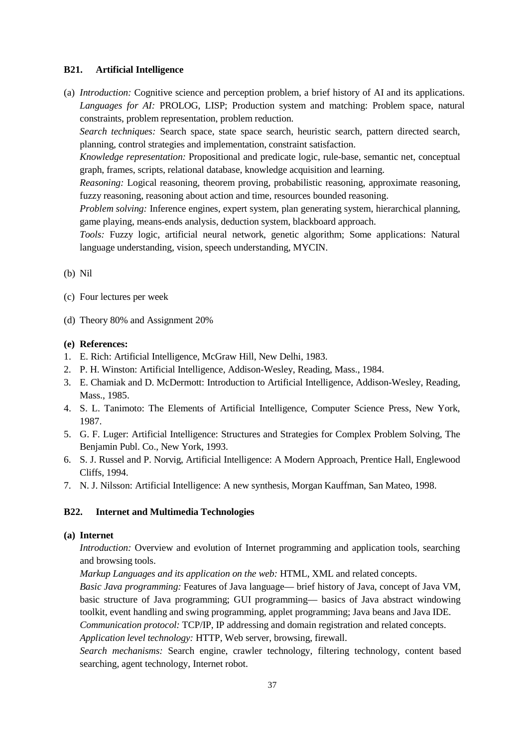#### **B21. Artificial Intelligence**

(a) *Introduction:* Cognitive science and perception problem, a brief history of AI and its applications. *Languages for AI:* PROLOG, LISP; Production system and matching: Problem space, natural constraints, problem representation, problem reduction.

*Search techniques:* Search space, state space search, heuristic search, pattern directed search, planning, control strategies and implementation, constraint satisfaction.

*Knowledge representation:* Propositional and predicate logic, rule-base, semantic net, conceptual graph, frames, scripts, relational database, knowledge acquisition and learning.

*Reasoning:* Logical reasoning, theorem proving, probabilistic reasoning, approximate reasoning, fuzzy reasoning, reasoning about action and time, resources bounded reasoning.

*Problem solving:* Inference engines, expert system, plan generating system, hierarchical planning, game playing, means-ends analysis, deduction system, blackboard approach.

*Tools:* Fuzzy logic, artificial neural network, genetic algorithm; Some applications: Natural language understanding, vision, speech understanding, MYCIN.

(b) Nil

- (c) Four lectures per week
- (d) Theory 80% and Assignment 20%

#### **(e) References:**

- 1. E. Rich: Artificial Intelligence, McGraw Hill, New Delhi, 1983.
- 2. P. H. Winston: Artificial Intelligence, Addison-Wesley, Reading, Mass., 1984.
- 3. E. Chamiak and D. McDermott: Introduction to Artificial Intelligence, Addison-Wesley, Reading, Mass., 1985.
- 4. S. L. Tanimoto: The Elements of Artificial Intelligence, Computer Science Press, New York, 1987.
- 5. G. F. Luger: Artificial Intelligence: Structures and Strategies for Complex Problem Solving, The Benjamin Publ. Co., New York, 1993.
- 6. S. J. Russel and P. Norvig, Artificial Intelligence: A Modern Approach, Prentice Hall, Englewood Cliffs, 1994.
- 7. N. J. Nilsson: Artificial Intelligence: A new synthesis, Morgan Kauffman, San Mateo, 1998.

#### **B22. Internet and Multimedia Technologies**

#### **(a) Internet**

*Introduction:* Overview and evolution of Internet programming and application tools, searching and browsing tools.

*Markup Languages and its application on the web:* HTML, XML and related concepts. *Basic Java programming:* Features of Java language— brief history of Java, concept of Java VM, basic structure of Java programming; GUI programming— basics of Java abstract windowing toolkit, event handling and swing programming, applet programming; Java beans and Java IDE. *Communication protocol:* TCP/IP, IP addressing and domain registration and related concepts.

*Application level technology:* HTTP, Web server, browsing, firewall.

*Search mechanisms:* Search engine, crawler technology, filtering technology, content based searching, agent technology, Internet robot.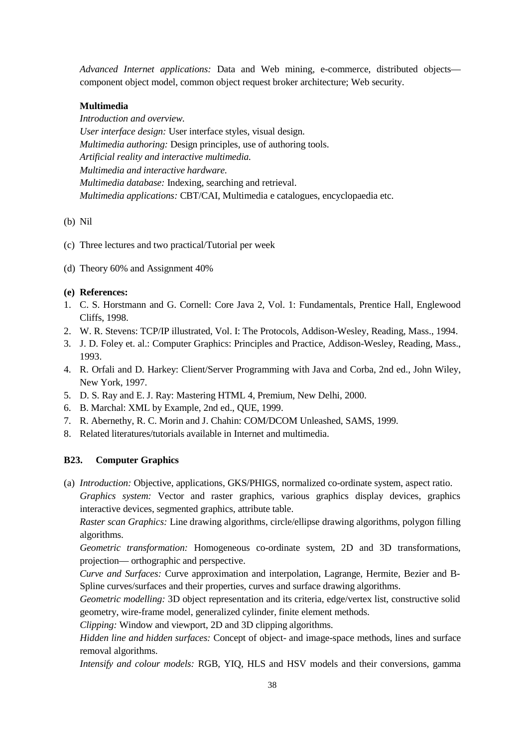*Advanced Internet applications:* Data and Web mining, e-commerce, distributed objects component object model, common object request broker architecture; Web security.

## **Multimedia**

*Introduction and overview. User interface design:* User interface styles, visual design. *Multimedia authoring:* Design principles, use of authoring tools. *Artificial reality and interactive multimedia. Multimedia and interactive hardware. Multimedia database:* Indexing, searching and retrieval. *Multimedia applications:* CBT/CAI, Multimedia e catalogues, encyclopaedia etc.

#### (b) Nil

- (c) Three lectures and two practical/Tutorial per week
- (d) Theory 60% and Assignment 40%

#### **(e) References:**

- 1. C. S. Horstmann and G. Cornell: Core Java 2, Vol. 1: Fundamentals, Prentice Hall, Englewood Cliffs, 1998.
- 2. W. R. Stevens: TCP/IP illustrated, Vol. I: The Protocols, Addison-Wesley, Reading, Mass., 1994.
- 3. J. D. Foley et. al.: Computer Graphics: Principles and Practice, Addison-Wesley, Reading, Mass., 1993.
- 4. R. Orfali and D. Harkey: Client/Server Programming with Java and Corba, 2nd ed., John Wiley, New York, 1997.
- 5. D. S. Ray and E. J. Ray: Mastering HTML 4, Premium, New Delhi, 2000.
- 6. B. Marchal: XML by Example, 2nd ed., QUE, 1999.
- 7. R. Abernethy, R. C. Morin and J. Chahin: COM/DCOM Unleashed, SAMS, 1999.
- 8. Related literatures/tutorials available in Internet and multimedia.

## **B23. Computer Graphics**

(a) *Introduction:* Objective, applications, GKS/PHIGS, normalized co-ordinate system, aspect ratio.

*Graphics system:* Vector and raster graphics, various graphics display devices, graphics interactive devices, segmented graphics, attribute table.

*Raster scan Graphics:* Line drawing algorithms, circle/ellipse drawing algorithms, polygon filling algorithms.

*Geometric transformation:* Homogeneous co-ordinate system, 2D and 3D transformations, projection— orthographic and perspective.

*Curve and Surfaces:* Curve approximation and interpolation, Lagrange, Hermite, Bezier and B-Spline curves/surfaces and their properties, curves and surface drawing algorithms.

*Geometric modelling:* 3D object representation and its criteria, edge/vertex list, constructive solid geometry, wire-frame model, generalized cylinder, finite element methods.

*Clipping:* Window and viewport, 2D and 3D clipping algorithms.

*Hidden line and hidden surfaces:* Concept of object- and image-space methods, lines and surface removal algorithms.

*Intensify and colour models:* RGB, YIQ, HLS and HSV models and their conversions, gamma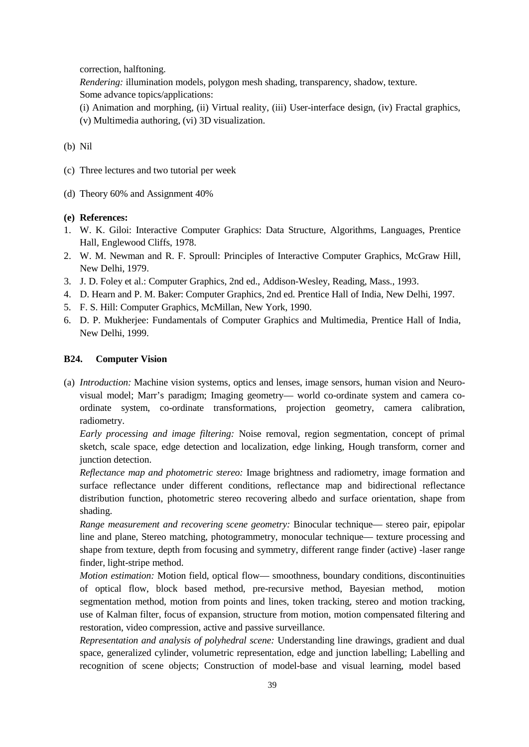correction, halftoning.

*Rendering:* illumination models, polygon mesh shading, transparency, shadow, texture.

Some advance topics/applications:

- (i) Animation and morphing, (ii) Virtual reality, (iii) User-interface design, (iv) Fractal graphics,
- (v) Multimedia authoring, (vi) 3D visualization.

## (b) Nil

- (c) Three lectures and two tutorial per week
- (d) Theory 60% and Assignment 40%

## **(e) References:**

- 1. W. K. Giloi: Interactive Computer Graphics: Data Structure, Algorithms, Languages, Prentice Hall, Englewood Cliffs, 1978.
- 2. W. M. Newman and R. F. Sproull: Principles of Interactive Computer Graphics, McGraw Hill, New Delhi, 1979.
- 3. J. D. Foley et al.: Computer Graphics, 2nd ed., Addison-Wesley, Reading, Mass., 1993.
- 4. D. Hearn and P. M. Baker: Computer Graphics, 2nd ed. Prentice Hall of India, New Delhi, 1997.
- 5. F. S. Hill: Computer Graphics, McMillan, New York, 1990.
- 6. D. P. Mukherjee: Fundamentals of Computer Graphics and Multimedia, Prentice Hall of India, New Delhi, 1999.

## **B24. Computer Vision**

(a) *Introduction:* Machine vision systems, optics and lenses, image sensors, human vision and Neurovisual model; Marr's paradigm; Imaging geometry— world co-ordinate system and camera coordinate system, co-ordinate transformations, projection geometry, camera calibration, radiometry.

*Early processing and image filtering:* Noise removal, region segmentation, concept of primal sketch, scale space, edge detection and localization, edge linking, Hough transform, corner and junction detection.

*Reflectance map and photometric stereo:* Image brightness and radiometry, image formation and surface reflectance under different conditions, reflectance map and bidirectional reflectance distribution function, photometric stereo recovering albedo and surface orientation, shape from shading.

*Range measurement and recovering scene geometry:* Binocular technique— stereo pair, epipolar line and plane, Stereo matching, photogrammetry, monocular technique— texture processing and shape from texture, depth from focusing and symmetry, different range finder (active) -laser range finder, light-stripe method.

*Motion estimation:* Motion field, optical flow— smoothness, boundary conditions, discontinuities of optical flow, block based method, pre-recursive method, Bayesian method, motion segmentation method, motion from points and lines, token tracking, stereo and motion tracking, use of Kalman filter, focus of expansion, structure from motion, motion compensated filtering and restoration, video compression, active and passive surveillance.

*Representation and analysis of polyhedral scene:* Understanding line drawings, gradient and dual space, generalized cylinder, volumetric representation, edge and junction labelling; Labelling and recognition of scene objects; Construction of model-base and visual learning, model based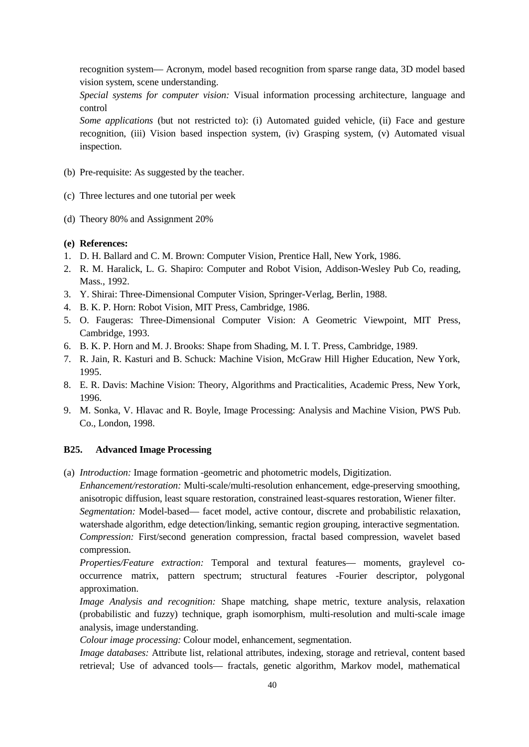recognition system— Acronym, model based recognition from sparse range data, 3D model based vision system, scene understanding.

*Special systems for computer vision:* Visual information processing architecture, language and control

*Some applications* (but not restricted to): (i) Automated guided vehicle, (ii) Face and gesture recognition, (iii) Vision based inspection system, (iv) Grasping system, (v) Automated visual inspection.

- (b) Pre-requisite: As suggested by the teacher.
- (c) Three lectures and one tutorial per week
- (d) Theory 80% and Assignment 20%
- **(e) References:**
- 1. D. H. Ballard and C. M. Brown: Computer Vision, Prentice Hall, New York, 1986.
- 2. R. M. Haralick, L. G. Shapiro: Computer and Robot Vision, Addison-Wesley Pub Co, reading, Mass., 1992.
- 3. Y. Shirai: Three-Dimensional Computer Vision, Springer-Verlag, Berlin, 1988.
- 4. B. K. P. Horn: Robot Vision, MIT Press, Cambridge, 1986.
- 5. O. Faugeras: Three-Dimensional Computer Vision: A Geometric Viewpoint, MIT Press, Cambridge, 1993.
- 6. B. K. P. Horn and M. J. Brooks: Shape from Shading, M. I. T. Press, Cambridge, 1989.
- 7. R. Jain, R. Kasturi and B. Schuck: Machine Vision, McGraw Hill Higher Education, New York, 1995.
- 8. E. R. Davis: Machine Vision: Theory, Algorithms and Practicalities, Academic Press, New York, 1996.
- 9. M. Sonka, V. Hlavac and R. Boyle, Image Processing: Analysis and Machine Vision, PWS Pub. Co., London, 1998.

#### **B25. Advanced Image Processing**

(a) *Introduction:* Image formation -geometric and photometric models, Digitization.

*Enhancement/restoration:* Multi-scale/multi-resolution enhancement, edge-preserving smoothing, anisotropic diffusion, least square restoration, constrained least-squares restoration, Wiener filter.

*Segmentation:* Model-based— facet model, active contour, discrete and probabilistic relaxation, watershade algorithm, edge detection/linking, semantic region grouping, interactive segmentation. *Compression:* First/second generation compression, fractal based compression, wavelet based compression.

*Properties/Feature extraction:* Temporal and textural features— moments, graylevel cooccurrence matrix, pattern spectrum; structural features -Fourier descriptor, polygonal approximation.

*Image Analysis and recognition:* Shape matching, shape metric, texture analysis, relaxation (probabilistic and fuzzy) technique, graph isomorphism, multi-resolution and multi-scale image analysis, image understanding.

*Colour image processing:* Colour model, enhancement, segmentation.

*Image databases:* Attribute list, relational attributes, indexing, storage and retrieval, content based retrieval; Use of advanced tools— fractals, genetic algorithm, Markov model, mathematical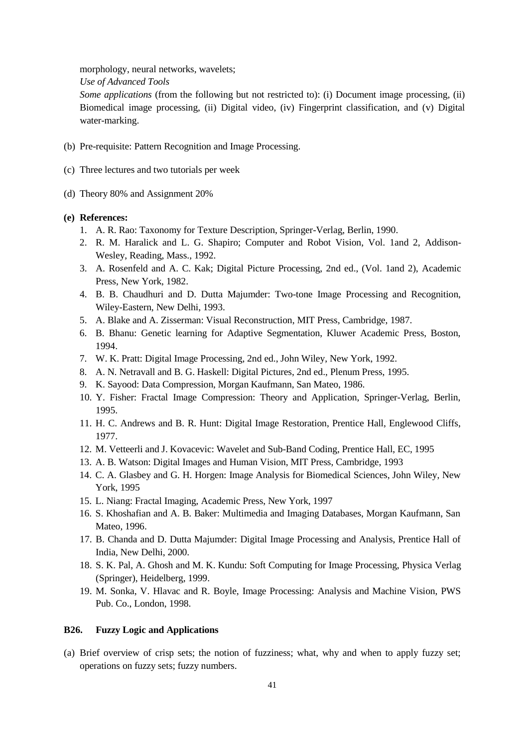morphology, neural networks, wavelets;

*Use of Advanced Tools*

*Some applications* (from the following but not restricted to): (i) Document image processing, (ii) Biomedical image processing, (ii) Digital video, (iv) Fingerprint classification, and (v) Digital water-marking.

- (b) Pre-requisite: Pattern Recognition and Image Processing.
- (c) Three lectures and two tutorials per week
- (d) Theory 80% and Assignment 20%

#### **(e) References:**

- 1. A. R. Rao: Taxonomy for Texture Description, Springer-Verlag, Berlin, 1990.
- 2. R. M. Haralick and L. G. Shapiro; Computer and Robot Vision, Vol. 1and 2, Addison-Wesley, Reading, Mass., 1992.
- 3. A. Rosenfeld and A. C. Kak; Digital Picture Processing, 2nd ed., (Vol. 1and 2), Academic Press, New York, 1982.
- 4. B. B. Chaudhuri and D. Dutta Majumder: Two-tone Image Processing and Recognition, Wiley-Eastern, New Delhi, 1993.
- 5. A. Blake and A. Zisserman: Visual Reconstruction, MIT Press, Cambridge, 1987.
- 6. B. Bhanu: Genetic learning for Adaptive Segmentation, Kluwer Academic Press, Boston, 1994.
- 7. W. K. Pratt: Digital Image Processing, 2nd ed., John Wiley, New York, 1992.
- 8. A. N. Netravall and B. G. Haskell: Digital Pictures, 2nd ed., Plenum Press, 1995.
- 9. K. Sayood: Data Compression, Morgan Kaufmann, San Mateo, 1986.
- 10. Y. Fisher: Fractal Image Compression: Theory and Application, Springer-Verlag, Berlin, 1995.
- 11. H. C. Andrews and B. R. Hunt: Digital Image Restoration, Prentice Hall, Englewood Cliffs, 1977.
- 12. M. Vetteerli and J. Kovacevic: Wavelet and Sub-Band Coding, Prentice Hall, EC, 1995
- 13. A. B. Watson: Digital Images and Human Vision, MIT Press, Cambridge, 1993
- 14. C. A. Glasbey and G. H. Horgen: Image Analysis for Biomedical Sciences, John Wiley, New York, 1995
- 15. L. Niang: Fractal Imaging, Academic Press, New York, 1997
- 16. S. Khoshafian and A. B. Baker: Multimedia and Imaging Databases, Morgan Kaufmann, San Mateo, 1996.
- 17. B. Chanda and D. Dutta Majumder: Digital Image Processing and Analysis, Prentice Hall of India, New Delhi, 2000.
- 18. S. K. Pal, A. Ghosh and M. K. Kundu: Soft Computing for Image Processing, Physica Verlag (Springer), Heidelberg, 1999.
- 19. M. Sonka, V. Hlavac and R. Boyle, Image Processing: Analysis and Machine Vision, PWS Pub. Co., London, 1998.

#### **B26. Fuzzy Logic and Applications**

(a) Brief overview of crisp sets; the notion of fuzziness; what, why and when to apply fuzzy set; operations on fuzzy sets; fuzzy numbers.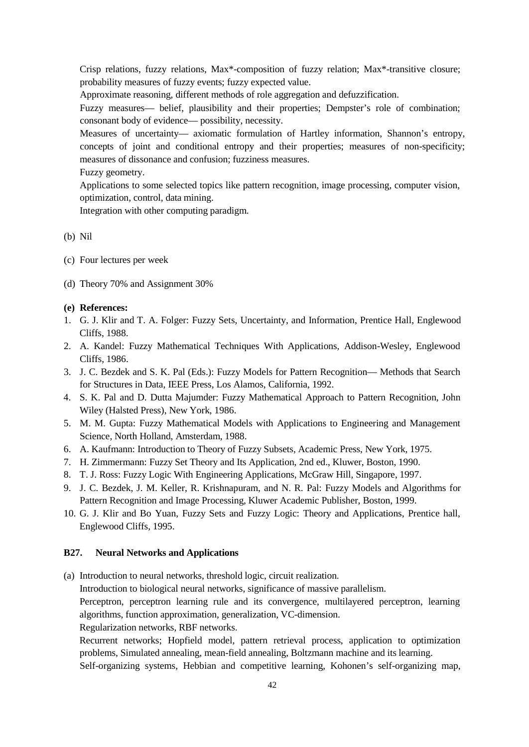Crisp relations, fuzzy relations, Max\*-composition of fuzzy relation; Max\*-transitive closure; probability measures of fuzzy events; fuzzy expected value.

Approximate reasoning, different methods of role aggregation and defuzzification.

Fuzzy measures— belief, plausibility and their properties; Dempster's role of combination; consonant body of evidence— possibility, necessity.

Measures of uncertainty— axiomatic formulation of Hartley information, Shannon's entropy, concepts of joint and conditional entropy and their properties; measures of non-specificity; measures of dissonance and confusion; fuzziness measures.

Fuzzy geometry.

Applications to some selected topics like pattern recognition, image processing, computer vision, optimization, control, data mining.

Integration with other computing paradigm.

#### (b) Nil

- (c) Four lectures per week
- (d) Theory 70% and Assignment 30%

#### **(e) References:**

- 1. G. J. Klir and T. A. Folger: Fuzzy Sets, Uncertainty, and Information, Prentice Hall, Englewood Cliffs, 1988.
- 2. A. Kandel: Fuzzy Mathematical Techniques With Applications, Addison-Wesley, Englewood Cliffs, 1986.
- 3. J. C. Bezdek and S. K. Pal (Eds.): Fuzzy Models for Pattern Recognition— Methods that Search for Structures in Data, IEEE Press, Los Alamos, California, 1992.
- 4. S. K. Pal and D. Dutta Majumder: Fuzzy Mathematical Approach to Pattern Recognition, John Wiley (Halsted Press), New York, 1986.
- 5. M. M. Gupta: Fuzzy Mathematical Models with Applications to Engineering and Management Science, North Holland, Amsterdam, 1988.
- 6. A. Kaufmann: Introduction to Theory of Fuzzy Subsets, Academic Press, New York, 1975.
- 7. H. Zimmermann: Fuzzy Set Theory and Its Application, 2nd ed., Kluwer, Boston, 1990.
- 8. T. J. Ross: Fuzzy Logic With Engineering Applications, McGraw Hill, Singapore, 1997.
- 9. J. C. Bezdek, J. M. Keller, R. Krishnapuram, and N. R. Pal: Fuzzy Models and Algorithms for Pattern Recognition and Image Processing, Kluwer Academic Publisher, Boston, 1999.
- 10. G. J. Klir and Bo Yuan, Fuzzy Sets and Fuzzy Logic: Theory and Applications, Prentice hall, Englewood Cliffs, 1995.

#### **B27. Neural Networks and Applications**

(a) Introduction to neural networks, threshold logic, circuit realization. Introduction to biological neural networks, significance of massive parallelism. Perceptron, perceptron learning rule and its convergence, multilayered perceptron, learning algorithms, function approximation, generalization, VC-dimension. Regularization networks, RBF networks. Recurrent networks; Hopfield model, pattern retrieval process, application to optimization problems, Simulated annealing, mean-field annealing, Boltzmann machine and its learning. Self-organizing systems, Hebbian and competitive learning, Kohonen's self-organizing map,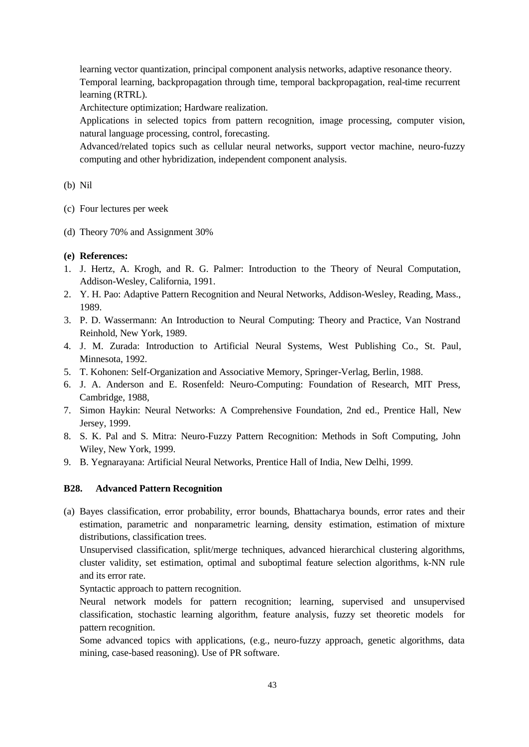learning vector quantization, principal component analysis networks, adaptive resonance theory. Temporal learning, backpropagation through time, temporal backpropagation, real-time recurrent learning (RTRL).

Architecture optimization; Hardware realization.

Applications in selected topics from pattern recognition, image processing, computer vision, natural language processing, control, forecasting.

Advanced/related topics such as cellular neural networks, support vector machine, neuro-fuzzy computing and other hybridization, independent component analysis.

#### (b) Nil

- (c) Four lectures per week
- (d) Theory 70% and Assignment 30%

#### **(e) References:**

- 1. J. Hertz, A. Krogh, and R. G. Palmer: Introduction to the Theory of Neural Computation, Addison-Wesley, California, 1991.
- 2. Y. H. Pao: Adaptive Pattern Recognition and Neural Networks, Addison-Wesley, Reading, Mass., 1989.
- 3. P. D. Wassermann: An Introduction to Neural Computing: Theory and Practice, Van Nostrand Reinhold, New York, 1989.
- 4. J. M. Zurada: Introduction to Artificial Neural Systems, West Publishing Co., St. Paul, Minnesota, 1992.
- 5. T. Kohonen: Self-Organization and Associative Memory, Springer-Verlag, Berlin, 1988.
- 6. J. A. Anderson and E. Rosenfeld: Neuro-Computing: Foundation of Research, MIT Press, Cambridge, 1988,
- 7. Simon Haykin: Neural Networks: A Comprehensive Foundation, 2nd ed., Prentice Hall, New Jersey, 1999.
- 8. S. K. Pal and S. Mitra: Neuro-Fuzzy Pattern Recognition: Methods in Soft Computing, John Wiley, New York, 1999.
- 9. B. Yegnarayana: Artificial Neural Networks, Prentice Hall of India, New Delhi, 1999.

## **B28. Advanced Pattern Recognition**

(a) Bayes classification, error probability, error bounds, Bhattacharya bounds, error rates and their estimation, parametric and nonparametric learning, density estimation, estimation of mixture distributions, classification trees.

Unsupervised classification, split/merge techniques, advanced hierarchical clustering algorithms, cluster validity, set estimation, optimal and suboptimal feature selection algorithms, k-NN rule and its error rate.

Syntactic approach to pattern recognition.

Neural network models for pattern recognition; learning, supervised and unsupervised classification, stochastic learning algorithm, feature analysis, fuzzy set theoretic models for pattern recognition.

Some advanced topics with applications, (e.g., neuro-fuzzy approach, genetic algorithms, data mining, case-based reasoning). Use of PR software.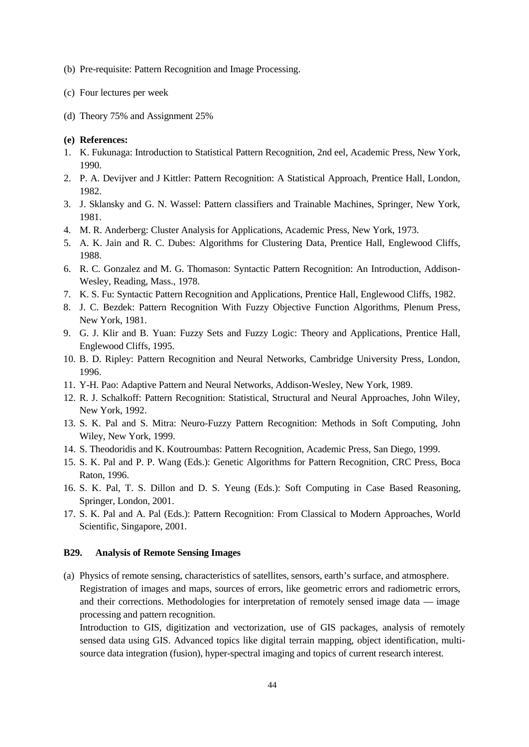- (b) Pre-requisite: Pattern Recognition and Image Processing.
- (c) Four lectures per week
- (d) Theory 75% and Assignment 25%

- 1. K. Fukunaga: Introduction to Statistical Pattern Recognition, 2nd eel, Academic Press, New York, 1990.
- 2. P. A. Devijver and J Kittler: Pattern Recognition: A Statistical Approach, Prentice Hall, London, 1982.
- 3. J. Sklansky and G. N. Wassel: Pattern classifiers and Trainable Machines, Springer, New York, 1981.
- 4. M. R. Anderberg: Cluster Analysis for Applications, Academic Press, New York, 1973.
- 5. A. K. Jain and R. C. Dubes: Algorithms for Clustering Data, Prentice Hall, Englewood Cliffs, 1988.
- 6. R. C. Gonzalez and M. G. Thomason: Syntactic Pattern Recognition: An Introduction, Addison-Wesley, Reading, Mass., 1978.
- 7. K. S. Fu: Syntactic Pattern Recognition and Applications, Prentice Hall, Englewood Cliffs, 1982.
- 8. J. C. Bezdek: Pattern Recognition With Fuzzy Objective Function Algorithms, Plenum Press, New York, 1981.
- 9. G. J. Klir and B. Yuan: Fuzzy Sets and Fuzzy Logic: Theory and Applications, Prentice Hall, Englewood Cliffs, 1995.
- 10. B. D. Ripley: Pattern Recognition and Neural Networks, Cambridge University Press, London, 1996.
- 11. Y-H. Pao: Adaptive Pattern and Neural Networks, Addison-Wesley, New York, 1989.
- 12. R. J. Schalkoff: Pattern Recognition: Statistical, Structural and Neural Approaches, John Wiley, New York, 1992.
- 13. S. K. Pal and S. Mitra: Neuro-Fuzzy Pattern Recognition: Methods in Soft Computing, John Wiley, New York, 1999.
- 14. S. Theodoridis and K. Koutroumbas: Pattern Recognition, Academic Press, San Diego, 1999.
- 15. S. K. Pal and P. P. Wang (Eds.): Genetic Algorithms for Pattern Recognition, CRC Press, Boca Raton, 1996.
- 16. S. K. Pal, T. S. Dillon and D. S. Yeung (Eds.): Soft Computing in Case Based Reasoning, Springer, London, 2001.
- 17. S. K. Pal and A. Pal (Eds.): Pattern Recognition: From Classical to Modern Approaches, World Scientific, Singapore, 2001.

#### **B29. Analysis of Remote Sensing Images**

(a) Physics of remote sensing, characteristics of satellites, sensors, earth's surface, and atmosphere. Registration of images and maps, sources of errors, like geometric errors and radiometric errors, and their corrections. Methodologies for interpretation of remotely sensed image data — image processing and pattern recognition.

Introduction to GIS, digitization and vectorization, use of GIS packages, analysis of remotely sensed data using GIS. Advanced topics like digital terrain mapping, object identification, multisource data integration (fusion), hyper-spectral imaging and topics of current research interest.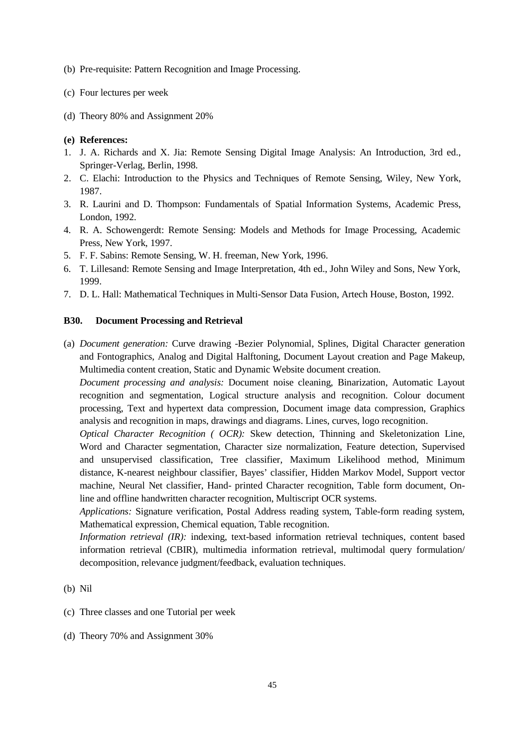- (b) Pre-requisite: Pattern Recognition and Image Processing.
- (c) Four lectures per week
- (d) Theory 80% and Assignment 20%

- 1. J. A. Richards and X. Jia: Remote Sensing Digital Image Analysis: An Introduction, 3rd ed., Springer-Verlag, Berlin, 1998.
- 2. C. Elachi: Introduction to the Physics and Techniques of Remote Sensing, Wiley, New York, 1987.
- 3. R. Laurini and D. Thompson: Fundamentals of Spatial Information Systems, Academic Press, London, 1992.
- 4. R. A. Schowengerdt: Remote Sensing: Models and Methods for Image Processing, Academic Press, New York, 1997.
- 5. F. F. Sabins: Remote Sensing, W. H. freeman, New York, 1996.
- 6. T. Lillesand: Remote Sensing and Image Interpretation, 4th ed., John Wiley and Sons, New York, 1999.
- 7. D. L. Hall: Mathematical Techniques in Multi-Sensor Data Fusion, Artech House, Boston, 1992.

#### **B30. Document Processing and Retrieval**

(a) *Document generation:* Curve drawing -Bezier Polynomial, Splines, Digital Character generation and Fontographics, Analog and Digital Halftoning, Document Layout creation and Page Makeup, Multimedia content creation, Static and Dynamic Website document creation.

*Document processing and analysis:* Document noise cleaning, Binarization, Automatic Layout recognition and segmentation, Logical structure analysis and recognition. Colour document processing, Text and hypertext data compression, Document image data compression, Graphics analysis and recognition in maps, drawings and diagrams. Lines, curves, logo recognition.

*Optical Character Recognition ( OCR):* Skew detection, Thinning and Skeletonization Line, Word and Character segmentation, Character size normalization, Feature detection, Supervised and unsupervised classification, Tree classifier, Maximum Likelihood method, Minimum distance, K-nearest neighbour classifier, Bayes' classifier, Hidden Markov Model, Support vector machine, Neural Net classifier, Hand- printed Character recognition, Table form document, Online and offline handwritten character recognition, Multiscript OCR systems.

*Applications:* Signature verification, Postal Address reading system, Table-form reading system, Mathematical expression, Chemical equation, Table recognition.

*Information retrieval (IR):* indexing, text-based information retrieval techniques, content based information retrieval (CBIR), multimedia information retrieval, multimodal query formulation/ decomposition, relevance judgment/feedback, evaluation techniques.

#### (b) Nil

- (c) Three classes and one Tutorial per week
- (d) Theory 70% and Assignment 30%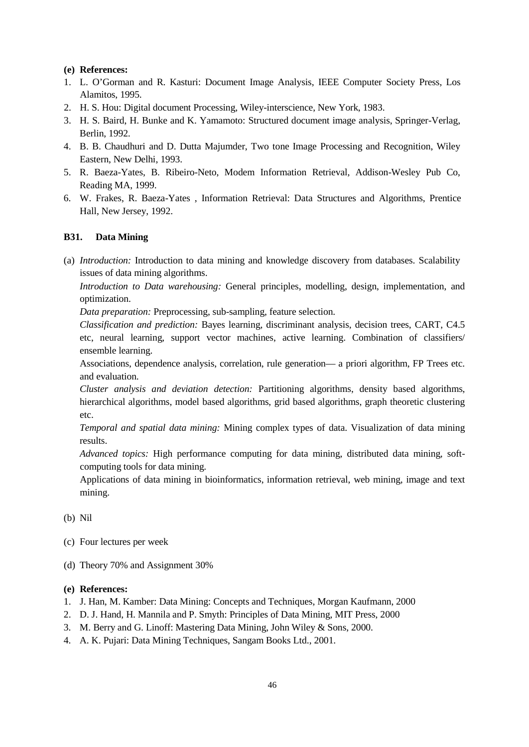- 1. L. O'Gorman and R. Kasturi: Document Image Analysis, IEEE Computer Society Press, Los Alamitos, 1995.
- 2. H. S. Hou: Digital document Processing, Wiley-interscience, New York, 1983.
- 3. H. S. Baird, H. Bunke and K. Yamamoto: Structured document image analysis, Springer-Verlag, Berlin, 1992.
- 4. B. B. Chaudhuri and D. Dutta Majumder, Two tone Image Processing and Recognition, Wiley Eastern, New Delhi, 1993.
- 5. R. Baeza-Yates, B. Ribeiro-Neto, Modem Information Retrieval, Addison-Wesley Pub Co, Reading MA, 1999.
- 6. W. Frakes, R. Baeza-Yates , Information Retrieval: Data Structures and Algorithms, Prentice Hall, New Jersey, 1992.

## **B31. Data Mining**

(a) *Introduction:* Introduction to data mining and knowledge discovery from databases. Scalability issues of data mining algorithms.

*Introduction to Data warehousing:* General principles, modelling, design, implementation, and optimization.

*Data preparation:* Preprocessing, sub-sampling, feature selection.

*Classification and prediction:* Bayes learning, discriminant analysis, decision trees, CART, C4.5 etc, neural learning, support vector machines, active learning. Combination of classifiers/ ensemble learning.

Associations, dependence analysis, correlation, rule generation— a priori algorithm, FP Trees etc. and evaluation.

*Cluster analysis and deviation detection:* Partitioning algorithms, density based algorithms, hierarchical algorithms, model based algorithms, grid based algorithms, graph theoretic clustering etc.

*Temporal and spatial data mining:* Mining complex types of data. Visualization of data mining results.

*Advanced topics:* High performance computing for data mining, distributed data mining, softcomputing tools for data mining.

Applications of data mining in bioinformatics, information retrieval, web mining, image and text mining.

(b) Nil

- (c) Four lectures per week
- (d) Theory 70% and Assignment 30%

- 1. J. Han, M. Kamber: Data Mining: Concepts and Techniques, Morgan Kaufmann, 2000
- 2. D. J. Hand, H. Mannila and P. Smyth: Principles of Data Mining, MIT Press, 2000
- 3. M. Berry and G. Linoff: Mastering Data Mining, John Wiley & Sons, 2000.
- 4. A. K. Pujari: Data Mining Techniques, Sangam Books Ltd., 2001.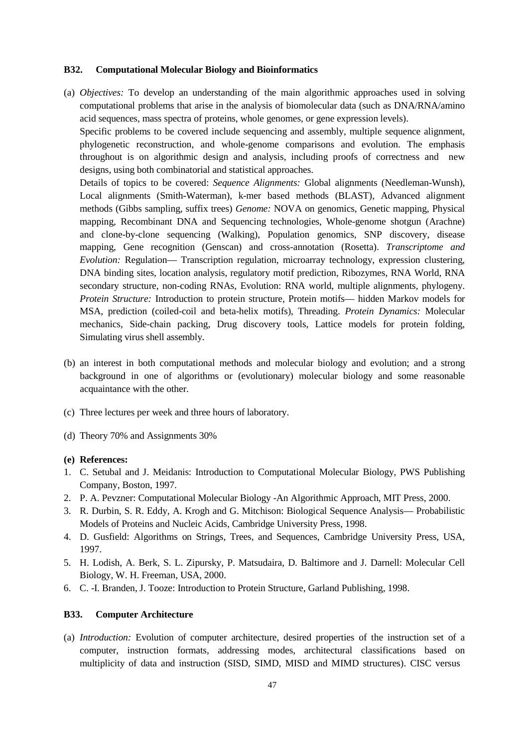#### **B32. Computational Molecular Biology and Bioinformatics**

(a) *Objectives:* To develop an understanding of the main algorithmic approaches used in solving computational problems that arise in the analysis of biomolecular data (such as DNA/RNA/amino acid sequences, mass spectra of proteins, whole genomes, or gene expression levels).

Specific problems to be covered include sequencing and assembly, multiple sequence alignment, phylogenetic reconstruction, and whole-genome comparisons and evolution. The emphasis throughout is on algorithmic design and analysis, including proofs of correctness and new designs, using both combinatorial and statistical approaches.

Details of topics to be covered: *Sequence Alignments:* Global alignments (Needleman-Wunsh), Local alignments (Smith-Waterman), k-mer based methods (BLAST), Advanced alignment methods (Gibbs sampling, suffix trees) *Genome:* NOVA on genomics, Genetic mapping, Physical mapping, Recombinant DNA and Sequencing technologies, Whole-genome shotgun (Arachne) and clone-by-clone sequencing (Walking), Population genomics, SNP discovery, disease mapping, Gene recognition (Genscan) and cross-annotation (Rosetta). *Transcriptome and Evolution:* Regulation— Transcription regulation, microarray technology, expression clustering, DNA binding sites, location analysis, regulatory motif prediction, Ribozymes, RNA World, RNA secondary structure, non-coding RNAs, Evolution: RNA world, multiple alignments, phylogeny. *Protein Structure:* Introduction to protein structure, Protein motifs— hidden Markov models for MSA, prediction (coiled-coil and beta-helix motifs), Threading. *Protein Dynamics:* Molecular mechanics, Side-chain packing, Drug discovery tools, Lattice models for protein folding, Simulating virus shell assembly.

- (b) an interest in both computational methods and molecular biology and evolution; and a strong background in one of algorithms or (evolutionary) molecular biology and some reasonable acquaintance with the other.
- (c) Three lectures per week and three hours of laboratory.
- (d) Theory 70% and Assignments 30%

#### **(e) References:**

- 1. C. Setubal and J. Meidanis: Introduction to Computational Molecular Biology, PWS Publishing Company, Boston, 1997.
- 2. P. A. Pevzner: Computational Molecular Biology -An Algorithmic Approach, MIT Press, 2000.
- 3. R. Durbin, S. R. Eddy, A. Krogh and G. Mitchison: Biological Sequence Analysis— Probabilistic Models of Proteins and Nucleic Acids, Cambridge University Press, 1998.
- 4. D. Gusfield: Algorithms on Strings, Trees, and Sequences, Cambridge University Press, USA, 1997.
- 5. H. Lodish, A. Berk, S. L. Zipursky, P. Matsudaira, D. Baltimore and J. Darnell: Molecular Cell Biology, W. H. Freeman, USA, 2000.
- 6. C. -I. Branden, J. Tooze: Introduction to Protein Structure, Garland Publishing, 1998.

#### **B33. Computer Architecture**

(a) *Introduction:* Evolution of computer architecture, desired properties of the instruction set of a computer, instruction formats, addressing modes, architectural classifications based on multiplicity of data and instruction (SISD, SIMD, MISD and MIMD structures). CISC versus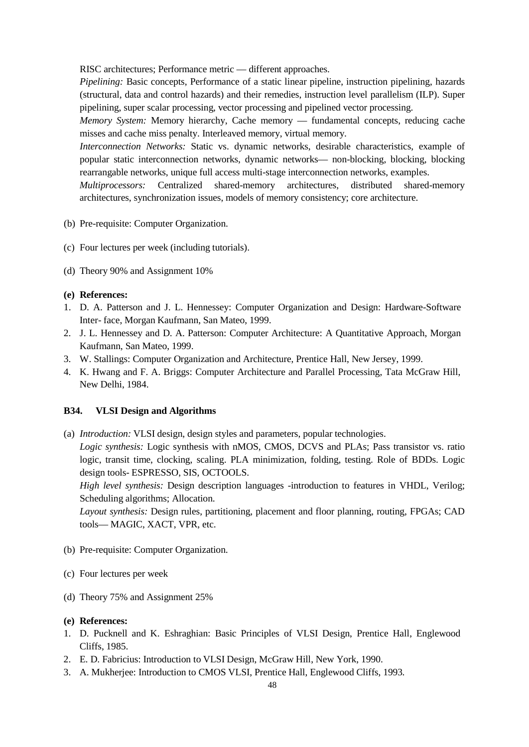RISC architectures; Performance metric — different approaches.

*Pipelining:* Basic concepts, Performance of a static linear pipeline, instruction pipelining, hazards (structural, data and control hazards) and their remedies, instruction level parallelism (ILP). Super pipelining, super scalar processing, vector processing and pipelined vector processing.

*Memory System:* Memory hierarchy, Cache memory — fundamental concepts, reducing cache misses and cache miss penalty. Interleaved memory, virtual memory.

*Interconnection Networks:* Static vs. dynamic networks, desirable characteristics, example of popular static interconnection networks, dynamic networks— non-blocking, blocking, blocking rearrangable networks, unique full access multi-stage interconnection networks, examples.

*Multiprocessors:* Centralized shared-memory architectures, distributed shared-memory architectures, synchronization issues, models of memory consistency; core architecture.

- (b) Pre-requisite: Computer Organization.
- (c) Four lectures per week (including tutorials).
- (d) Theory 90% and Assignment 10%

#### **(e) References:**

- 1. D. A. Patterson and J. L. Hennessey: Computer Organization and Design: Hardware-Software Inter- face, Morgan Kaufmann, San Mateo, 1999.
- 2. J. L. Hennessey and D. A. Patterson: Computer Architecture: A Quantitative Approach, Morgan Kaufmann, San Mateo, 1999.
- 3. W. Stallings: Computer Organization and Architecture, Prentice Hall, New Jersey, 1999.
- 4. K. Hwang and F. A. Briggs: Computer Architecture and Parallel Processing, Tata McGraw Hill, New Delhi, 1984.

#### **B34. VLSI Design and Algorithms**

(a) *Introduction:* VLSI design, design styles and parameters, popular technologies.

*Logic synthesis:* Logic synthesis with nMOS, CMOS, DCVS and PLAs; Pass transistor vs. ratio logic, transit time, clocking, scaling. PLA minimization, folding, testing. Role of BDDs. Logic design tools- ESPRESSO, SIS, OCTOOLS.

*High level synthesis:* Design description languages -introduction to features in VHDL, Verilog; Scheduling algorithms; Allocation.

*Layout synthesis:* Design rules, partitioning, placement and floor planning, routing, FPGAs; CAD tools— MAGIC, XACT, VPR, etc.

- (b) Pre-requisite: Computer Organization.
- (c) Four lectures per week
- (d) Theory 75% and Assignment 25%

- 1. D. Pucknell and K. Eshraghian: Basic Principles of VLSI Design, Prentice Hall, Englewood Cliffs, 1985.
- 2. E. D. Fabricius: Introduction to VLSI Design, McGraw Hill, New York, 1990.
- 3. A. Mukherjee: Introduction to CMOS VLSI, Prentice Hall, Englewood Cliffs, 1993.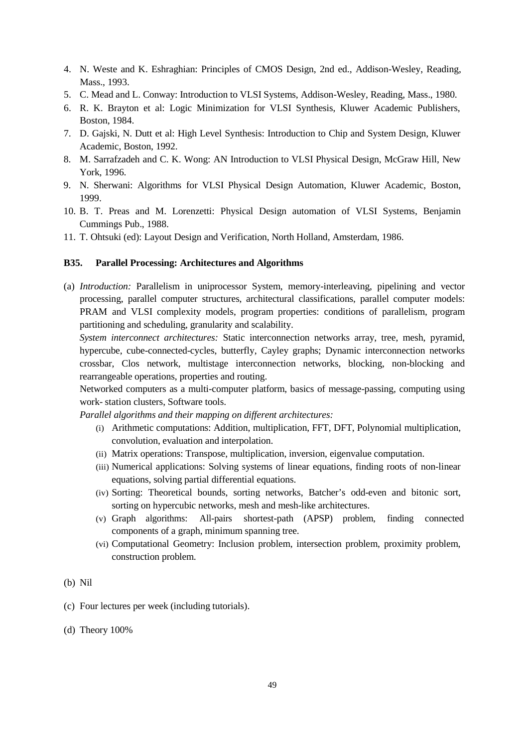- 4. N. Weste and K. Eshraghian: Principles of CMOS Design, 2nd ed., Addison-Wesley, Reading, Mass., 1993.
- 5. C. Mead and L. Conway: Introduction to VLSI Systems, Addison-Wesley, Reading, Mass., 1980.
- 6. R. K. Brayton et al: Logic Minimization for VLSI Synthesis, Kluwer Academic Publishers, Boston, 1984.
- 7. D. Gajski, N. Dutt et al: High Level Synthesis: Introduction to Chip and System Design, Kluwer Academic, Boston, 1992.
- 8. M. Sarrafzadeh and C. K. Wong: AN Introduction to VLSI Physical Design, McGraw Hill, New York, 1996.
- 9. N. Sherwani: Algorithms for VLSI Physical Design Automation, Kluwer Academic, Boston, 1999.
- 10. B. T. Preas and M. Lorenzetti: Physical Design automation of VLSI Systems, Benjamin Cummings Pub., 1988.
- 11. T. Ohtsuki (ed): Layout Design and Verification, North Holland, Amsterdam, 1986.

#### **B35. Parallel Processing: Architectures and Algorithms**

(a) *Introduction:* Parallelism in uniprocessor System, memory-interleaving, pipelining and vector processing, parallel computer structures, architectural classifications, parallel computer models: PRAM and VLSI complexity models, program properties: conditions of parallelism, program partitioning and scheduling, granularity and scalability.

*System interconnect architectures:* Static interconnection networks array, tree, mesh, pyramid, hypercube, cube-connected-cycles, butterfly, Cayley graphs; Dynamic interconnection networks crossbar, Clos network, multistage interconnection networks, blocking, non-blocking and rearrangeable operations, properties and routing.

Networked computers as a multi-computer platform, basics of message-passing, computing using work- station clusters, Software tools.

*Parallel algorithms and their mapping on different architectures:*

- (i) Arithmetic computations: Addition, multiplication, FFT, DFT, Polynomial multiplication, convolution, evaluation and interpolation.
- (ii) Matrix operations: Transpose, multiplication, inversion, eigenvalue computation.
- (iii) Numerical applications: Solving systems of linear equations, finding roots of non-linear equations, solving partial differential equations.
- (iv) Sorting: Theoretical bounds, sorting networks, Batcher's odd-even and bitonic sort, sorting on hypercubic networks, mesh and mesh-like architectures.
- (v) Graph algorithms: All-pairs shortest-path (APSP) problem, finding connected components of a graph, minimum spanning tree.
- (vi) Computational Geometry: Inclusion problem, intersection problem, proximity problem, construction problem.

#### (b) Nil

- (c) Four lectures per week (including tutorials).
- (d) Theory 100%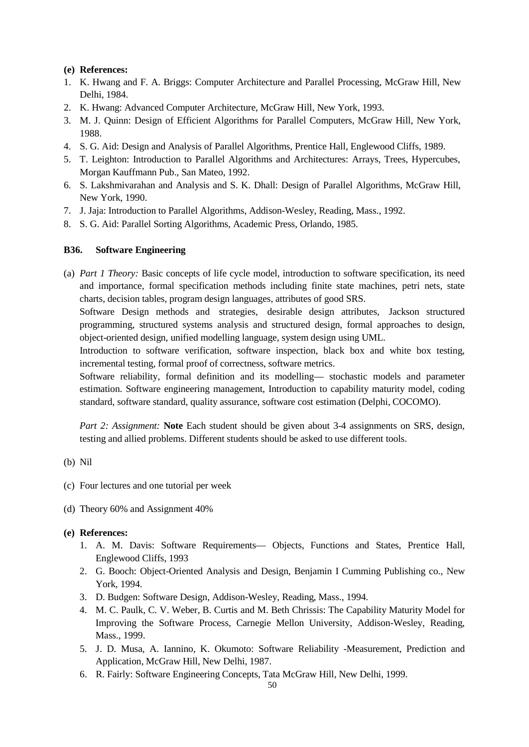- 1. K. Hwang and F. A. Briggs: Computer Architecture and Parallel Processing, McGraw Hill, New Delhi, 1984.
- 2. K. Hwang: Advanced Computer Architecture, McGraw Hill, New York, 1993.
- 3. M. J. Quinn: Design of Efficient Algorithms for Parallel Computers, McGraw Hill, New York, 1988.
- 4. S. G. Aid: Design and Analysis of Parallel Algorithms, Prentice Hall, Englewood Cliffs, 1989.
- 5. T. Leighton: Introduction to Parallel Algorithms and Architectures: Arrays, Trees, Hypercubes, Morgan Kauffmann Pub., San Mateo, 1992.
- 6. S. Lakshmivarahan and Analysis and S. K. Dhall: Design of Parallel Algorithms, McGraw Hill, New York, 1990.
- 7. J. Jaja: Introduction to Parallel Algorithms, Addison-Wesley, Reading, Mass., 1992.
- 8. S. G. Aid: Parallel Sorting Algorithms, Academic Press, Orlando, 1985.

## **B36. Software Engineering**

(a) *Part 1 Theory:* Basic concepts of life cycle model, introduction to software specification, its need and importance, formal specification methods including finite state machines, petri nets, state charts, decision tables, program design languages, attributes of good SRS.

Software Design methods and strategies, desirable design attributes, Jackson structured programming, structured systems analysis and structured design, formal approaches to design, object-oriented design, unified modelling language, system design using UML.

Introduction to software verification, software inspection, black box and white box testing, incremental testing, formal proof of correctness, software metrics.

Software reliability, formal definition and its modelling— stochastic models and parameter estimation. Software engineering management, Introduction to capability maturity model, coding standard, software standard, quality assurance, software cost estimation (Delphi, COCOMO).

*Part 2: Assignment:* **Note** Each student should be given about 3-4 assignments on SRS, design, testing and allied problems. Different students should be asked to use different tools.

- (b) Nil
- (c) Four lectures and one tutorial per week
- (d) Theory 60% and Assignment 40%

- 1. A. M. Davis: Software Requirements— Objects, Functions and States, Prentice Hall, Englewood Cliffs, 1993
- 2. G. Booch: Object-Oriented Analysis and Design, Benjamin I Cumming Publishing co., New York, 1994.
- 3. D. Budgen: Software Design, Addison-Wesley, Reading, Mass., 1994.
- 4. M. C. Paulk, C. V. Weber, B. Curtis and M. Beth Chrissis: The Capability Maturity Model for Improving the Software Process, Carnegie Mellon University, Addison-Wesley, Reading, Mass., 1999.
- 5. J. D. Musa, A. Iannino, K. Okumoto: Software Reliability -Measurement, Prediction and Application, McGraw Hill, New Delhi, 1987.
- 6. R. Fairly: Software Engineering Concepts, Tata McGraw Hill, New Delhi, 1999.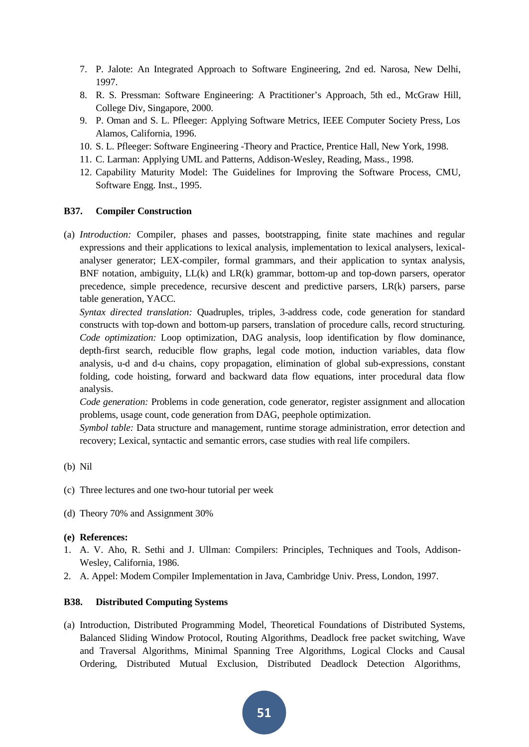- 7. P. Jalote: An Integrated Approach to Software Engineering, 2nd ed. Narosa, New Delhi, 1997.
- 8. R. S. Pressman: Software Engineering: A Practitioner's Approach, 5th ed., McGraw Hill, College Div, Singapore, 2000.
- 9. P. Oman and S. L. Pfleeger: Applying Software Metrics, IEEE Computer Society Press, Los Alamos, California, 1996.
- 10. S. L. Pfleeger: Software Engineering -Theory and Practice, Prentice Hall, New York, 1998.
- 11. C. Larman: Applying UML and Patterns, Addison-Wesley, Reading, Mass., 1998.
- 12. Capability Maturity Model: The Guidelines for Improving the Software Process, CMU, Software Engg. Inst., 1995.

## **B37. Compiler Construction**

(a) *Introduction:* Compiler, phases and passes, bootstrapping, finite state machines and regular expressions and their applications to lexical analysis, implementation to lexical analysers, lexicalanalyser generator; LEX-compiler, formal grammars, and their application to syntax analysis, BNF notation, ambiguity, LL(k) and LR(k) grammar, bottom-up and top-down parsers, operator precedence, simple precedence, recursive descent and predictive parsers, LR(k) parsers, parse table generation, YACC.

*Syntax directed translation:* Quadruples, triples, 3-address code, code generation for standard constructs with top-down and bottom-up parsers, translation of procedure calls, record structuring. *Code optimization:* Loop optimization, DAG analysis, loop identification by flow dominance, depth-first search, reducible flow graphs, legal code motion, induction variables, data flow analysis, u-d and d-u chains, copy propagation, elimination of global sub-expressions, constant folding, code hoisting, forward and backward data flow equations, inter procedural data flow analysis.

*Code generation:* Problems in code generation, code generator, register assignment and allocation problems, usage count, code generation from DAG, peephole optimization.

*Symbol table:* Data structure and management, runtime storage administration, error detection and recovery; Lexical, syntactic and semantic errors, case studies with real life compilers.

- (c) Three lectures and one two-hour tutorial per week
- (d) Theory 70% and Assignment 30%

## **(e) References:**

- 1. A. V. Aho, R. Sethi and J. Ullman: Compilers: Principles, Techniques and Tools, Addison-Wesley, California, 1986.
- 2. A. Appel: Modem Compiler Implementation in Java, Cambridge Univ. Press, London, 1997.

## **B38. Distributed Computing Systems**

(a) Introduction, Distributed Programming Model, Theoretical Foundations of Distributed Systems, Balanced Sliding Window Protocol, Routing Algorithms, Deadlock free packet switching, Wave and Traversal Algorithms, Minimal Spanning Tree Algorithms, Logical Clocks and Causal Ordering, Distributed Mutual Exclusion, Distributed Deadlock Detection Algorithms,

<sup>(</sup>b) Nil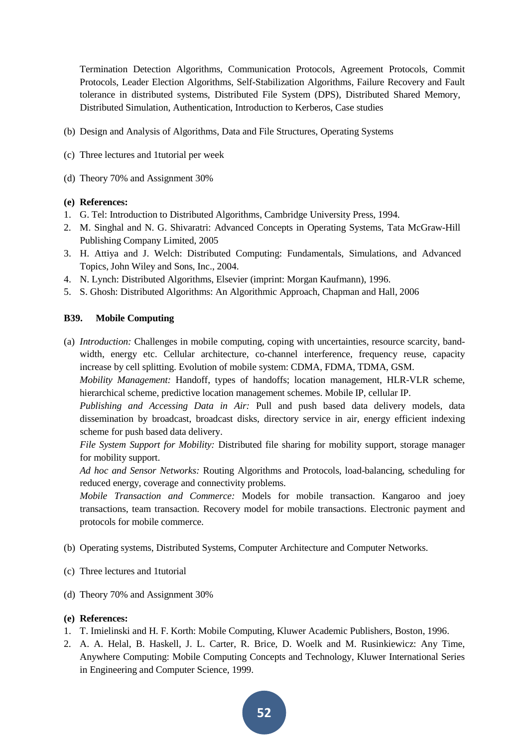Termination Detection Algorithms, Communication Protocols, Agreement Protocols, Commit Protocols, Leader Election Algorithms, Self-Stabilization Algorithms, Failure Recovery and Fault tolerance in distributed systems, Distributed File System (DPS), Distributed Shared Memory, Distributed Simulation, Authentication, Introduction to Kerberos, Case studies

- (b) Design and Analysis of Algorithms, Data and File Structures, Operating Systems
- (c) Three lectures and 1tutorial per week
- (d) Theory 70% and Assignment 30%

## **(e) References:**

- 1. G. Tel: Introduction to Distributed Algorithms, Cambridge University Press, 1994.
- 2. M. Singhal and N. G. Shivaratri: Advanced Concepts in Operating Systems, Tata McGraw-Hill Publishing Company Limited, 2005
- 3. H. Attiya and J. Welch: Distributed Computing: Fundamentals, Simulations, and Advanced Topics, John Wiley and Sons, Inc., 2004.
- 4. N. Lynch: Distributed Algorithms, Elsevier (imprint: Morgan Kaufmann), 1996.
- 5. S. Ghosh: Distributed Algorithms: An Algorithmic Approach, Chapman and Hall, 2006

## **B39. Mobile Computing**

(a) *Introduction:* Challenges in mobile computing, coping with uncertainties, resource scarcity, bandwidth, energy etc. Cellular architecture, co-channel interference, frequency reuse, capacity increase by cell splitting. Evolution of mobile system: CDMA, FDMA, TDMA, GSM.

*Mobility Management:* Handoff, types of handoffs; location management, HLR-VLR scheme, hierarchical scheme, predictive location management schemes. Mobile IP, cellular IP.

*Publishing and Accessing Data in Air:* Pull and push based data delivery models, data dissemination by broadcast, broadcast disks, directory service in air, energy efficient indexing scheme for push based data delivery.

*File System Support for Mobility:* Distributed file sharing for mobility support, storage manager for mobility support.

*Ad hoc and Sensor Networks:* Routing Algorithms and Protocols, load-balancing, scheduling for reduced energy, coverage and connectivity problems.

*Mobile Transaction and Commerce:* Models for mobile transaction. Kangaroo and joey transactions, team transaction. Recovery model for mobile transactions. Electronic payment and protocols for mobile commerce.

- (b) Operating systems, Distributed Systems, Computer Architecture and Computer Networks.
- (c) Three lectures and 1tutorial
- (d) Theory 70% and Assignment 30%

- 1. T. Imielinski and H. F. Korth: Mobile Computing, Kluwer Academic Publishers, Boston, 1996.
- 2. A. A. Helal, B. Haskell, J. L. Carter, R. Brice, D. Woelk and M. Rusinkiewicz: Any Time, Anywhere Computing: Mobile Computing Concepts and Technology, Kluwer International Series in Engineering and Computer Science, 1999.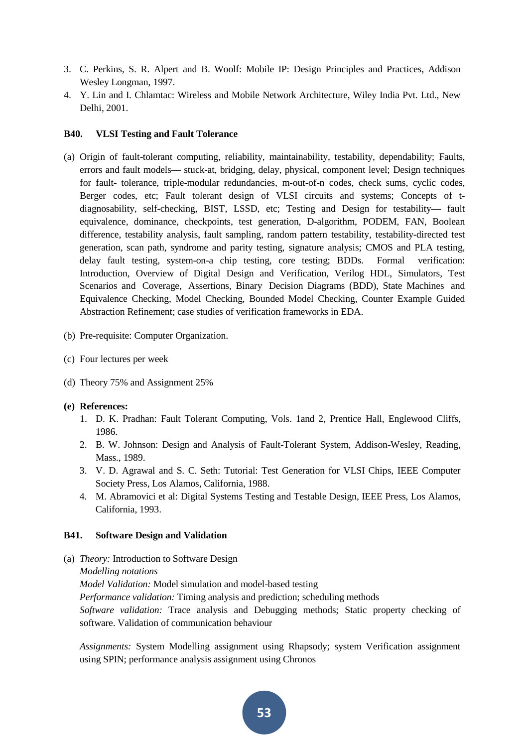- 3. C. Perkins, S. R. Alpert and B. Woolf: Mobile IP: Design Principles and Practices, Addison Wesley Longman, 1997.
- 4. Y. Lin and I. Chlamtac: Wireless and Mobile Network Architecture, Wiley India Pvt. Ltd., New Delhi, 2001.

## **B40. VLSI Testing and Fault Tolerance**

- (a) Origin of fault-tolerant computing, reliability, maintainability, testability, dependability; Faults, errors and fault models— stuck-at, bridging, delay, physical, component level; Design techniques for fault- tolerance, triple-modular redundancies, m-out-of-n codes, check sums, cyclic codes, Berger codes, etc; Fault tolerant design of VLSI circuits and systems; Concepts of tdiagnosability, self-checking, BIST, LSSD, etc; Testing and Design for testability— fault equivalence, dominance, checkpoints, test generation, D-algorithm, PODEM, FAN, Boolean difference, testability analysis, fault sampling, random pattern testability, testability-directed test generation, scan path, syndrome and parity testing, signature analysis; CMOS and PLA testing, delay fault testing, system-on-a chip testing, core testing; BDDs. Formal verification: Introduction, Overview of Digital Design and Verification, Verilog HDL, Simulators, Test Scenarios and Coverage, Assertions, Binary Decision Diagrams (BDD), State Machines and Equivalence Checking, Model Checking, Bounded Model Checking, Counter Example Guided Abstraction Refinement; case studies of verification frameworks in EDA.
- (b) Pre-requisite: Computer Organization.
- (c) Four lectures per week
- (d) Theory 75% and Assignment 25%

#### **(e) References:**

- 1. D. K. Pradhan: Fault Tolerant Computing, Vols. 1and 2, Prentice Hall, Englewood Cliffs, 1986.
- 2. B. W. Johnson: Design and Analysis of Fault-Tolerant System, Addison-Wesley, Reading, Mass., 1989.
- 3. V. D. Agrawal and S. C. Seth: Tutorial: Test Generation for VLSI Chips, IEEE Computer Society Press, Los Alamos, California, 1988.
- 4. M. Abramovici et al: Digital Systems Testing and Testable Design, IEEE Press, Los Alamos, California, 1993.

## **B41. Software Design and Validation**

- (a) *Theory:* Introduction to Software Design
	- *Modelling notations*

*Model Validation:* Model simulation and model-based testing

*Performance validation:* Timing analysis and prediction; scheduling methods

*Software validation:* Trace analysis and Debugging methods; Static property checking of software. Validation of communication behaviour

*Assignments:* System Modelling assignment using Rhapsody; system Verification assignment using SPIN; performance analysis assignment using Chronos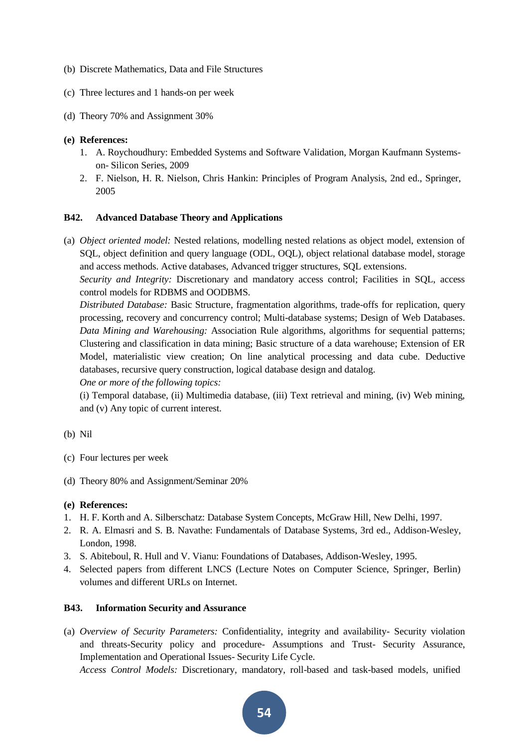- (b) Discrete Mathematics, Data and File Structures
- (c) Three lectures and 1 hands-on per week
- (d) Theory 70% and Assignment 30%

- 1. A. Roychoudhury: Embedded Systems and Software Validation, Morgan Kaufmann Systemson- Silicon Series, 2009
- 2. F. Nielson, H. R. Nielson, Chris Hankin: Principles of Program Analysis, 2nd ed., Springer, 2005

#### **B42. Advanced Database Theory and Applications**

(a) *Object oriented model:* Nested relations, modelling nested relations as object model, extension of SQL, object definition and query language (ODL, OQL), object relational database model, storage and access methods. Active databases, Advanced trigger structures, SQL extensions.

*Security and Integrity:* Discretionary and mandatory access control; Facilities in SQL, access control models for RDBMS and OODBMS.

*Distributed Database:* Basic Structure, fragmentation algorithms, trade-offs for replication, query processing, recovery and concurrency control; Multi-database systems; Design of Web Databases. *Data Mining and Warehousing:* Association Rule algorithms, algorithms for sequential patterns; Clustering and classification in data mining; Basic structure of a data warehouse; Extension of ER Model, materialistic view creation; On line analytical processing and data cube. Deductive databases, recursive query construction, logical database design and datalog.

*One or more of the following topics:*

(i) Temporal database, (ii) Multimedia database, (iii) Text retrieval and mining, (iv) Web mining, and (v) Any topic of current interest.

- (b) Nil
- (c) Four lectures per week
- (d) Theory 80% and Assignment/Seminar 20%

#### **(e) References:**

- 1. H. F. Korth and A. Silberschatz: Database System Concepts, McGraw Hill, New Delhi, 1997.
- 2. R. A. Elmasri and S. B. Navathe: Fundamentals of Database Systems, 3rd ed., Addison-Wesley, London, 1998.
- 3. S. Abiteboul, R. Hull and V. Vianu: Foundations of Databases, Addison-Wesley, 1995.
- 4. Selected papers from different LNCS (Lecture Notes on Computer Science, Springer, Berlin) volumes and different URLs on Internet.

## **B43. Information Security and Assurance**

(a) *Overview of Security Parameters:* Confidentiality, integrity and availability- Security violation and threats-Security policy and procedure- Assumptions and Trust- Security Assurance, Implementation and Operational Issues- Security Life Cycle.

*Access Control Models:* Discretionary, mandatory, roll-based and task-based models, unified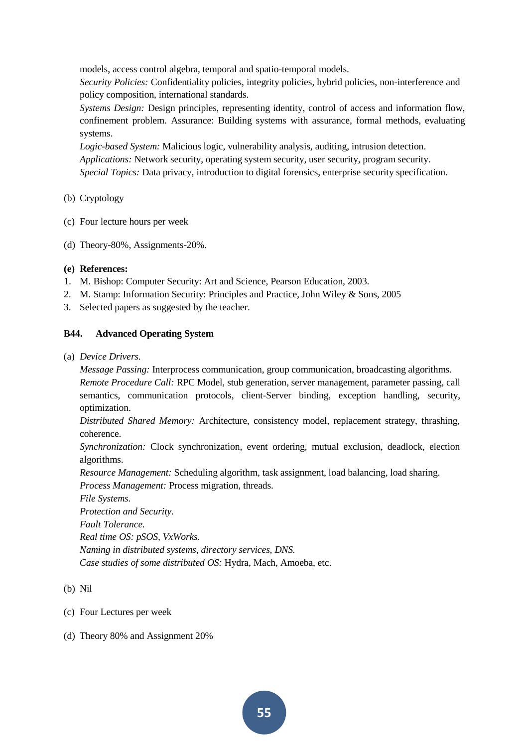models, access control algebra, temporal and spatio-temporal models.

*Security Policies:* Confidentiality policies, integrity policies, hybrid policies, non-interference and policy composition, international standards.

*Systems Design:* Design principles, representing identity, control of access and information flow, confinement problem. Assurance: Building systems with assurance, formal methods, evaluating systems.

*Logic-based System:* Malicious logic, vulnerability analysis, auditing, intrusion detection. *Applications:* Network security, operating system security, user security, program security. *Special Topics:* Data privacy, introduction to digital forensics, enterprise security specification.

## (b) Cryptology

- (c) Four lecture hours per week
- (d) Theory-80%, Assignments-20%.

## **(e) References:**

- 1. M. Bishop: Computer Security: Art and Science, Pearson Education, 2003.
- 2. M. Stamp: Information Security: Principles and Practice, John Wiley & Sons, 2005
- 3. Selected papers as suggested by the teacher.

## **B44. Advanced Operating System**

(a) *Device Drivers.*

*Message Passing:* Interprocess communication, group communication, broadcasting algorithms.

*Remote Procedure Call:* RPC Model, stub generation, server management, parameter passing, call semantics, communication protocols, client-Server binding, exception handling, security, optimization.

*Distributed Shared Memory:* Architecture, consistency model, replacement strategy, thrashing, coherence.

*Synchronization:* Clock synchronization, event ordering, mutual exclusion, deadlock, election algorithms.

*Resource Management:* Scheduling algorithm, task assignment, load balancing, load sharing.

*Process Management:* Process migration, threads.

*File Systems.*

*Protection and Security. Fault Tolerance. Real time OS: pSOS, VxWorks. Naming in distributed systems, directory services, DNS. Case studies of some distributed OS:* Hydra, Mach, Amoeba, etc.

- (b) Nil
- (c) Four Lectures per week
- (d) Theory 80% and Assignment 20%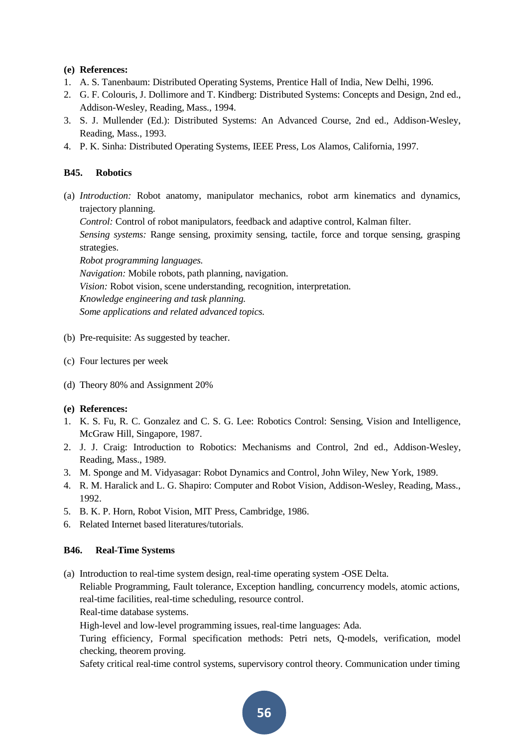- 1. A. S. Tanenbaum: Distributed Operating Systems, Prentice Hall of India, New Delhi, 1996.
- 2. G. F. Colouris, J. Dollimore and T. Kindberg: Distributed Systems: Concepts and Design, 2nd ed., Addison-Wesley, Reading, Mass., 1994.
- 3. S. J. Mullender (Ed.): Distributed Systems: An Advanced Course, 2nd ed., Addison-Wesley, Reading, Mass., 1993.
- 4. P. K. Sinha: Distributed Operating Systems, IEEE Press, Los Alamos, California, 1997.

## **B45. Robotics**

(a) *Introduction:* Robot anatomy, manipulator mechanics, robot arm kinematics and dynamics, trajectory planning.

*Control:* Control of robot manipulators, feedback and adaptive control, Kalman filter.

*Sensing systems:* Range sensing, proximity sensing, tactile, force and torque sensing, grasping strategies.

*Robot programming languages. Navigation:* Mobile robots, path planning, navigation. *Vision:* Robot vision, scene understanding, recognition, interpretation. *Knowledge engineering and task planning.*

*Some applications and related advanced topics.*

- (b) Pre-requisite: As suggested by teacher.
- (c) Four lectures per week
- (d) Theory 80% and Assignment 20%

## **(e) References:**

- 1. K. S. Fu, R. C. Gonzalez and C. S. G. Lee: Robotics Control: Sensing, Vision and Intelligence, McGraw Hill, Singapore, 1987.
- 2. J. J. Craig: Introduction to Robotics: Mechanisms and Control, 2nd ed., Addison-Wesley, Reading, Mass., 1989.
- 3. M. Sponge and M. Vidyasagar: Robot Dynamics and Control, John Wiley, New York, 1989.
- 4. R. M. Haralick and L. G. Shapiro: Computer and Robot Vision, Addison-Wesley, Reading, Mass., 1992.
- 5. B. K. P. Horn, Robot Vision, MIT Press, Cambridge, 1986.
- 6. Related Internet based literatures/tutorials.

## **B46. Real-Time Systems**

(a) Introduction to real-time system design, real-time operating system -OSE Delta.

Reliable Programming, Fault tolerance, Exception handling, concurrency models, atomic actions, real-time facilities, real-time scheduling, resource control.

Real-time database systems.

High-level and low-level programming issues, real-time languages: Ada.

Turing efficiency, Formal specification methods: Petri nets, Q-models, verification, model checking, theorem proving.

Safety critical real-time control systems, supervisory control theory. Communication under timing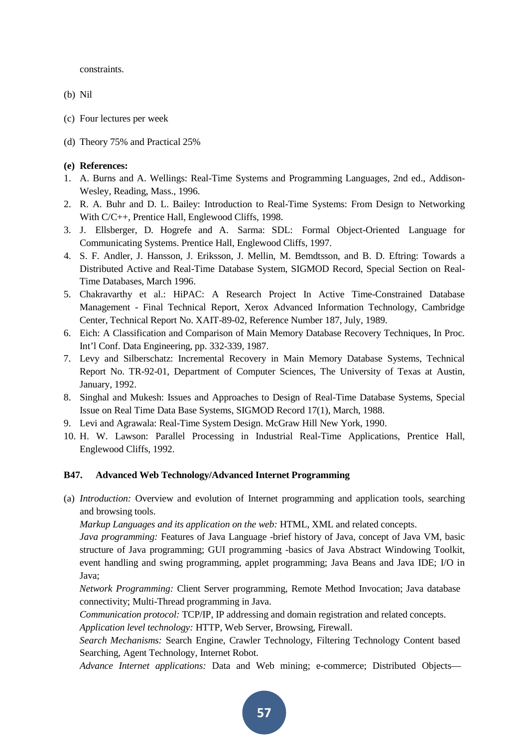constraints.

- (b) Nil
- (c) Four lectures per week
- (d) Theory 75% and Practical 25%

## **(e) References:**

- 1. A. Burns and A. Wellings: Real-Time Systems and Programming Languages, 2nd ed., Addison-Wesley, Reading, Mass., 1996.
- 2. R. A. Buhr and D. L. Bailey: Introduction to Real-Time Systems: From Design to Networking With C/C++, Prentice Hall, Englewood Cliffs, 1998.
- 3. J. Ellsberger, D. Hogrefe and A. Sarma: SDL: Formal Object-Oriented Language for Communicating Systems. Prentice Hall, Englewood Cliffs, 1997.
- 4. S. F. Andler, J. Hansson, J. Eriksson, J. Mellin, M. Bemdtsson, and B. D. Eftring: Towards a Distributed Active and Real-Time Database System, SIGMOD Record, Special Section on Real-Time Databases, March 1996.
- 5. Chakravarthy et al.: HiPAC: A Research Project In Active Time-Constrained Database Management - Final Technical Report, Xerox Advanced Information Technology, Cambridge Center, Technical Report No. XAIT-89-02, Reference Number 187, July, 1989.
- 6. Eich: A Classification and Comparison of Main Memory Database Recovery Techniques, In Proc. Int'l Conf. Data Engineering, pp. 332-339, 1987.
- 7. Levy and Silberschatz: Incremental Recovery in Main Memory Database Systems, Technical Report No. TR-92-01, Department of Computer Sciences, The University of Texas at Austin, January, 1992.
- 8. Singhal and Mukesh: Issues and Approaches to Design of Real-Time Database Systems, Special Issue on Real Time Data Base Systems, SIGMOD Record 17(1), March, 1988.
- 9. Levi and Agrawala: Real-Time System Design. McGraw Hill New York, 1990.
- 10. H. W. Lawson: Parallel Processing in Industrial Real-Time Applications, Prentice Hall, Englewood Cliffs, 1992.

## **B47. Advanced Web Technology/Advanced Internet Programming**

(a) *Introduction:* Overview and evolution of Internet programming and application tools, searching and browsing tools.

*Markup Languages and its application on the web:* HTML, XML and related concepts.

*Java programming:* Features of Java Language -brief history of Java, concept of Java VM, basic structure of Java programming; GUI programming -basics of Java Abstract Windowing Toolkit, event handling and swing programming, applet programming; Java Beans and Java IDE; I/O in Java;

*Network Programming:* Client Server programming, Remote Method Invocation; Java database connectivity; Multi-Thread programming in Java.

*Communication protocol:* TCP/IP, IP addressing and domain registration and related concepts.

*Application level technology:* HTTP, Web Server, Browsing, Firewall.

*Search Mechanisms:* Search Engine, Crawler Technology, Filtering Technology Content based Searching, Agent Technology, Internet Robot.

*Advance Internet applications:* Data and Web mining; e-commerce; Distributed Objects—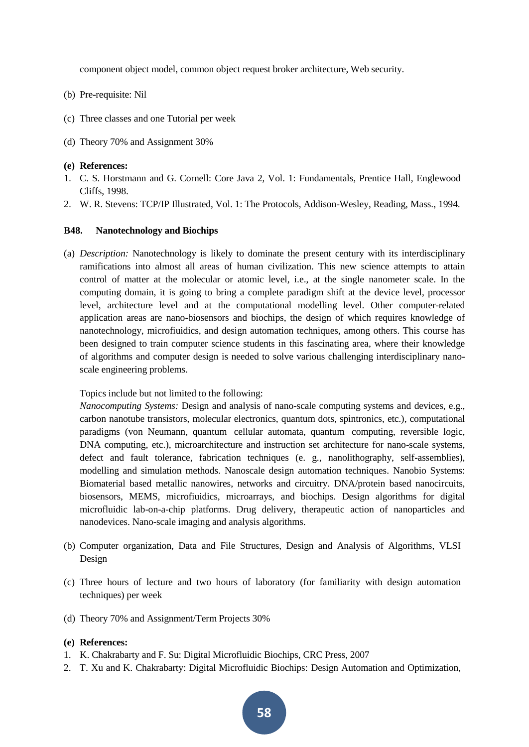component object model, common object request broker architecture, Web security.

- (b) Pre-requisite: Nil
- (c) Three classes and one Tutorial per week
- (d) Theory 70% and Assignment 30%

#### **(e) References:**

- 1. C. S. Horstmann and G. Cornell: Core Java 2, Vol. 1: Fundamentals, Prentice Hall, Englewood Cliffs, 1998.
- 2. W. R. Stevens: TCP/IP Illustrated, Vol. 1: The Protocols, Addison-Wesley, Reading, Mass., 1994.

## **B48. Nanotechnology and Biochips**

(a) *Description:* Nanotechnology is likely to dominate the present century with its interdisciplinary ramifications into almost all areas of human civilization. This new science attempts to attain control of matter at the molecular or atomic level, i.e., at the single nanometer scale. In the computing domain, it is going to bring a complete paradigm shift at the device level, processor level, architecture level and at the computational modelling level. Other computer-related application areas are nano-biosensors and biochips, the design of which requires knowledge of nanotechnology, microfiuidics, and design automation techniques, among others. This course has been designed to train computer science students in this fascinating area, where their knowledge of algorithms and computer design is needed to solve various challenging interdisciplinary nanoscale engineering problems.

Topics include but not limited to the following:

*Nanocomputing Systems:* Design and analysis of nano-scale computing systems and devices, e.g., carbon nanotube transistors, molecular electronics, quantum dots, spintronics, etc.), computational paradigms (von Neumann, quantum cellular automata, quantum computing, reversible logic, DNA computing, etc.), microarchitecture and instruction set architecture for nano-scale systems, defect and fault tolerance, fabrication techniques (e. g., nanolithography, self-assemblies), modelling and simulation methods. Nanoscale design automation techniques. Nanobio Systems: Biomaterial based metallic nanowires, networks and circuitry. DNA/protein based nanocircuits, biosensors, MEMS, microfiuidics, microarrays, and biochips. Design algorithms for digital microfluidic lab-on-a-chip platforms. Drug delivery, therapeutic action of nanoparticles and nanodevices. Nano-scale imaging and analysis algorithms.

- (b) Computer organization, Data and File Structures, Design and Analysis of Algorithms, VLSI Design
- (c) Three hours of lecture and two hours of laboratory (for familiarity with design automation techniques) per week
- (d) Theory 70% and Assignment/Term Projects 30%

- 1. K. Chakrabarty and F. Su: Digital Microfluidic Biochips, CRC Press, 2007
- 2. T. Xu and K. Chakrabarty: Digital Microfluidic Biochips: Design Automation and Optimization,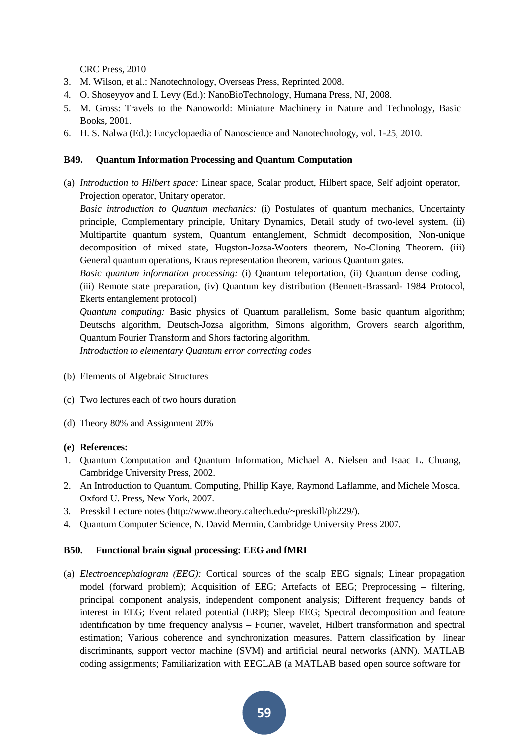CRC Press, 2010

- 3. M. Wilson, et al.: Nanotechnology, Overseas Press, Reprinted 2008.
- 4. O. Shoseyyov and I. Levy (Ed.): NanoBioTechnology, Humana Press, NJ, 2008.
- 5. M. Gross: Travels to the Nanoworld: Miniature Machinery in Nature and Technology, Basic Books, 2001.
- 6. H. S. Nalwa (Ed.): Encyclopaedia of Nanoscience and Nanotechnology, vol. 1-25, 2010.

## **B49. Quantum Information Processing and Quantum Computation**

(a) *Introduction to Hilbert space:* Linear space, Scalar product, Hilbert space, Self adjoint operator, Projection operator, Unitary operator.

*Basic introduction to Quantum mechanics:* (i) Postulates of quantum mechanics, Uncertainty principle, Complementary principle, Unitary Dynamics, Detail study of two-level system. (ii) Multipartite quantum system, Quantum entanglement, Schmidt decomposition, Non-unique decomposition of mixed state, Hugston-Jozsa-Wooters theorem, No-Cloning Theorem. (iii) General quantum operations, Kraus representation theorem, various Quantum gates.

*Basic quantum information processing:* (i) Quantum teleportation, (ii) Quantum dense coding,

(iii) Remote state preparation, (iv) Quantum key distribution (Bennett-Brassard- 1984 Protocol, Ekerts entanglement protocol)

*Quantum computing:* Basic physics of Quantum parallelism, Some basic quantum algorithm; Deutschs algorithm, Deutsch-Jozsa algorithm, Simons algorithm, Grovers search algorithm, Quantum Fourier Transform and Shors factoring algorithm.

*Introduction to elementary Quantum error correcting codes*

- (b) Elements of Algebraic Structures
- (c) Two lectures each of two hours duration
- (d) Theory 80% and Assignment 20%
- **(e) References:**
- 1. Quantum Computation and Quantum Information, Michael A. Nielsen and Isaac L. Chuang, Cambridge University Press, 2002.
- 2. An Introduction to Quantum. Computing, Phillip Kaye, Raymond Laflamme, and Michele Mosca. Oxford U. Press, New York, 2007.
- 3. Presskil Lecture notes [\(http://www.theory.caltech.edu/~preskill/ph229/\).](http://www.theory.caltech.edu/%7Epreskill/ph229/))
- 4. Quantum Computer Science, N. David Mermin, Cambridge University Press 2007.

#### **B50. Functional brain signal processing: EEG and fMRI**

(a) *Electroencephalogram (EEG):* Cortical sources of the scalp EEG signals; Linear propagation model (forward problem); Acquisition of EEG; Artefacts of EEG; Preprocessing – filtering, principal component analysis, independent component analysis; Different frequency bands of interest in EEG; Event related potential (ERP); Sleep EEG; Spectral decomposition and feature identification by time frequency analysis – Fourier, wavelet, Hilbert transformation and spectral estimation; Various coherence and synchronization measures. Pattern classification by linear discriminants, support vector machine (SVM) and artificial neural networks (ANN). MATLAB coding assignments; Familiarization with EEGLAB (a MATLAB based open source software for